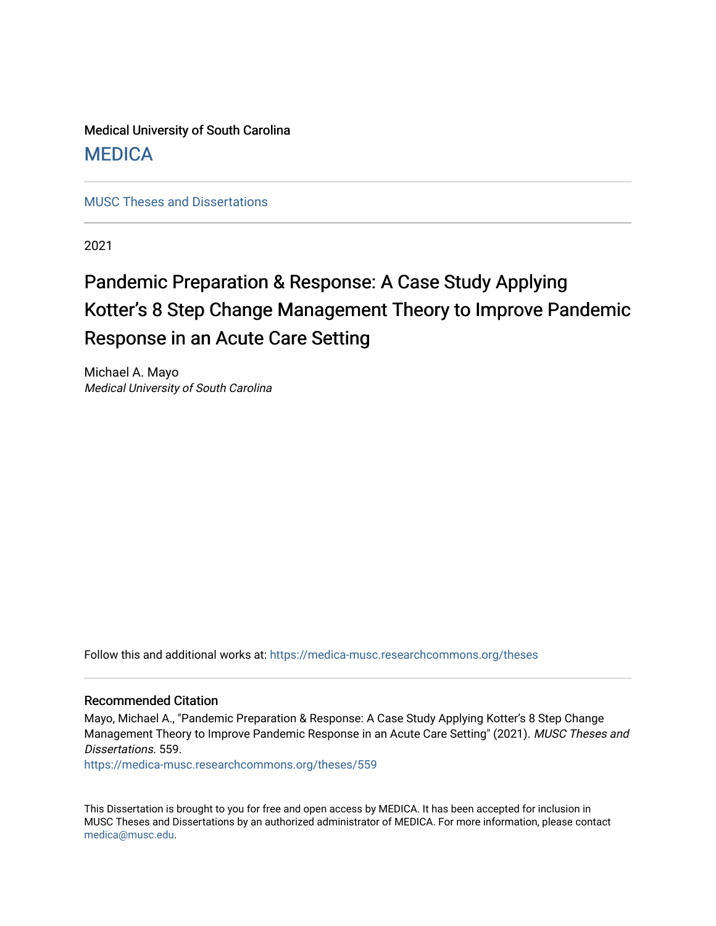Medical University of South Carolina **MEDICA** 

[MUSC Theses and Dissertations](https://medica-musc.researchcommons.org/theses)

2021

# Pandemic Preparation & Response: A Case Study Applying Kotter's 8 Step Change Management Theory to Improve Pandemic Response in an Acute Care Setting

Michael A. Mayo Medical University of South Carolina

Follow this and additional works at: [https://medica-musc.researchcommons.org/theses](https://medica-musc.researchcommons.org/theses?utm_source=medica-musc.researchcommons.org%2Ftheses%2F559&utm_medium=PDF&utm_campaign=PDFCoverPages) 

#### Recommended Citation

Mayo, Michael A., "Pandemic Preparation & Response: A Case Study Applying Kotter's 8 Step Change Management Theory to Improve Pandemic Response in an Acute Care Setting" (2021). MUSC Theses and Dissertations. 559.

[https://medica-musc.researchcommons.org/theses/559](https://medica-musc.researchcommons.org/theses/559?utm_source=medica-musc.researchcommons.org%2Ftheses%2F559&utm_medium=PDF&utm_campaign=PDFCoverPages) 

This Dissertation is brought to you for free and open access by MEDICA. It has been accepted for inclusion in MUSC Theses and Dissertations by an authorized administrator of MEDICA. For more information, please contact [medica@musc.edu.](mailto:medica@musc.edu)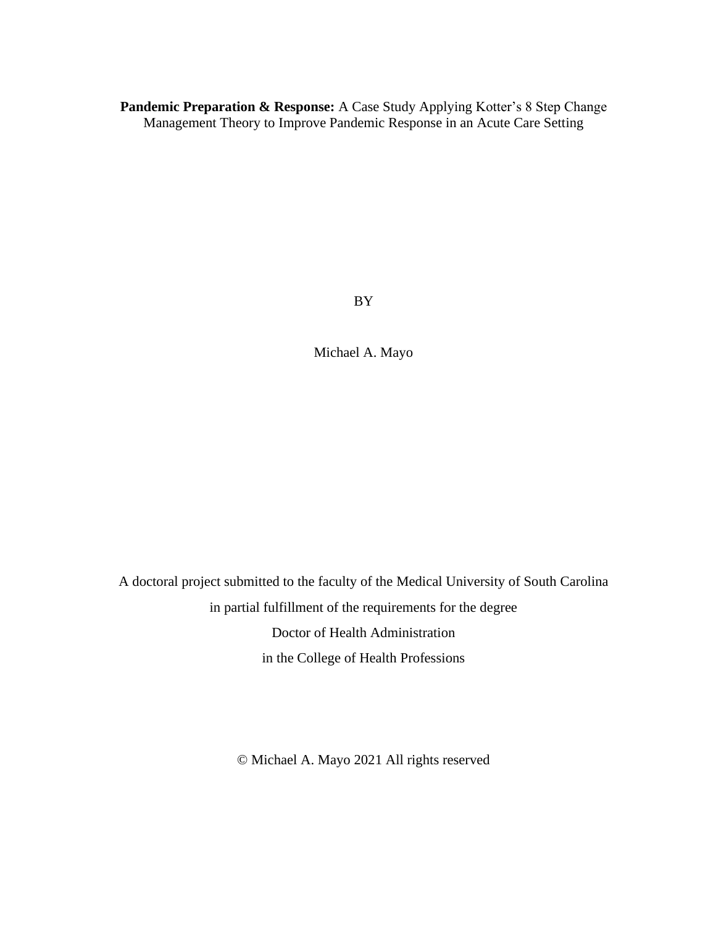**Pandemic Preparation & Response:** A Case Study Applying Kotter's 8 Step Change Management Theory to Improve Pandemic Response in an Acute Care Setting

BY

Michael A. Mayo

A doctoral project submitted to the faculty of the Medical University of South Carolina in partial fulfillment of the requirements for the degree Doctor of Health Administration in the College of Health Professions

© Michael A. Mayo 2021 All rights reserved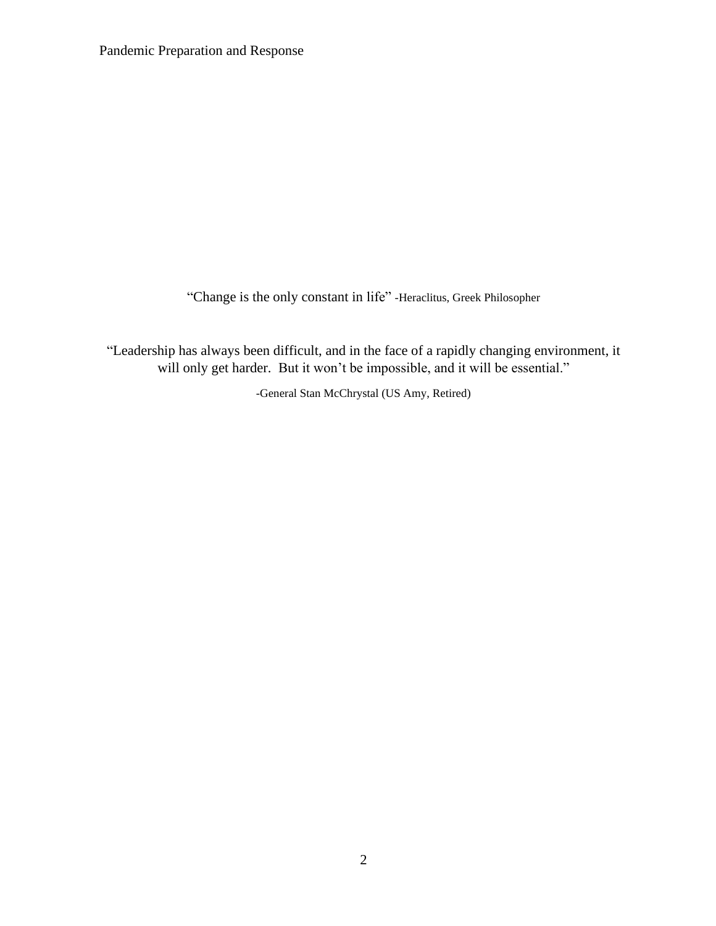"Change is the only constant in life" -Heraclitus, Greek Philosopher

"Leadership has always been difficult, and in the face of a rapidly changing environment, it will only get harder. But it won't be impossible, and it will be essential."

-General Stan McChrystal (US Amy, Retired)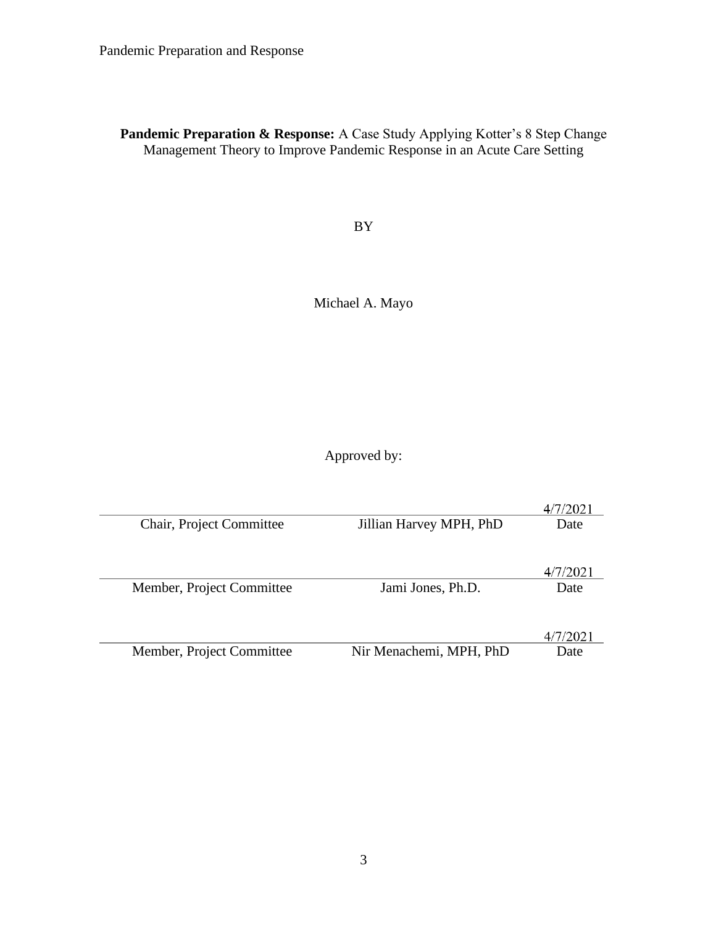**Pandemic Preparation & Response:** A Case Study Applying Kotter's 8 Step Change Management Theory to Improve Pandemic Response in an Acute Care Setting

BY

Michael A. Mayo

Approved by:

|                           |                         | 4/7/2021 |
|---------------------------|-------------------------|----------|
| Chair, Project Committee  | Jillian Harvey MPH, PhD | Date     |
|                           |                         | 4/7/2021 |
| Member, Project Committee | Jami Jones, Ph.D.       | Date     |
|                           |                         | 4/7/2021 |
| Member, Project Committee | Nir Menachemi, MPH, PhD | Date     |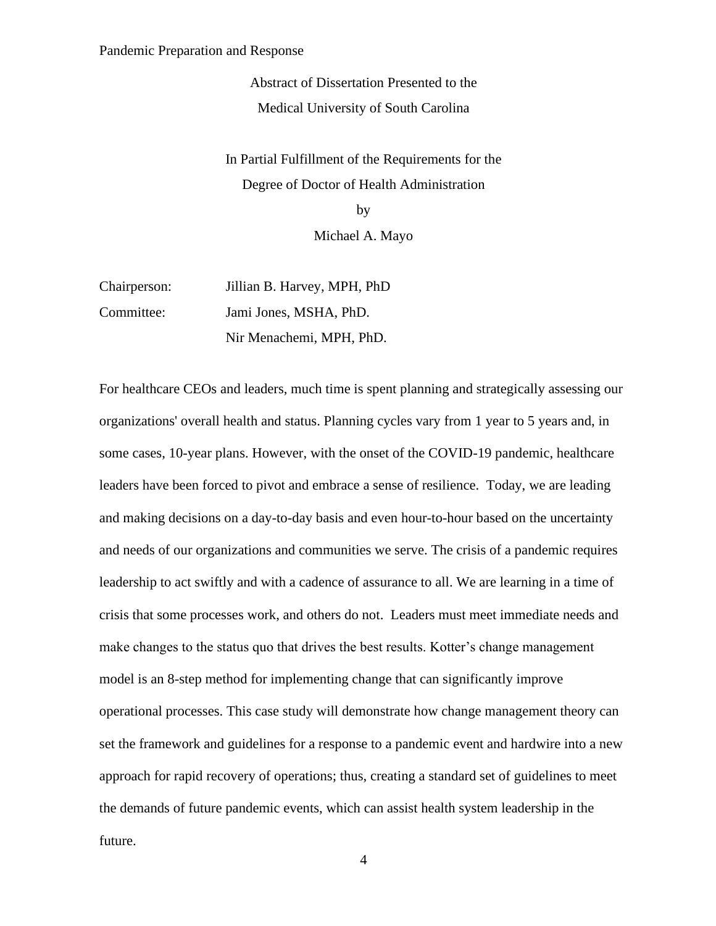Abstract of Dissertation Presented to the Medical University of South Carolina

In Partial Fulfillment of the Requirements for the Degree of Doctor of Health Administration by

Michael A. Mayo

| Chairperson: | Jillian B. Harvey, MPH, PhD |
|--------------|-----------------------------|
| Committee:   | Jami Jones, MSHA, PhD.      |
|              | Nir Menachemi, MPH, PhD.    |

For healthcare CEOs and leaders, much time is spent planning and strategically assessing our organizations' overall health and status. Planning cycles vary from 1 year to 5 years and, in some cases, 10-year plans. However, with the onset of the COVID-19 pandemic, healthcare leaders have been forced to pivot and embrace a sense of resilience. Today, we are leading and making decisions on a day-to-day basis and even hour-to-hour based on the uncertainty and needs of our organizations and communities we serve. The crisis of a pandemic requires leadership to act swiftly and with a cadence of assurance to all. We are learning in a time of crisis that some processes work, and others do not. Leaders must meet immediate needs and make changes to the status quo that drives the best results. Kotter's change management model is an 8-step method for implementing change that can significantly improve operational processes. This case study will demonstrate how change management theory can set the framework and guidelines for a response to a pandemic event and hardwire into a new approach for rapid recovery of operations; thus, creating a standard set of guidelines to meet the demands of future pandemic events, which can assist health system leadership in the future.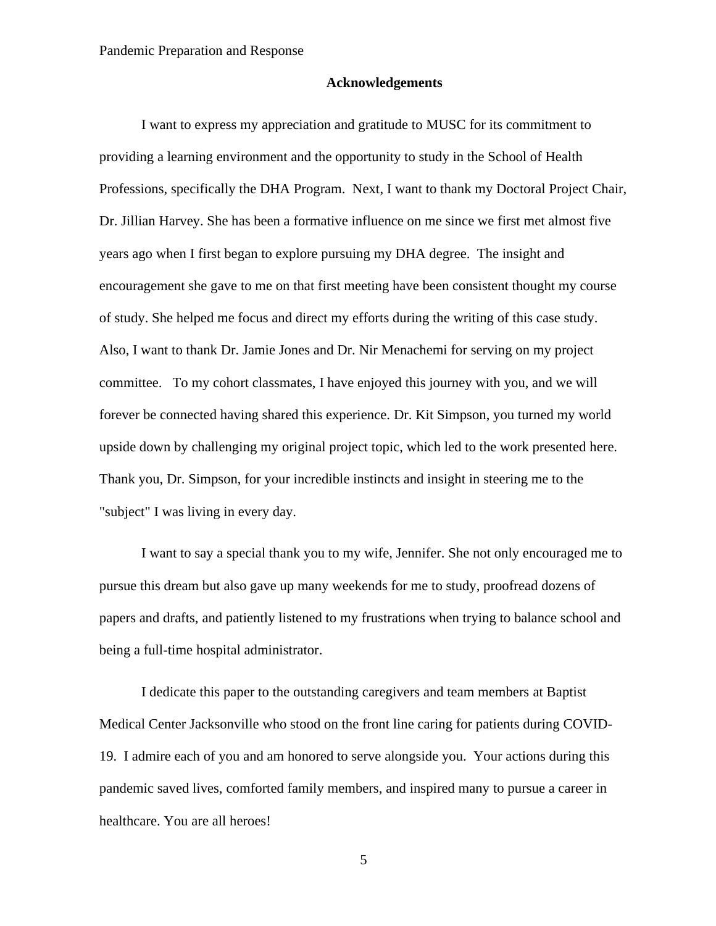#### **Acknowledgements**

I want to express my appreciation and gratitude to MUSC for its commitment to providing a learning environment and the opportunity to study in the School of Health Professions, specifically the DHA Program. Next, I want to thank my Doctoral Project Chair, Dr. Jillian Harvey. She has been a formative influence on me since we first met almost five years ago when I first began to explore pursuing my DHA degree. The insight and encouragement she gave to me on that first meeting have been consistent thought my course of study. She helped me focus and direct my efforts during the writing of this case study. Also, I want to thank Dr. Jamie Jones and Dr. Nir Menachemi for serving on my project committee. To my cohort classmates, I have enjoyed this journey with you, and we will forever be connected having shared this experience. Dr. Kit Simpson, you turned my world upside down by challenging my original project topic, which led to the work presented here. Thank you, Dr. Simpson, for your incredible instincts and insight in steering me to the "subject" I was living in every day.

I want to say a special thank you to my wife, Jennifer. She not only encouraged me to pursue this dream but also gave up many weekends for me to study, proofread dozens of papers and drafts, and patiently listened to my frustrations when trying to balance school and being a full-time hospital administrator.

I dedicate this paper to the outstanding caregivers and team members at Baptist Medical Center Jacksonville who stood on the front line caring for patients during COVID-19. I admire each of you and am honored to serve alongside you. Your actions during this pandemic saved lives, comforted family members, and inspired many to pursue a career in healthcare. You are all heroes!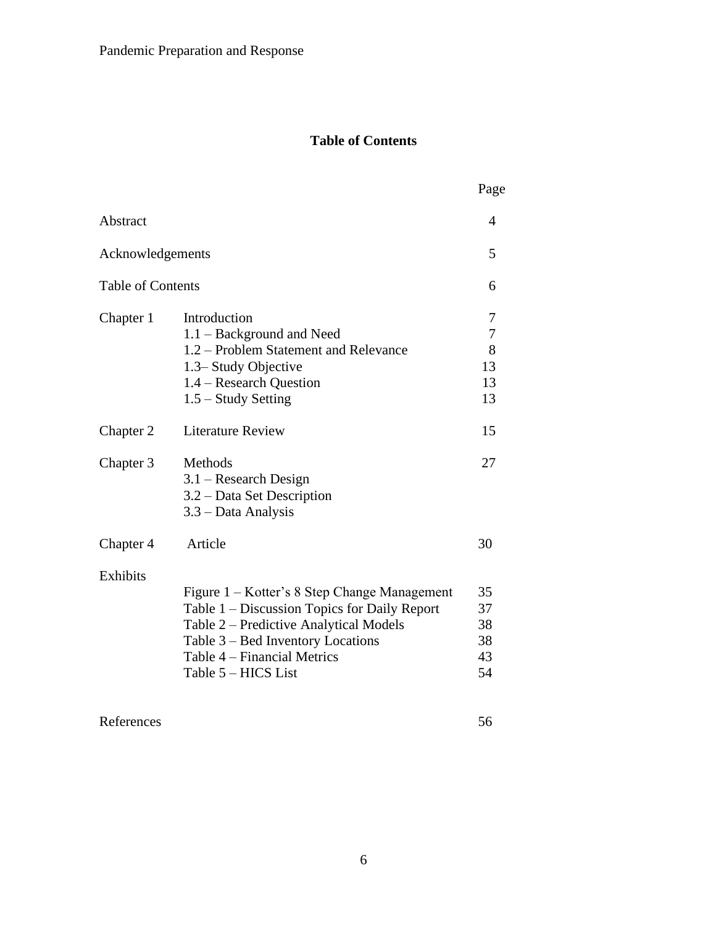# **Table of Contents**

|                          |                                                                                                                                                                                                                                   | Page                                         |
|--------------------------|-----------------------------------------------------------------------------------------------------------------------------------------------------------------------------------------------------------------------------------|----------------------------------------------|
| Abstract                 |                                                                                                                                                                                                                                   | 4                                            |
| Acknowledgements         |                                                                                                                                                                                                                                   | 5                                            |
| <b>Table of Contents</b> |                                                                                                                                                                                                                                   | 6                                            |
| Chapter 1                | Introduction<br>1.1 – Background and Need<br>1.2 – Problem Statement and Relevance<br>1.3– Study Objective<br>1.4 – Research Question<br>$1.5 -$ Study Setting                                                                    | 7<br>$\boldsymbol{7}$<br>8<br>13<br>13<br>13 |
| Chapter 2                | <b>Literature Review</b>                                                                                                                                                                                                          | 15                                           |
| Chapter 3                | Methods<br>$3.1$ – Research Design<br>3.2 - Data Set Description<br>3.3 – Data Analysis                                                                                                                                           | 27                                           |
| Chapter 4                | Article                                                                                                                                                                                                                           | 30                                           |
| <b>Exhibits</b>          | Figure 1 – Kotter's 8 Step Change Management<br>Table 1 – Discussion Topics for Daily Report<br>Table 2 – Predictive Analytical Models<br>Table 3 – Bed Inventory Locations<br>Table 4 – Financial Metrics<br>Table 5 – HICS List | 35<br>37<br>38<br>38<br>43<br>54             |

References 56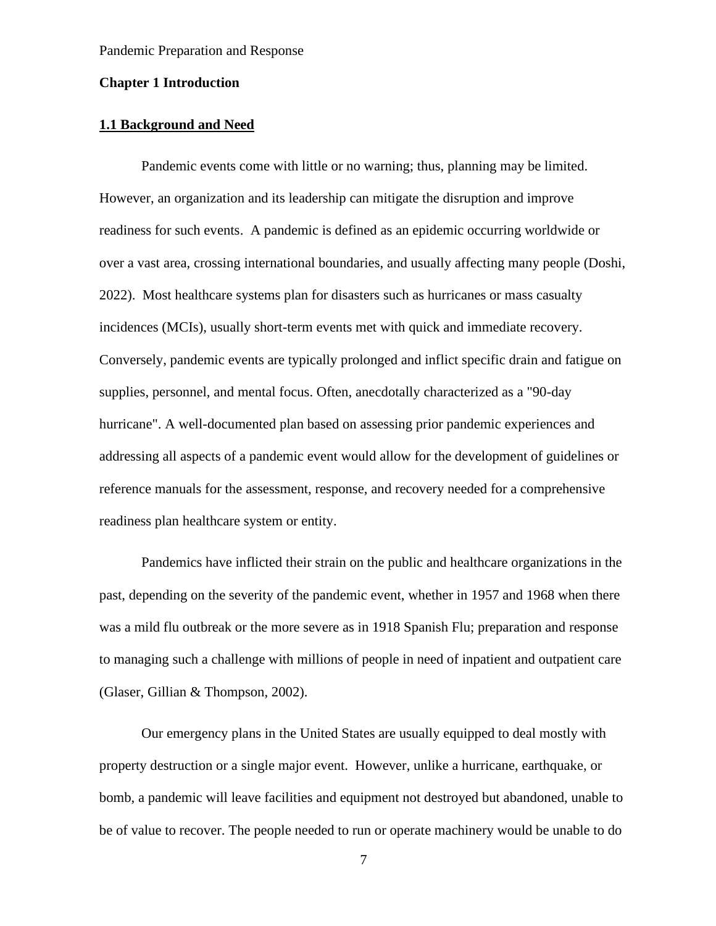#### **Chapter 1 Introduction**

## **1.1 Background and Need**

 Pandemic events come with little or no warning; thus, planning may be limited. However, an organization and its leadership can mitigate the disruption and improve readiness for such events. A pandemic is defined as an epidemic occurring worldwide or over a vast area, crossing international boundaries, and usually affecting many people (Doshi, 2022). Most healthcare systems plan for disasters such as hurricanes or mass casualty incidences (MCIs), usually short-term events met with quick and immediate recovery. Conversely, pandemic events are typically prolonged and inflict specific drain and fatigue on supplies, personnel, and mental focus. Often, anecdotally characterized as a "90-day hurricane". A well-documented plan based on assessing prior pandemic experiences and addressing all aspects of a pandemic event would allow for the development of guidelines or reference manuals for the assessment, response, and recovery needed for a comprehensive readiness plan healthcare system or entity.

 Pandemics have inflicted their strain on the public and healthcare organizations in the past, depending on the severity of the pandemic event, whether in 1957 and 1968 when there was a mild flu outbreak or the more severe as in 1918 Spanish Flu; preparation and response to managing such a challenge with millions of people in need of inpatient and outpatient care (Glaser, Gillian & Thompson, 2002).

 Our emergency plans in the United States are usually equipped to deal mostly with property destruction or a single major event. However, unlike a hurricane, earthquake, or bomb, a pandemic will leave facilities and equipment not destroyed but abandoned, unable to be of value to recover. The people needed to run or operate machinery would be unable to do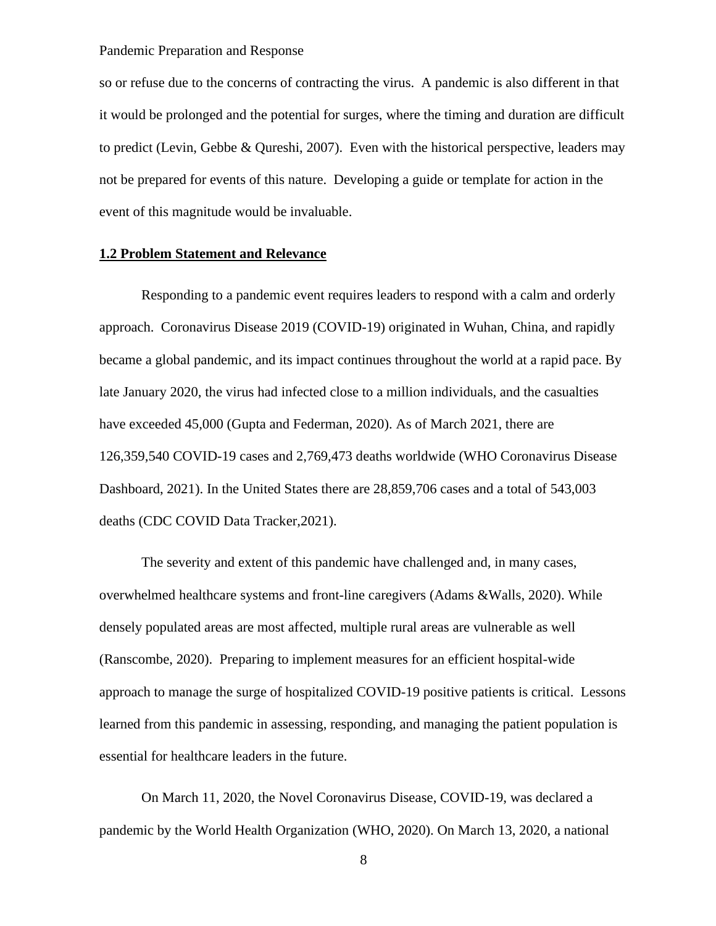so or refuse due to the concerns of contracting the virus. A pandemic is also different in that it would be prolonged and the potential for surges, where the timing and duration are difficult to predict (Levin, Gebbe & Qureshi, 2007). Even with the historical perspective, leaders may not be prepared for events of this nature. Developing a guide or template for action in the event of this magnitude would be invaluable.

#### **1.2 Problem Statement and Relevance**

 Responding to a pandemic event requires leaders to respond with a calm and orderly approach. Coronavirus Disease 2019 (COVID-19) originated in Wuhan, China, and rapidly became a global pandemic, and its impact continues throughout the world at a rapid pace. By late January 2020, the virus had infected close to a million individuals, and the casualties have exceeded 45,000 (Gupta and Federman, 2020). As of March 2021, there are 126,359,540 COVID-19 cases and 2,769,473 deaths worldwide (WHO Coronavirus Disease Dashboard, 2021). In the United States there are 28,859,706 cases and a total of 543,003 deaths (CDC COVID Data Tracker,2021).

The severity and extent of this pandemic have challenged and, in many cases, overwhelmed healthcare systems and front-line caregivers (Adams &Walls, 2020). While densely populated areas are most affected, multiple rural areas are vulnerable as well (Ranscombe, 2020). Preparing to implement measures for an efficient hospital-wide approach to manage the surge of hospitalized COVID-19 positive patients is critical. Lessons learned from this pandemic in assessing, responding, and managing the patient population is essential for healthcare leaders in the future.

On March 11, 2020, the Novel Coronavirus Disease, COVID-19, was declared a pandemic by the World Health Organization (WHO, 2020). On March 13, 2020, a national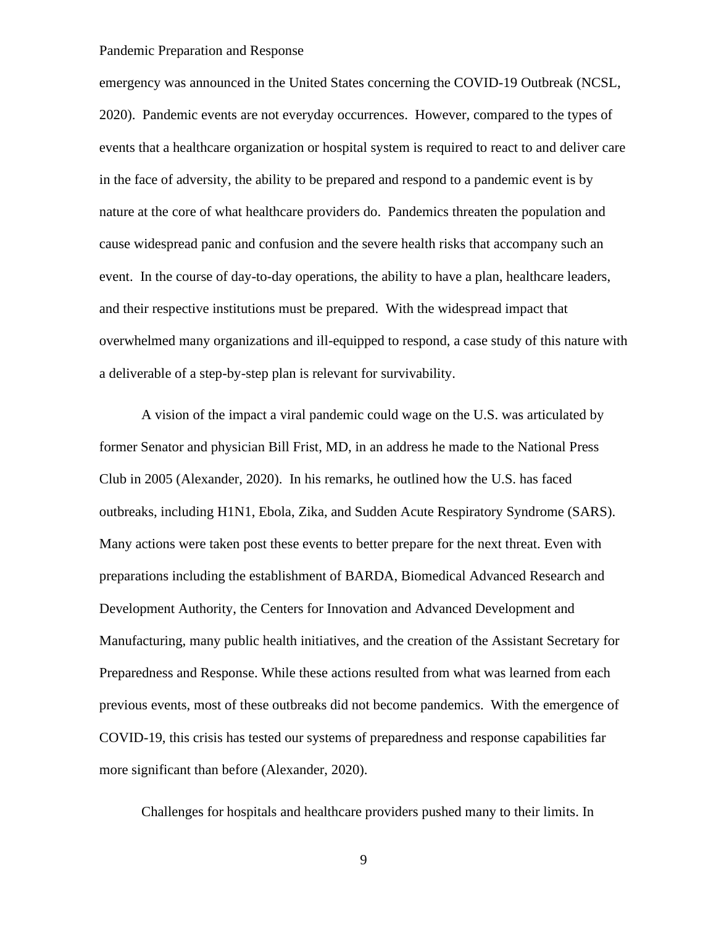emergency was announced in the United States concerning the COVID-19 Outbreak (NCSL, 2020). Pandemic events are not everyday occurrences. However, compared to the types of events that a healthcare organization or hospital system is required to react to and deliver care in the face of adversity, the ability to be prepared and respond to a pandemic event is by nature at the core of what healthcare providers do. Pandemics threaten the population and cause widespread panic and confusion and the severe health risks that accompany such an event. In the course of day-to-day operations, the ability to have a plan, healthcare leaders, and their respective institutions must be prepared. With the widespread impact that overwhelmed many organizations and ill-equipped to respond, a case study of this nature with a deliverable of a step-by-step plan is relevant for survivability.

A vision of the impact a viral pandemic could wage on the U.S. was articulated by former Senator and physician Bill Frist, MD, in an address he made to the National Press Club in 2005 (Alexander, 2020). In his remarks, he outlined how the U.S. has faced outbreaks, including H1N1, Ebola, Zika, and Sudden Acute Respiratory Syndrome (SARS). Many actions were taken post these events to better prepare for the next threat. Even with preparations including the establishment of BARDA, Biomedical Advanced Research and Development Authority, the Centers for Innovation and Advanced Development and Manufacturing, many public health initiatives, and the creation of the Assistant Secretary for Preparedness and Response. While these actions resulted from what was learned from each previous events, most of these outbreaks did not become pandemics. With the emergence of COVID-19, this crisis has tested our systems of preparedness and response capabilities far more significant than before (Alexander, 2020).

Challenges for hospitals and healthcare providers pushed many to their limits. In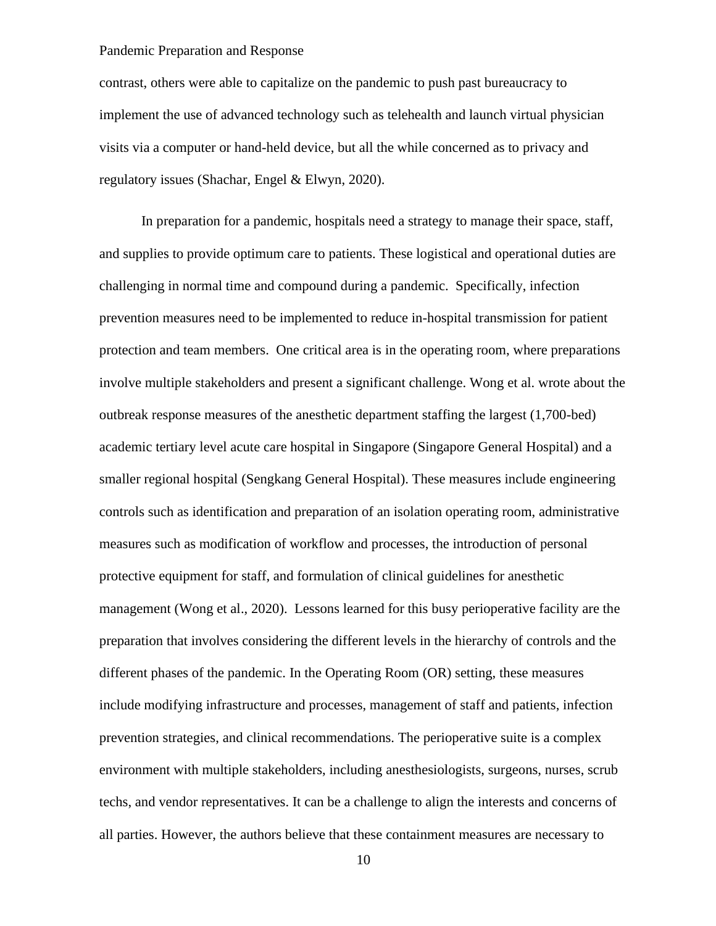contrast, others were able to capitalize on the pandemic to push past bureaucracy to implement the use of advanced technology such as telehealth and launch virtual physician visits via a computer or hand-held device, but all the while concerned as to privacy and regulatory issues (Shachar, Engel & Elwyn, 2020).

In preparation for a pandemic, hospitals need a strategy to manage their space, staff, and supplies to provide optimum care to patients. These logistical and operational duties are challenging in normal time and compound during a pandemic. Specifically, infection prevention measures need to be implemented to reduce in-hospital transmission for patient protection and team members. One critical area is in the operating room, where preparations involve multiple stakeholders and present a significant challenge. Wong et al. wrote about the outbreak response measures of the anesthetic department staffing the largest (1,700-bed) academic tertiary level acute care hospital in Singapore (Singapore General Hospital) and a smaller regional hospital (Sengkang General Hospital). These measures include engineering controls such as identification and preparation of an isolation operating room, administrative measures such as modification of workflow and processes, the introduction of personal protective equipment for staff, and formulation of clinical guidelines for anesthetic management (Wong et al., 2020). Lessons learned for this busy perioperative facility are the preparation that involves considering the different levels in the hierarchy of controls and the different phases of the pandemic. In the Operating Room (OR) setting, these measures include modifying infrastructure and processes, management of staff and patients, infection prevention strategies, and clinical recommendations. The perioperative suite is a complex environment with multiple stakeholders, including anesthesiologists, surgeons, nurses, scrub techs, and vendor representatives. It can be a challenge to align the interests and concerns of all parties. However, the authors believe that these containment measures are necessary to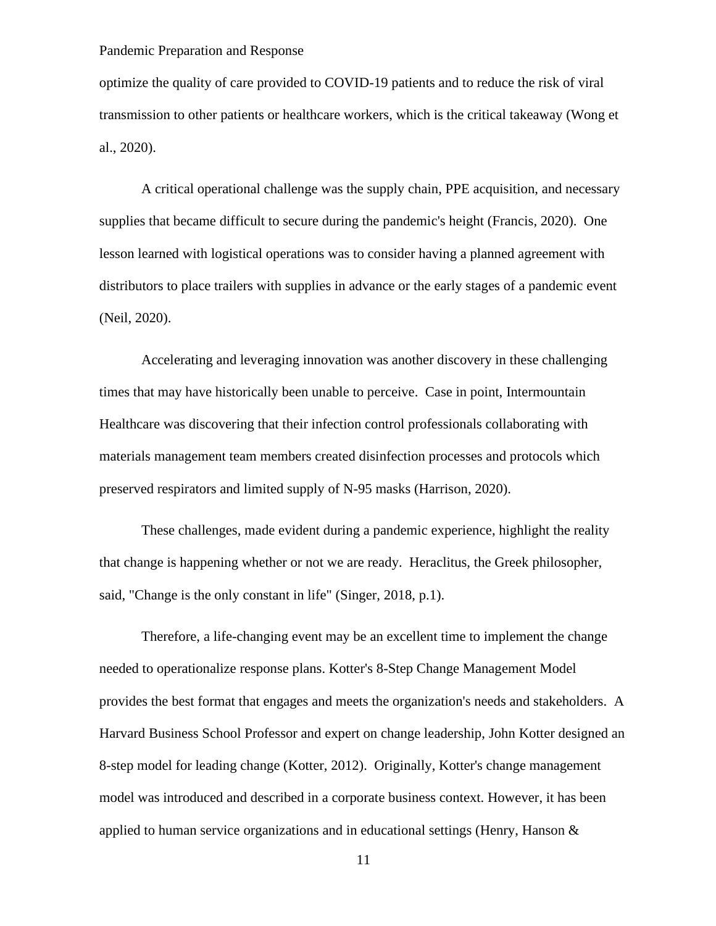optimize the quality of care provided to COVID-19 patients and to reduce the risk of viral transmission to other patients or healthcare workers, which is the critical takeaway (Wong et al., 2020).

A critical operational challenge was the supply chain, PPE acquisition, and necessary supplies that became difficult to secure during the pandemic's height (Francis, 2020). One lesson learned with logistical operations was to consider having a planned agreement with distributors to place trailers with supplies in advance or the early stages of a pandemic event (Neil, 2020).

Accelerating and leveraging innovation was another discovery in these challenging times that may have historically been unable to perceive. Case in point, Intermountain Healthcare was discovering that their infection control professionals collaborating with materials management team members created disinfection processes and protocols which preserved respirators and limited supply of N-95 masks (Harrison, 2020).

These challenges, made evident during a pandemic experience, highlight the reality that change is happening whether or not we are ready. Heraclitus, the Greek philosopher, said, "Change is the only constant in life" (Singer, 2018, p.1).

Therefore, a life-changing event may be an excellent time to implement the change needed to operationalize response plans. Kotter's 8-Step Change Management Model provides the best format that engages and meets the organization's needs and stakeholders. A Harvard Business School Professor and expert on change leadership, John Kotter designed an 8-step model for leading change (Kotter, 2012). Originally, Kotter's change management model was introduced and described in a corporate business context. However, it has been applied to human service organizations and in educational settings (Henry, Hanson  $\&$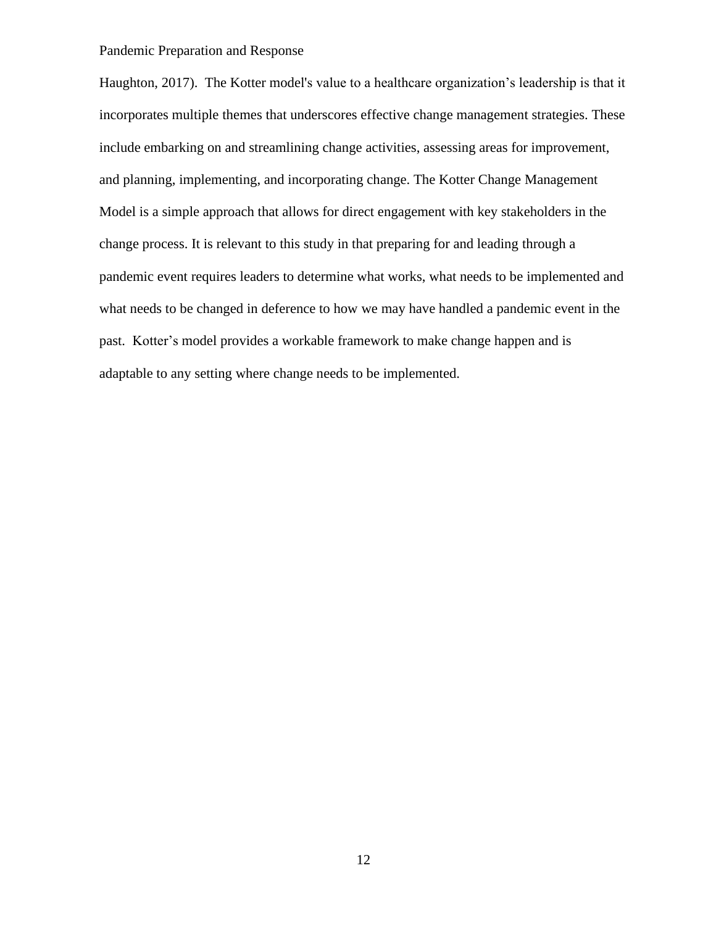Haughton, 2017). The Kotter model's value to a healthcare organization's leadership is that it incorporates multiple themes that underscores effective change management strategies. These include embarking on and streamlining change activities, assessing areas for improvement, and planning, implementing, and incorporating change. The Kotter Change Management Model is a simple approach that allows for direct engagement with key stakeholders in the change process. It is relevant to this study in that preparing for and leading through a pandemic event requires leaders to determine what works, what needs to be implemented and what needs to be changed in deference to how we may have handled a pandemic event in the past. Kotter's model provides a workable framework to make change happen and is adaptable to any setting where change needs to be implemented.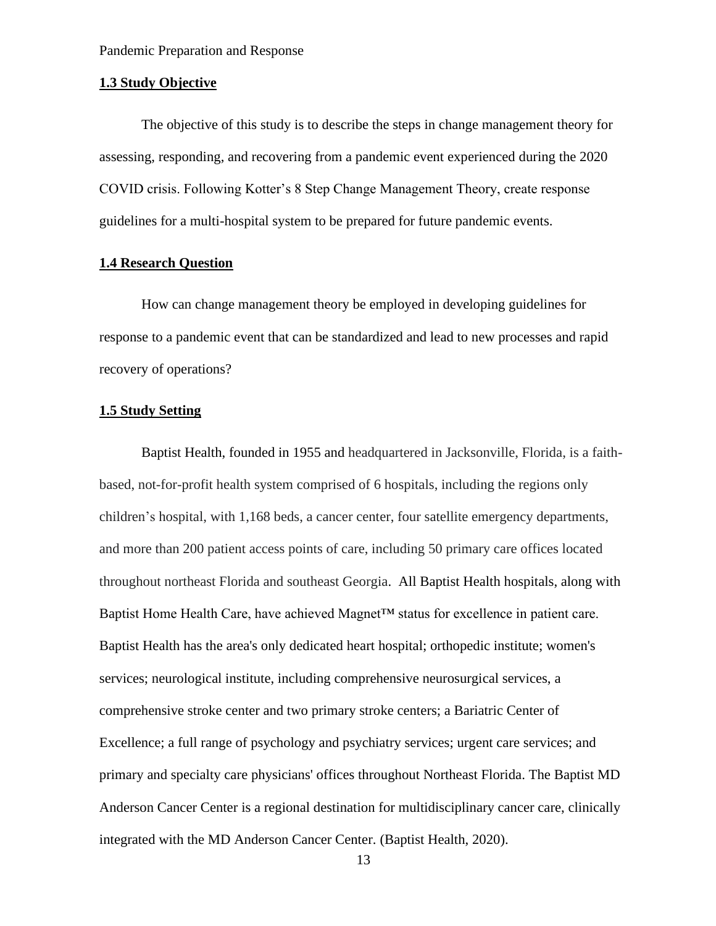#### **1.3 Study Objective**

The objective of this study is to describe the steps in change management theory for assessing, responding, and recovering from a pandemic event experienced during the 2020 COVID crisis. Following Kotter's 8 Step Change Management Theory, create response guidelines for a multi-hospital system to be prepared for future pandemic events.

#### **1.4 Research Question**

How can change management theory be employed in developing guidelines for response to a pandemic event that can be standardized and lead to new processes and rapid recovery of operations?

#### **1.5 Study Setting**

Baptist Health, founded in 1955 and headquartered in Jacksonville, Florida, is a faithbased, not-for-profit health system comprised of 6 hospitals, including the regions only children's hospital, with 1,168 beds, a cancer center, four satellite emergency departments, and more than 200 patient access points of care, including 50 primary care offices located throughout northeast Florida and southeast Georgia. All Baptist Health hospitals, along with Baptist Home Health Care, have achieved Magnet™ status for excellence in patient care. Baptist Health has the area's only dedicated heart hospital; orthopedic institute; women's services; neurological institute, including comprehensive neurosurgical services, a comprehensive stroke center and two primary stroke centers; a Bariatric Center of Excellence; a full range of psychology and psychiatry services; urgent care services; and primary and specialty care physicians' offices throughout Northeast Florida. The Baptist MD Anderson Cancer Center is a regional destination for multidisciplinary cancer care, clinically integrated with the MD Anderson Cancer Center. (Baptist Health, 2020).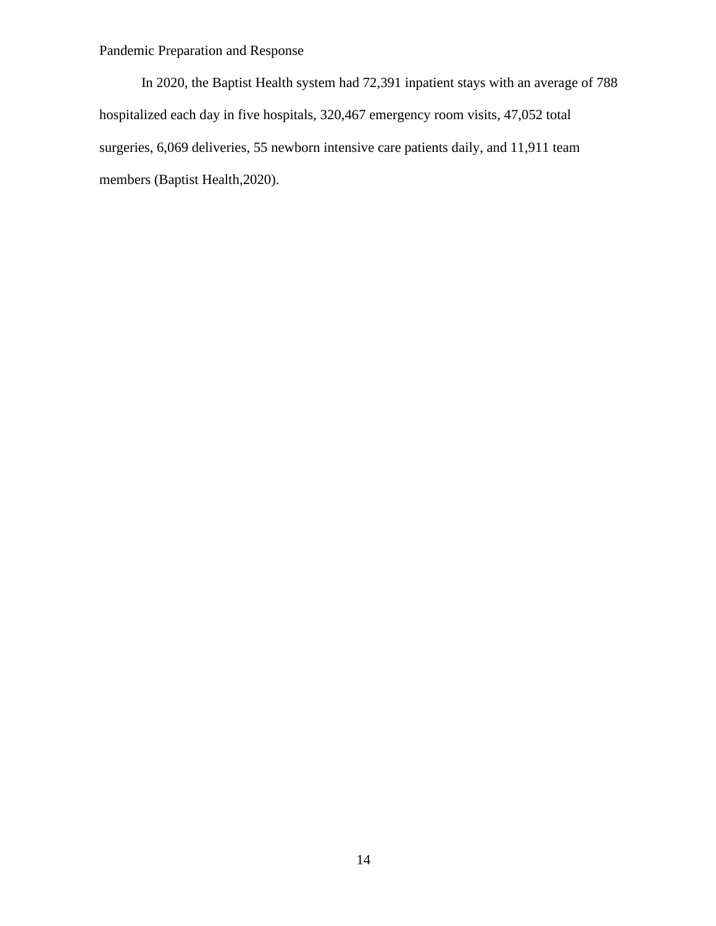In 2020, the Baptist Health system had 72,391 inpatient stays with an average of 788 hospitalized each day in five hospitals, 320,467 emergency room visits, 47,052 total surgeries, 6,069 deliveries, 55 newborn intensive care patients daily, and 11,911 team members (Baptist Health,2020).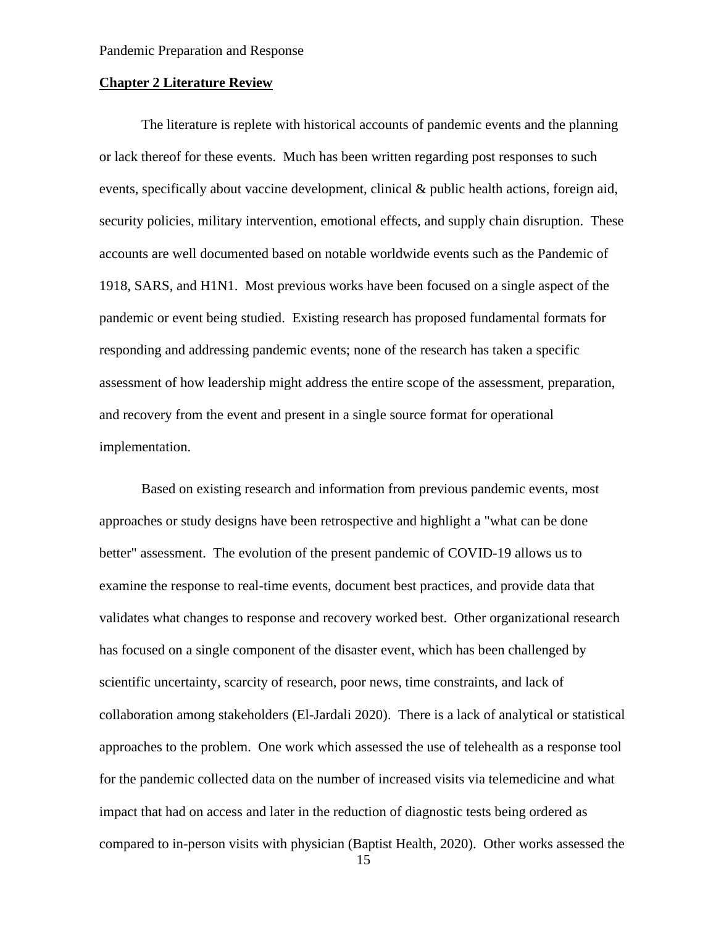#### **Chapter 2 Literature Review**

The literature is replete with historical accounts of pandemic events and the planning or lack thereof for these events. Much has been written regarding post responses to such events, specifically about vaccine development, clinical & public health actions, foreign aid, security policies, military intervention, emotional effects, and supply chain disruption. These accounts are well documented based on notable worldwide events such as the Pandemic of 1918, SARS, and H1N1. Most previous works have been focused on a single aspect of the pandemic or event being studied. Existing research has proposed fundamental formats for responding and addressing pandemic events; none of the research has taken a specific assessment of how leadership might address the entire scope of the assessment, preparation, and recovery from the event and present in a single source format for operational implementation.

Based on existing research and information from previous pandemic events, most approaches or study designs have been retrospective and highlight a "what can be done better" assessment. The evolution of the present pandemic of COVID-19 allows us to examine the response to real-time events, document best practices, and provide data that validates what changes to response and recovery worked best. Other organizational research has focused on a single component of the disaster event, which has been challenged by scientific uncertainty, scarcity of research, poor news, time constraints, and lack of collaboration among stakeholders (El-Jardali 2020). There is a lack of analytical or statistical approaches to the problem. One work which assessed the use of telehealth as a response tool for the pandemic collected data on the number of increased visits via telemedicine and what impact that had on access and later in the reduction of diagnostic tests being ordered as compared to in-person visits with physician (Baptist Health, 2020). Other works assessed the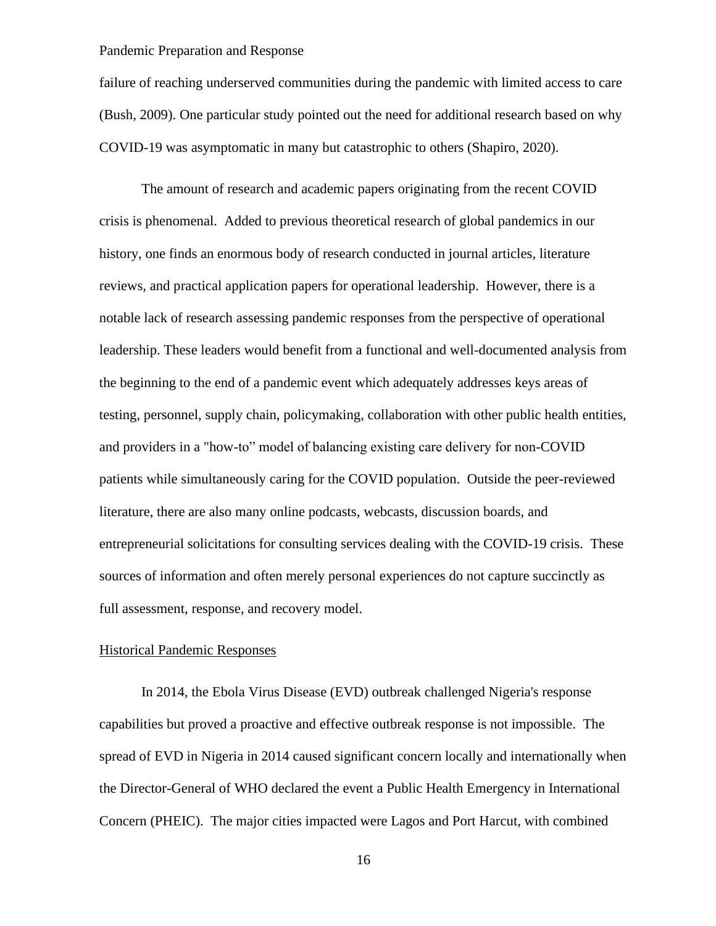failure of reaching underserved communities during the pandemic with limited access to care (Bush, 2009). One particular study pointed out the need for additional research based on why COVID-19 was asymptomatic in many but catastrophic to others (Shapiro, 2020).

The amount of research and academic papers originating from the recent COVID crisis is phenomenal. Added to previous theoretical research of global pandemics in our history, one finds an enormous body of research conducted in journal articles, literature reviews, and practical application papers for operational leadership. However, there is a notable lack of research assessing pandemic responses from the perspective of operational leadership. These leaders would benefit from a functional and well-documented analysis from the beginning to the end of a pandemic event which adequately addresses keys areas of testing, personnel, supply chain, policymaking, collaboration with other public health entities, and providers in a "how-to" model of balancing existing care delivery for non-COVID patients while simultaneously caring for the COVID population. Outside the peer-reviewed literature, there are also many online podcasts, webcasts, discussion boards, and entrepreneurial solicitations for consulting services dealing with the COVID-19 crisis. These sources of information and often merely personal experiences do not capture succinctly as full assessment, response, and recovery model.

### Historical Pandemic Responses

In 2014, the Ebola Virus Disease (EVD) outbreak challenged Nigeria's response capabilities but proved a proactive and effective outbreak response is not impossible. The spread of EVD in Nigeria in 2014 caused significant concern locally and internationally when the Director-General of WHO declared the event a Public Health Emergency in International Concern (PHEIC). The major cities impacted were Lagos and Port Harcut, with combined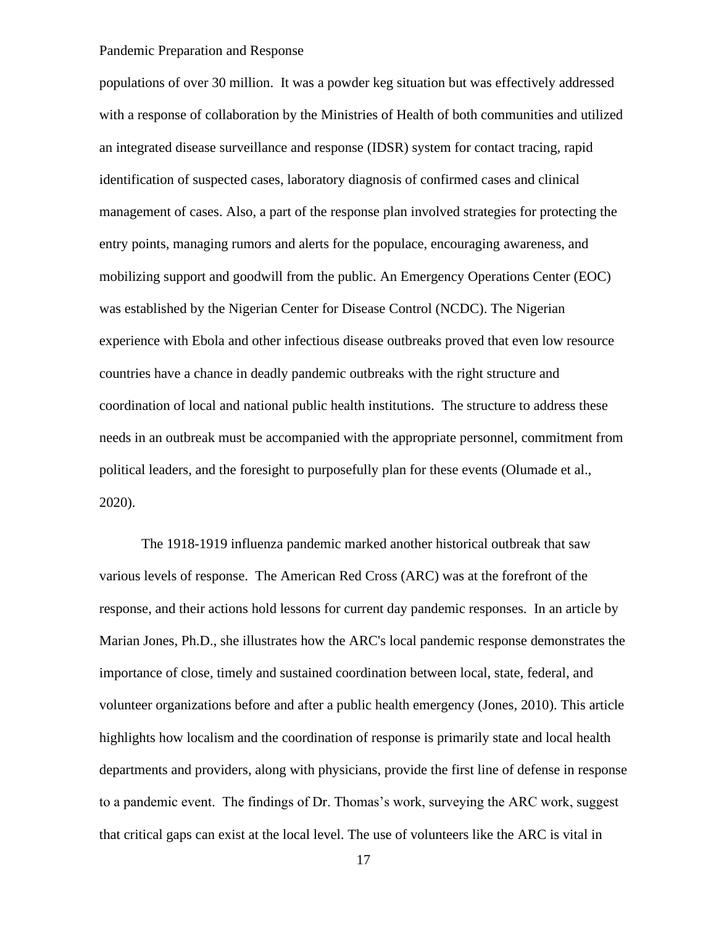populations of over 30 million. It was a powder keg situation but was effectively addressed with a response of collaboration by the Ministries of Health of both communities and utilized an integrated disease surveillance and response (IDSR) system for contact tracing, rapid identification of suspected cases, laboratory diagnosis of confirmed cases and clinical management of cases. Also, a part of the response plan involved strategies for protecting the entry points, managing rumors and alerts for the populace, encouraging awareness, and mobilizing support and goodwill from the public. An Emergency Operations Center (EOC) was established by the Nigerian Center for Disease Control (NCDC). The Nigerian experience with Ebola and other infectious disease outbreaks proved that even low resource countries have a chance in deadly pandemic outbreaks with the right structure and coordination of local and national public health institutions. The structure to address these needs in an outbreak must be accompanied with the appropriate personnel, commitment from political leaders, and the foresight to purposefully plan for these events (Olumade et al., 2020).

The 1918-1919 influenza pandemic marked another historical outbreak that saw various levels of response. The American Red Cross (ARC) was at the forefront of the response, and their actions hold lessons for current day pandemic responses. In an article by Marian Jones, Ph.D., she illustrates how the ARC's local pandemic response demonstrates the importance of close, timely and sustained coordination between local, state, federal, and volunteer organizations before and after a public health emergency (Jones, 2010). This article highlights how localism and the coordination of response is primarily state and local health departments and providers, along with physicians, provide the first line of defense in response to a pandemic event. The findings of Dr. Thomas's work, surveying the ARC work, suggest that critical gaps can exist at the local level. The use of volunteers like the ARC is vital in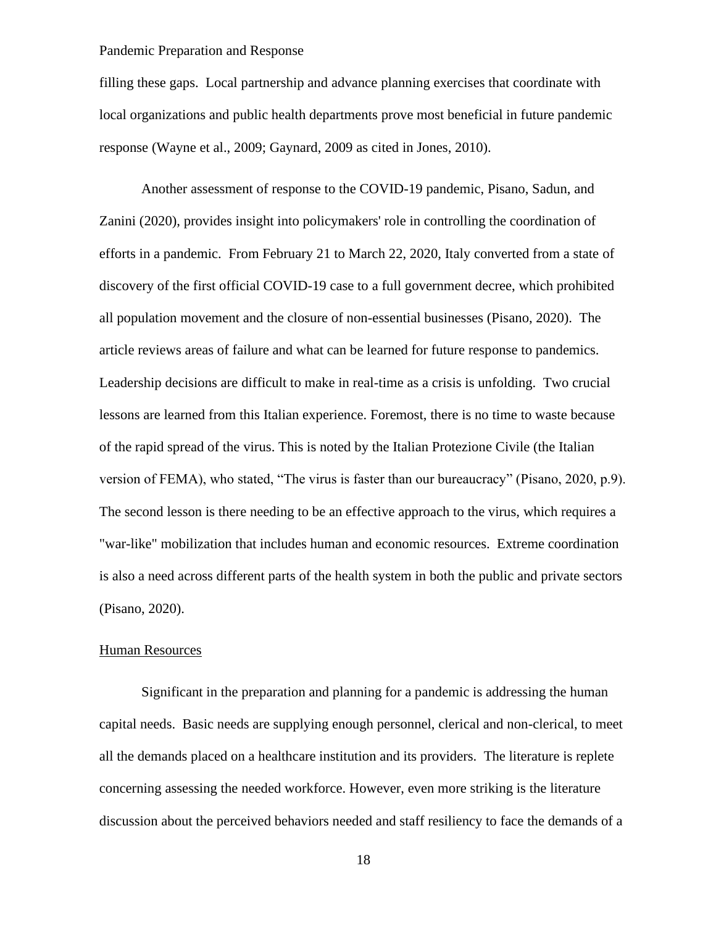filling these gaps. Local partnership and advance planning exercises that coordinate with local organizations and public health departments prove most beneficial in future pandemic response (Wayne et al., 2009; Gaynard, 2009 as cited in Jones, 2010).

Another assessment of response to the COVID-19 pandemic, Pisano, Sadun, and Zanini (2020), provides insight into policymakers' role in controlling the coordination of efforts in a pandemic. From February 21 to March 22, 2020, Italy converted from a state of discovery of the first official COVID-19 case to a full government decree, which prohibited all population movement and the closure of non-essential businesses (Pisano, 2020). The article reviews areas of failure and what can be learned for future response to pandemics. Leadership decisions are difficult to make in real-time as a crisis is unfolding. Two crucial lessons are learned from this Italian experience. Foremost, there is no time to waste because of the rapid spread of the virus. This is noted by the Italian Protezione Civile (the Italian version of FEMA), who stated, "The virus is faster than our bureaucracy" (Pisano, 2020, p.9). The second lesson is there needing to be an effective approach to the virus, which requires a "war-like" mobilization that includes human and economic resources. Extreme coordination is also a need across different parts of the health system in both the public and private sectors (Pisano, 2020).

### Human Resources

Significant in the preparation and planning for a pandemic is addressing the human capital needs. Basic needs are supplying enough personnel, clerical and non-clerical, to meet all the demands placed on a healthcare institution and its providers. The literature is replete concerning assessing the needed workforce. However, even more striking is the literature discussion about the perceived behaviors needed and staff resiliency to face the demands of a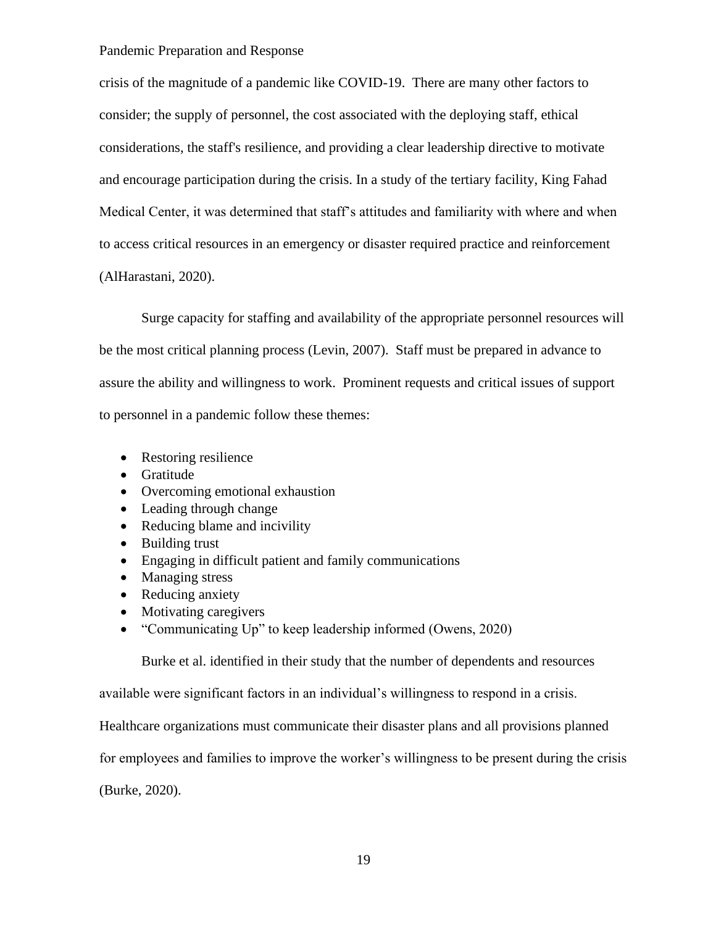crisis of the magnitude of a pandemic like COVID-19. There are many other factors to consider; the supply of personnel, the cost associated with the deploying staff, ethical considerations, the staff's resilience, and providing a clear leadership directive to motivate and encourage participation during the crisis. In a study of the tertiary facility, King Fahad Medical Center, it was determined that staff's attitudes and familiarity with where and when to access critical resources in an emergency or disaster required practice and reinforcement (AlHarastani, 2020).

Surge capacity for staffing and availability of the appropriate personnel resources will be the most critical planning process (Levin, 2007). Staff must be prepared in advance to assure the ability and willingness to work. Prominent requests and critical issues of support to personnel in a pandemic follow these themes:

- Restoring resilience
- Gratitude
- Overcoming emotional exhaustion
- Leading through change
- Reducing blame and incivility
- Building trust
- Engaging in difficult patient and family communications
- Managing stress
- Reducing anxiety
- Motivating caregivers
- "Communicating Up" to keep leadership informed (Owens, 2020)

Burke et al. identified in their study that the number of dependents and resources

available were significant factors in an individual's willingness to respond in a crisis.

Healthcare organizations must communicate their disaster plans and all provisions planned

for employees and families to improve the worker's willingness to be present during the crisis

(Burke, 2020).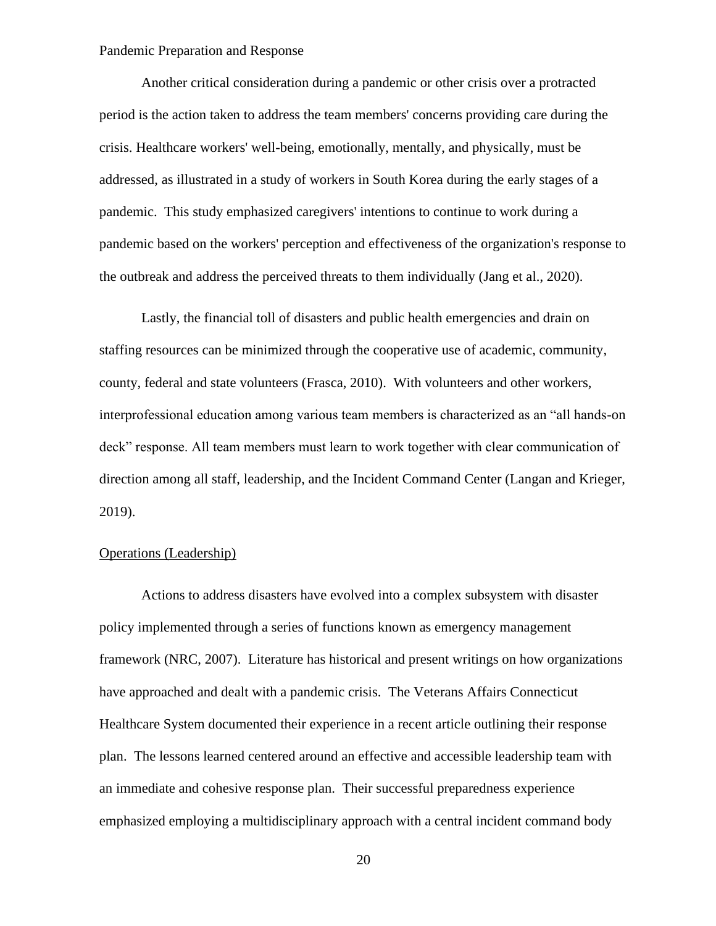Another critical consideration during a pandemic or other crisis over a protracted period is the action taken to address the team members' concerns providing care during the crisis. Healthcare workers' well-being, emotionally, mentally, and physically, must be addressed, as illustrated in a study of workers in South Korea during the early stages of a pandemic. This study emphasized caregivers' intentions to continue to work during a pandemic based on the workers' perception and effectiveness of the organization's response to the outbreak and address the perceived threats to them individually (Jang et al., 2020).

Lastly, the financial toll of disasters and public health emergencies and drain on staffing resources can be minimized through the cooperative use of academic, community, county, federal and state volunteers (Frasca, 2010). With volunteers and other workers, interprofessional education among various team members is characterized as an "all hands-on deck" response. All team members must learn to work together with clear communication of direction among all staff, leadership, and the Incident Command Center (Langan and Krieger, 2019).

## Operations (Leadership)

Actions to address disasters have evolved into a complex subsystem with disaster policy implemented through a series of functions known as emergency management framework (NRC, 2007). Literature has historical and present writings on how organizations have approached and dealt with a pandemic crisis. The Veterans Affairs Connecticut Healthcare System documented their experience in a recent article outlining their response plan. The lessons learned centered around an effective and accessible leadership team with an immediate and cohesive response plan. Their successful preparedness experience emphasized employing a multidisciplinary approach with a central incident command body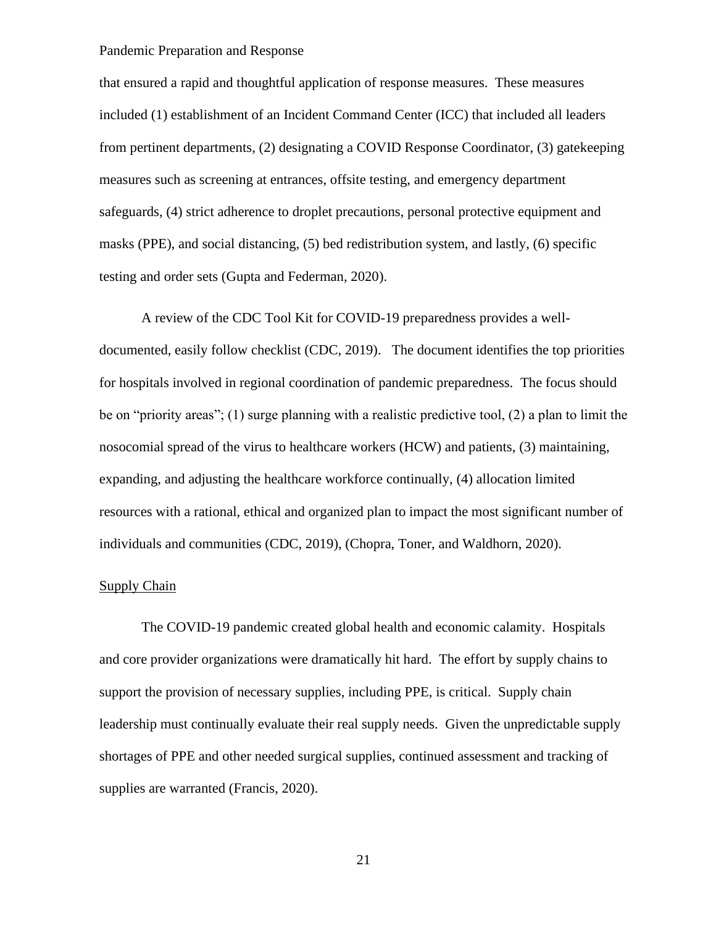that ensured a rapid and thoughtful application of response measures. These measures included (1) establishment of an Incident Command Center (ICC) that included all leaders from pertinent departments, (2) designating a COVID Response Coordinator, (3) gatekeeping measures such as screening at entrances, offsite testing, and emergency department safeguards, (4) strict adherence to droplet precautions, personal protective equipment and masks (PPE), and social distancing, (5) bed redistribution system, and lastly, (6) specific testing and order sets (Gupta and Federman, 2020).

A review of the CDC Tool Kit for COVID-19 preparedness provides a welldocumented, easily follow checklist (CDC, 2019). The document identifies the top priorities for hospitals involved in regional coordination of pandemic preparedness. The focus should be on "priority areas"; (1) surge planning with a realistic predictive tool, (2) a plan to limit the nosocomial spread of the virus to healthcare workers (HCW) and patients, (3) maintaining, expanding, and adjusting the healthcare workforce continually, (4) allocation limited resources with a rational, ethical and organized plan to impact the most significant number of individuals and communities (CDC, 2019), (Chopra, Toner, and Waldhorn, 2020).

## Supply Chain

The COVID-19 pandemic created global health and economic calamity. Hospitals and core provider organizations were dramatically hit hard. The effort by supply chains to support the provision of necessary supplies, including PPE, is critical. Supply chain leadership must continually evaluate their real supply needs. Given the unpredictable supply shortages of PPE and other needed surgical supplies, continued assessment and tracking of supplies are warranted (Francis, 2020).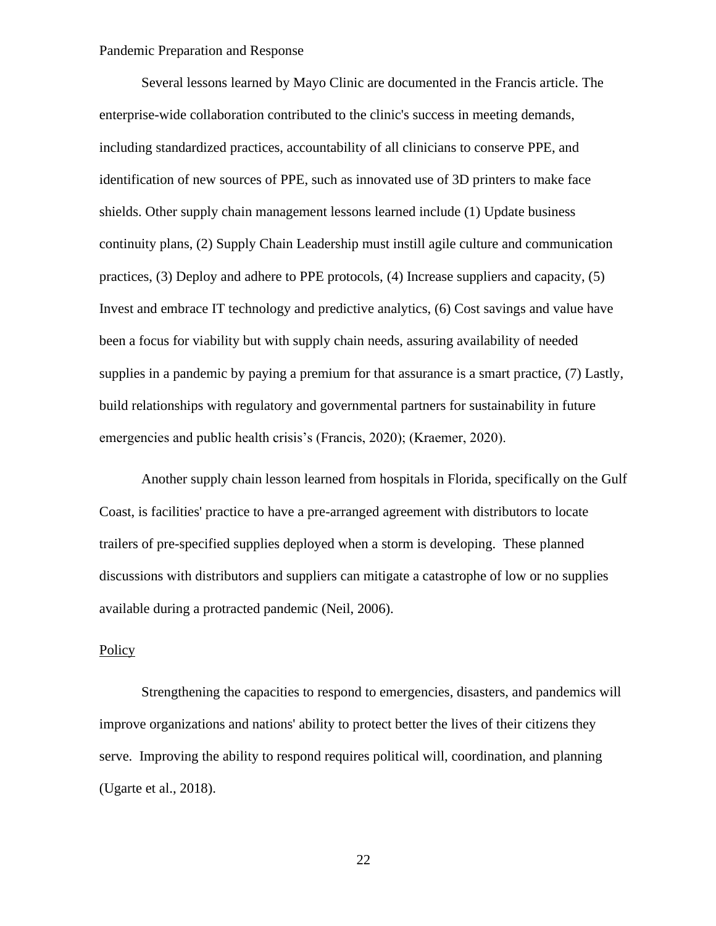Several lessons learned by Mayo Clinic are documented in the Francis article. The enterprise-wide collaboration contributed to the clinic's success in meeting demands, including standardized practices, accountability of all clinicians to conserve PPE, and identification of new sources of PPE, such as innovated use of 3D printers to make face shields. Other supply chain management lessons learned include (1) Update business continuity plans, (2) Supply Chain Leadership must instill agile culture and communication practices, (3) Deploy and adhere to PPE protocols, (4) Increase suppliers and capacity, (5) Invest and embrace IT technology and predictive analytics, (6) Cost savings and value have been a focus for viability but with supply chain needs, assuring availability of needed supplies in a pandemic by paying a premium for that assurance is a smart practice, (7) Lastly, build relationships with regulatory and governmental partners for sustainability in future emergencies and public health crisis's (Francis, 2020); (Kraemer, 2020).

Another supply chain lesson learned from hospitals in Florida, specifically on the Gulf Coast, is facilities' practice to have a pre-arranged agreement with distributors to locate trailers of pre-specified supplies deployed when a storm is developing. These planned discussions with distributors and suppliers can mitigate a catastrophe of low or no supplies available during a protracted pandemic (Neil, 2006).

#### Policy

Strengthening the capacities to respond to emergencies, disasters, and pandemics will improve organizations and nations' ability to protect better the lives of their citizens they serve. Improving the ability to respond requires political will, coordination, and planning (Ugarte et al., 2018).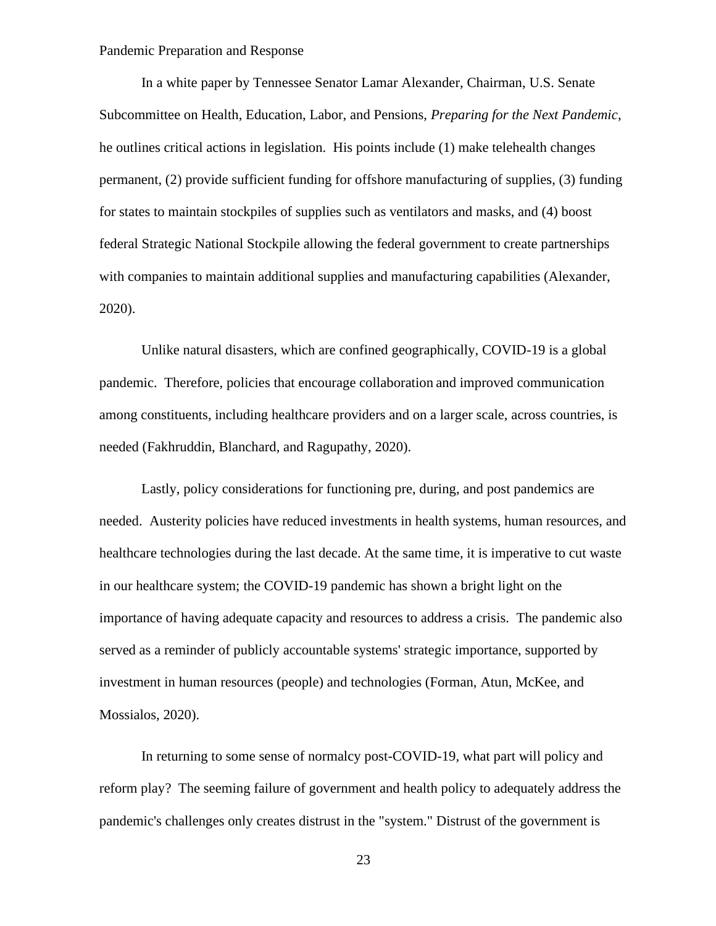In a white paper by Tennessee Senator Lamar Alexander, Chairman, U.S. Senate Subcommittee on Health, Education, Labor, and Pensions, *Preparing for the Next Pandemic*, he outlines critical actions in legislation. His points include (1) make telehealth changes permanent, (2) provide sufficient funding for offshore manufacturing of supplies, (3) funding for states to maintain stockpiles of supplies such as ventilators and masks, and (4) boost federal Strategic National Stockpile allowing the federal government to create partnerships with companies to maintain additional supplies and manufacturing capabilities (Alexander, 2020).

Unlike natural disasters, which are confined geographically, COVID-19 is a global pandemic. Therefore, policies that encourage collaboration and improved communication among constituents, including healthcare providers and on a larger scale, across countries, is needed (Fakhruddin, Blanchard, and Ragupathy, 2020).

Lastly, policy considerations for functioning pre, during, and post pandemics are needed. Austerity policies have reduced investments in health systems, human resources, and healthcare technologies during the last decade. At the same time, it is imperative to cut waste in our healthcare system; the COVID-19 pandemic has shown a bright light on the importance of having adequate capacity and resources to address a crisis. The pandemic also served as a reminder of publicly accountable systems' strategic importance, supported by investment in human resources (people) and technologies (Forman, Atun, McKee, and Mossialos, 2020).

In returning to some sense of normalcy post-COVID-19, what part will policy and reform play? The seeming failure of government and health policy to adequately address the pandemic's challenges only creates distrust in the "system." Distrust of the government is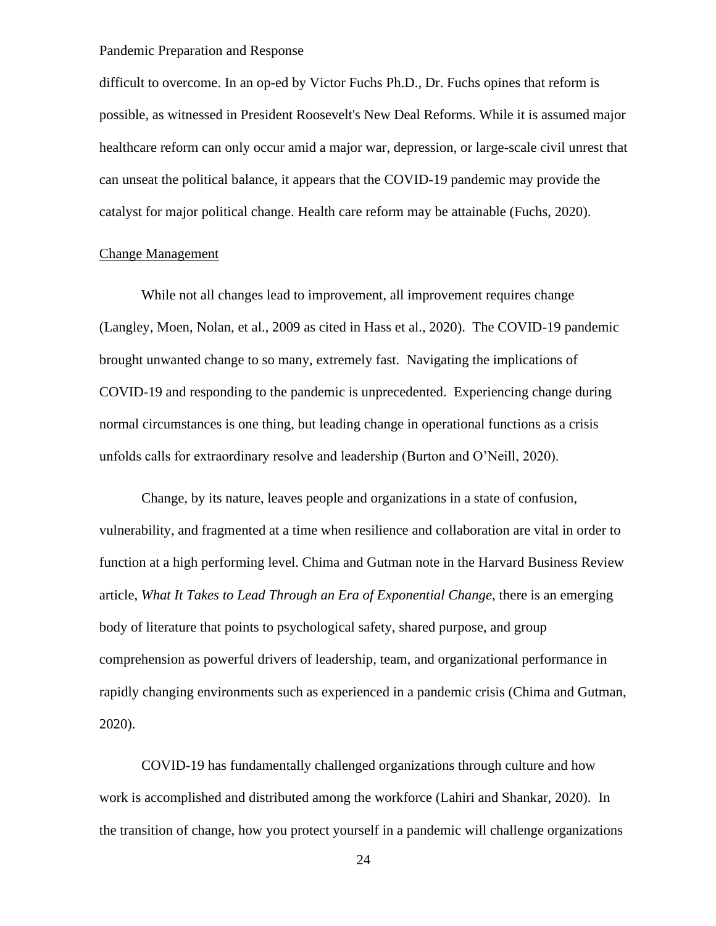difficult to overcome. In an op-ed by Victor Fuchs Ph.D., Dr. Fuchs opines that reform is possible, as witnessed in President Roosevelt's New Deal Reforms. While it is assumed major healthcare reform can only occur amid a major war, depression, or large-scale civil unrest that can unseat the political balance, it appears that the COVID-19 pandemic may provide the catalyst for major political change. Health care reform may be attainable (Fuchs, 2020).

#### Change Management

While not all changes lead to improvement, all improvement requires change (Langley, Moen, Nolan, et al., 2009 as cited in Hass et al., 2020). The COVID-19 pandemic brought unwanted change to so many, extremely fast. Navigating the implications of COVID-19 and responding to the pandemic is unprecedented. Experiencing change during normal circumstances is one thing, but leading change in operational functions as a crisis unfolds calls for extraordinary resolve and leadership (Burton and O'Neill, 2020).

Change, by its nature, leaves people and organizations in a state of confusion, vulnerability, and fragmented at a time when resilience and collaboration are vital in order to function at a high performing level. Chima and Gutman note in the Harvard Business Review article, *What It Takes to Lead Through an Era of Exponential Change*, there is an emerging body of literature that points to psychological safety, shared purpose, and group comprehension as powerful drivers of leadership, team, and organizational performance in rapidly changing environments such as experienced in a pandemic crisis (Chima and Gutman, 2020).

COVID-19 has fundamentally challenged organizations through culture and how work is accomplished and distributed among the workforce (Lahiri and Shankar, 2020). In the transition of change, how you protect yourself in a pandemic will challenge organizations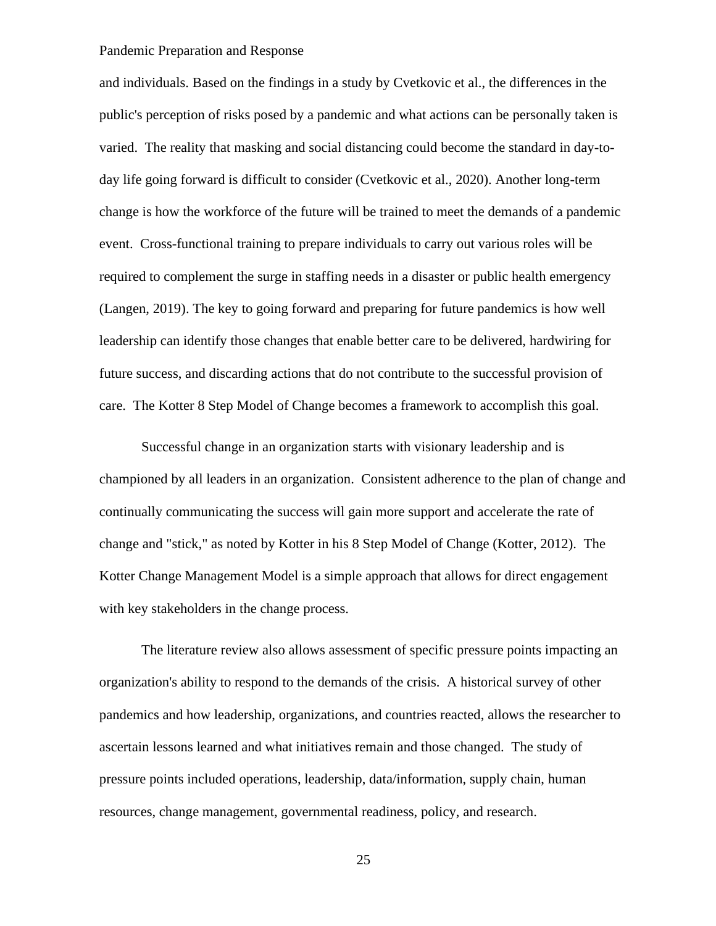and individuals. Based on the findings in a study by Cvetkovic et al., the differences in the public's perception of risks posed by a pandemic and what actions can be personally taken is varied. The reality that masking and social distancing could become the standard in day-today life going forward is difficult to consider (Cvetkovic et al., 2020). Another long-term change is how the workforce of the future will be trained to meet the demands of a pandemic event. Cross-functional training to prepare individuals to carry out various roles will be required to complement the surge in staffing needs in a disaster or public health emergency (Langen, 2019). The key to going forward and preparing for future pandemics is how well leadership can identify those changes that enable better care to be delivered, hardwiring for future success, and discarding actions that do not contribute to the successful provision of care. The Kotter 8 Step Model of Change becomes a framework to accomplish this goal.

Successful change in an organization starts with visionary leadership and is championed by all leaders in an organization. Consistent adherence to the plan of change and continually communicating the success will gain more support and accelerate the rate of change and "stick," as noted by Kotter in his 8 Step Model of Change (Kotter, 2012). The Kotter Change Management Model is a simple approach that allows for direct engagement with key stakeholders in the change process.

The literature review also allows assessment of specific pressure points impacting an organization's ability to respond to the demands of the crisis. A historical survey of other pandemics and how leadership, organizations, and countries reacted, allows the researcher to ascertain lessons learned and what initiatives remain and those changed. The study of pressure points included operations, leadership, data/information, supply chain, human resources, change management, governmental readiness, policy, and research.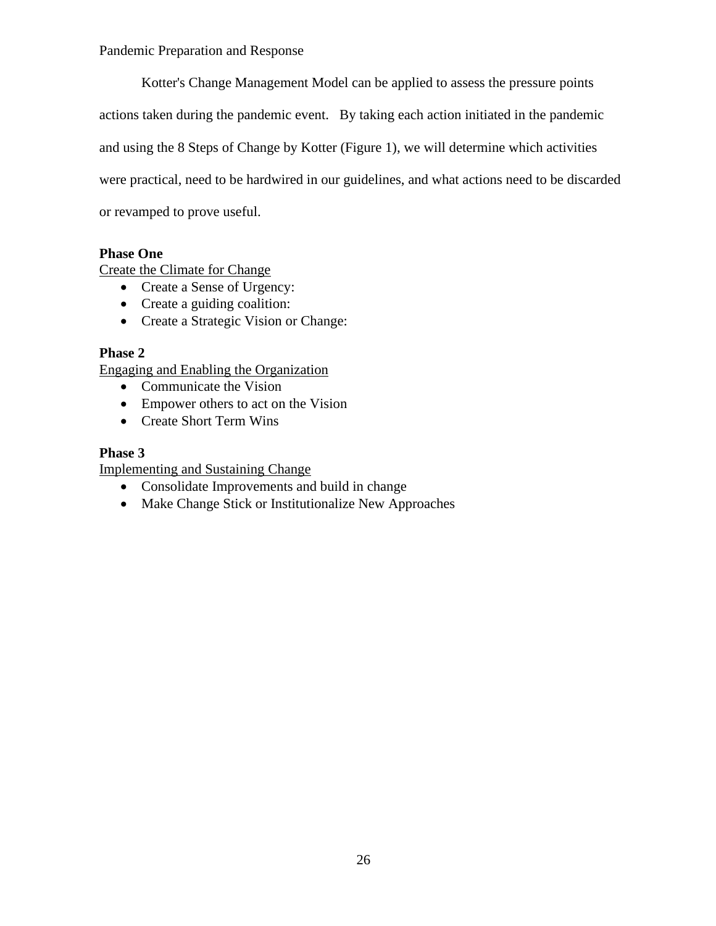Kotter's Change Management Model can be applied to assess the pressure points actions taken during the pandemic event. By taking each action initiated in the pandemic and using the 8 Steps of Change by Kotter (Figure 1), we will determine which activities were practical, need to be hardwired in our guidelines, and what actions need to be discarded or revamped to prove useful.

## **Phase One**

Create the Climate for Change

- Create a Sense of Urgency:
- Create a guiding coalition:
- Create a Strategic Vision or Change:

## **Phase 2**

Engaging and Enabling the Organization

- Communicate the Vision
- Empower others to act on the Vision
- Create Short Term Wins

## **Phase 3**

Implementing and Sustaining Change

- Consolidate Improvements and build in change
- Make Change Stick or Institutionalize New Approaches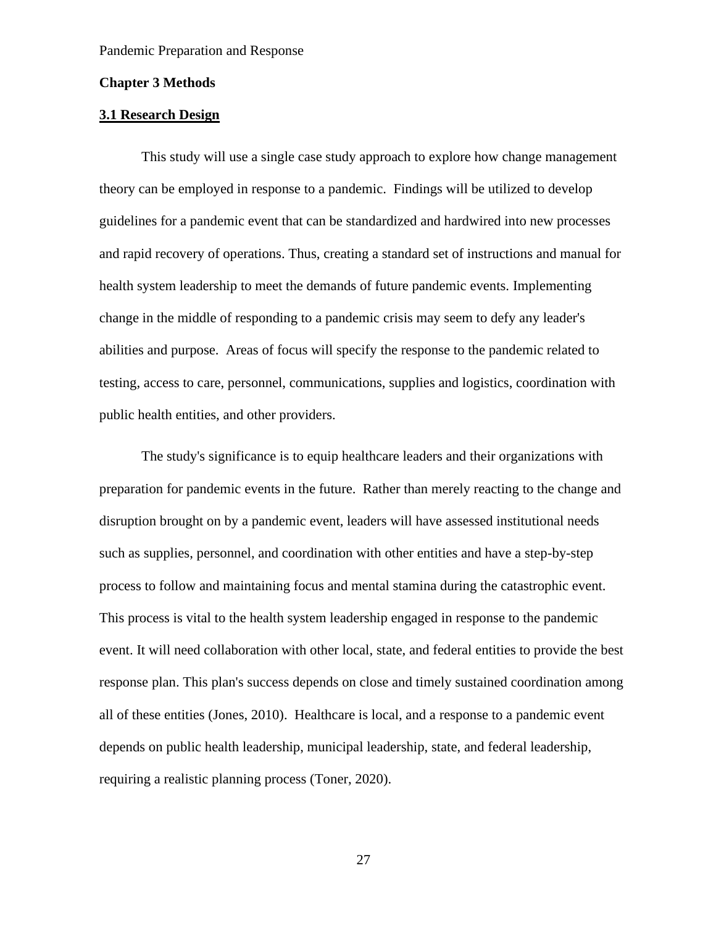#### **Chapter 3 Methods**

### **3.1 Research Design**

This study will use a single case study approach to explore how change management theory can be employed in response to a pandemic. Findings will be utilized to develop guidelines for a pandemic event that can be standardized and hardwired into new processes and rapid recovery of operations. Thus, creating a standard set of instructions and manual for health system leadership to meet the demands of future pandemic events. Implementing change in the middle of responding to a pandemic crisis may seem to defy any leader's abilities and purpose. Areas of focus will specify the response to the pandemic related to testing, access to care, personnel, communications, supplies and logistics, coordination with public health entities, and other providers.

 The study's significance is to equip healthcare leaders and their organizations with preparation for pandemic events in the future. Rather than merely reacting to the change and disruption brought on by a pandemic event, leaders will have assessed institutional needs such as supplies, personnel, and coordination with other entities and have a step-by-step process to follow and maintaining focus and mental stamina during the catastrophic event. This process is vital to the health system leadership engaged in response to the pandemic event. It will need collaboration with other local, state, and federal entities to provide the best response plan. This plan's success depends on close and timely sustained coordination among all of these entities (Jones, 2010). Healthcare is local, and a response to a pandemic event depends on public health leadership, municipal leadership, state, and federal leadership, requiring a realistic planning process (Toner, 2020).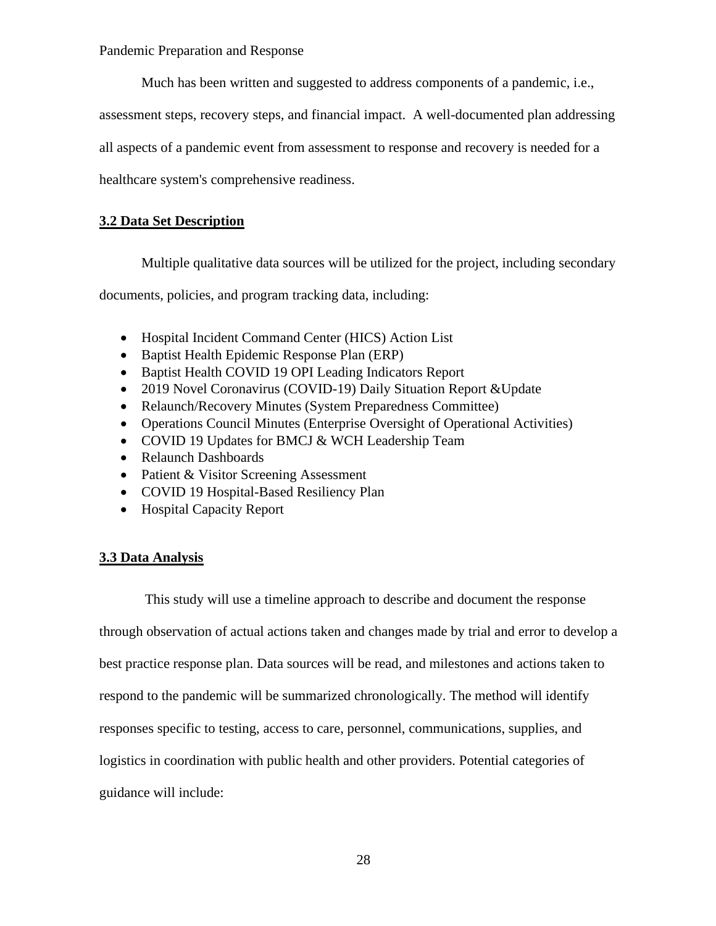Much has been written and suggested to address components of a pandemic, i.e.,

assessment steps, recovery steps, and financial impact. A well-documented plan addressing

all aspects of a pandemic event from assessment to response and recovery is needed for a

healthcare system's comprehensive readiness.

## **3.2 Data Set Description**

Multiple qualitative data sources will be utilized for the project, including secondary

documents, policies, and program tracking data, including:

- Hospital Incident Command Center (HICS) Action List
- Baptist Health Epidemic Response Plan (ERP)
- Baptist Health COVID 19 OPI Leading Indicators Report
- 2019 Novel Coronavirus (COVID-19) Daily Situation Report & Update
- Relaunch/Recovery Minutes (System Preparedness Committee)
- Operations Council Minutes (Enterprise Oversight of Operational Activities)
- COVID 19 Updates for BMCJ & WCH Leadership Team
- Relaunch Dashboards
- Patient & Visitor Screening Assessment
- COVID 19 Hospital-Based Resiliency Plan
- Hospital Capacity Report

## **3.3 Data Analysis**

This study will use a timeline approach to describe and document the response through observation of actual actions taken and changes made by trial and error to develop a best practice response plan. Data sources will be read, and milestones and actions taken to respond to the pandemic will be summarized chronologically. The method will identify responses specific to testing, access to care, personnel, communications, supplies, and logistics in coordination with public health and other providers. Potential categories of guidance will include: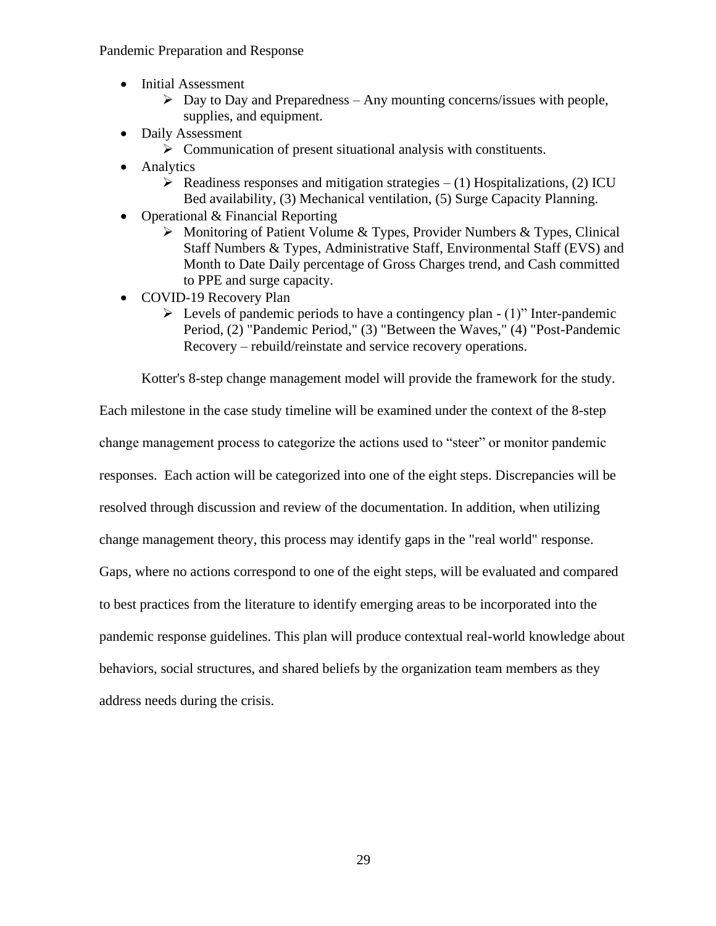- Initial Assessment
	- $\triangleright$  Day to Day and Preparedness Any mounting concerns/issues with people, supplies, and equipment.
- Daily Assessment
	- ➢ Communication of present situational analysis with constituents.
- Analytics
	- $\triangleright$  Readiness responses and mitigation strategies (1) Hospitalizations, (2) ICU Bed availability, (3) Mechanical ventilation, (5) Surge Capacity Planning.
- Operational & Financial Reporting
	- ➢ Monitoring of Patient Volume & Types, Provider Numbers & Types, Clinical Staff Numbers & Types, Administrative Staff, Environmental Staff (EVS) and Month to Date Daily percentage of Gross Charges trend, and Cash committed to PPE and surge capacity.
- COVID-19 Recovery Plan
	- $\triangleright$  Levels of pandemic periods to have a contingency plan (1)" Inter-pandemic Period, (2) "Pandemic Period," (3) "Between the Waves," (4) "Post-Pandemic Recovery – rebuild/reinstate and service recovery operations.

Kotter's 8-step change management model will provide the framework for the study.

Each milestone in the case study timeline will be examined under the context of the 8-step change management process to categorize the actions used to "steer" or monitor pandemic responses. Each action will be categorized into one of the eight steps. Discrepancies will be resolved through discussion and review of the documentation. In addition, when utilizing change management theory, this process may identify gaps in the "real world" response. Gaps, where no actions correspond to one of the eight steps, will be evaluated and compared to best practices from the literature to identify emerging areas to be incorporated into the pandemic response guidelines. This plan will produce contextual real-world knowledge about behaviors, social structures, and shared beliefs by the organization team members as they

address needs during the crisis.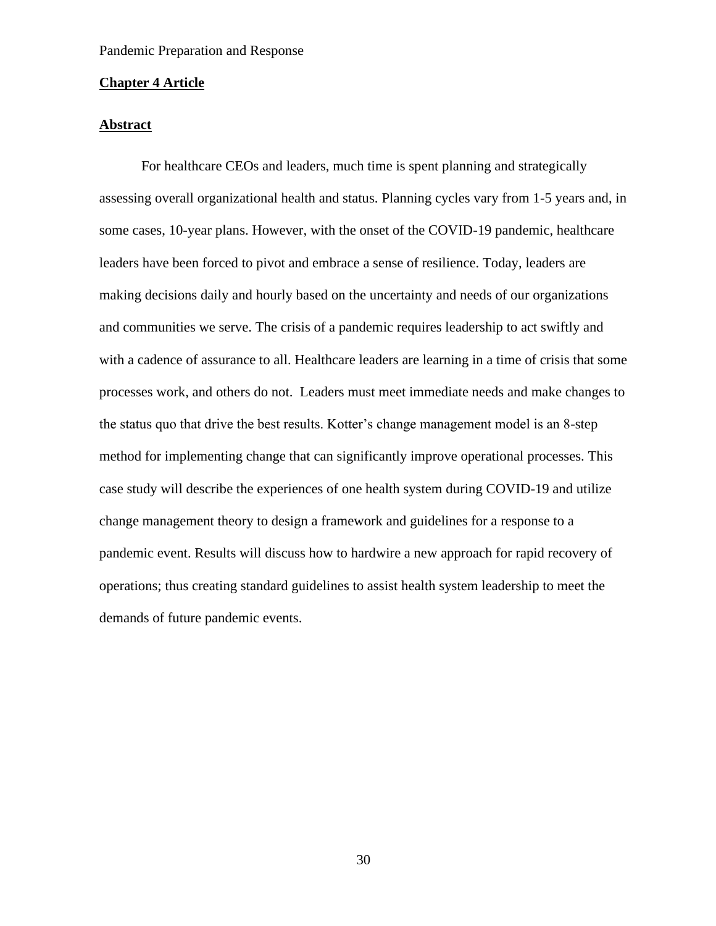#### **Chapter 4 Article**

## **Abstract**

For healthcare CEOs and leaders, much time is spent planning and strategically assessing overall organizational health and status. Planning cycles vary from 1-5 years and, in some cases, 10-year plans. However, with the onset of the COVID-19 pandemic, healthcare leaders have been forced to pivot and embrace a sense of resilience. Today, leaders are making decisions daily and hourly based on the uncertainty and needs of our organizations and communities we serve. The crisis of a pandemic requires leadership to act swiftly and with a cadence of assurance to all. Healthcare leaders are learning in a time of crisis that some processes work, and others do not. Leaders must meet immediate needs and make changes to the status quo that drive the best results. Kotter's change management model is an 8-step method for implementing change that can significantly improve operational processes. This case study will describe the experiences of one health system during COVID-19 and utilize change management theory to design a framework and guidelines for a response to a pandemic event. Results will discuss how to hardwire a new approach for rapid recovery of operations; thus creating standard guidelines to assist health system leadership to meet the demands of future pandemic events.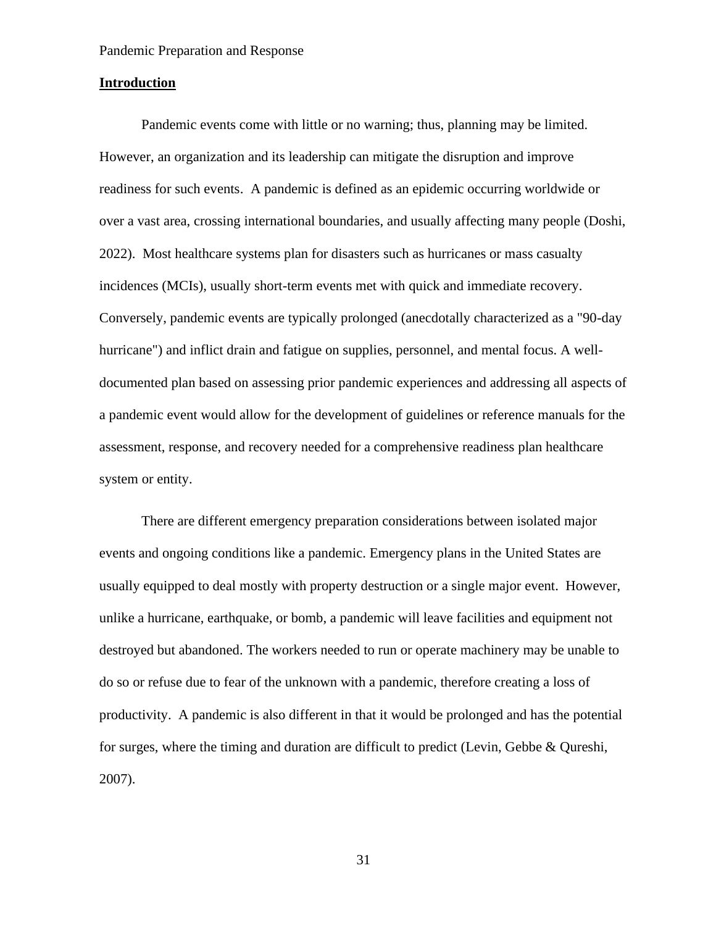#### **Introduction**

Pandemic events come with little or no warning; thus, planning may be limited. However, an organization and its leadership can mitigate the disruption and improve readiness for such events. A pandemic is defined as an epidemic occurring worldwide or over a vast area, crossing international boundaries, and usually affecting many people (Doshi, 2022). Most healthcare systems plan for disasters such as hurricanes or mass casualty incidences (MCIs), usually short-term events met with quick and immediate recovery. Conversely, pandemic events are typically prolonged (anecdotally characterized as a "90-day hurricane") and inflict drain and fatigue on supplies, personnel, and mental focus. A welldocumented plan based on assessing prior pandemic experiences and addressing all aspects of a pandemic event would allow for the development of guidelines or reference manuals for the assessment, response, and recovery needed for a comprehensive readiness plan healthcare system or entity.

There are different emergency preparation considerations between isolated major events and ongoing conditions like a pandemic. Emergency plans in the United States are usually equipped to deal mostly with property destruction or a single major event. However, unlike a hurricane, earthquake, or bomb, a pandemic will leave facilities and equipment not destroyed but abandoned. The workers needed to run or operate machinery may be unable to do so or refuse due to fear of the unknown with a pandemic, therefore creating a loss of productivity. A pandemic is also different in that it would be prolonged and has the potential for surges, where the timing and duration are difficult to predict (Levin, Gebbe & Qureshi, 2007).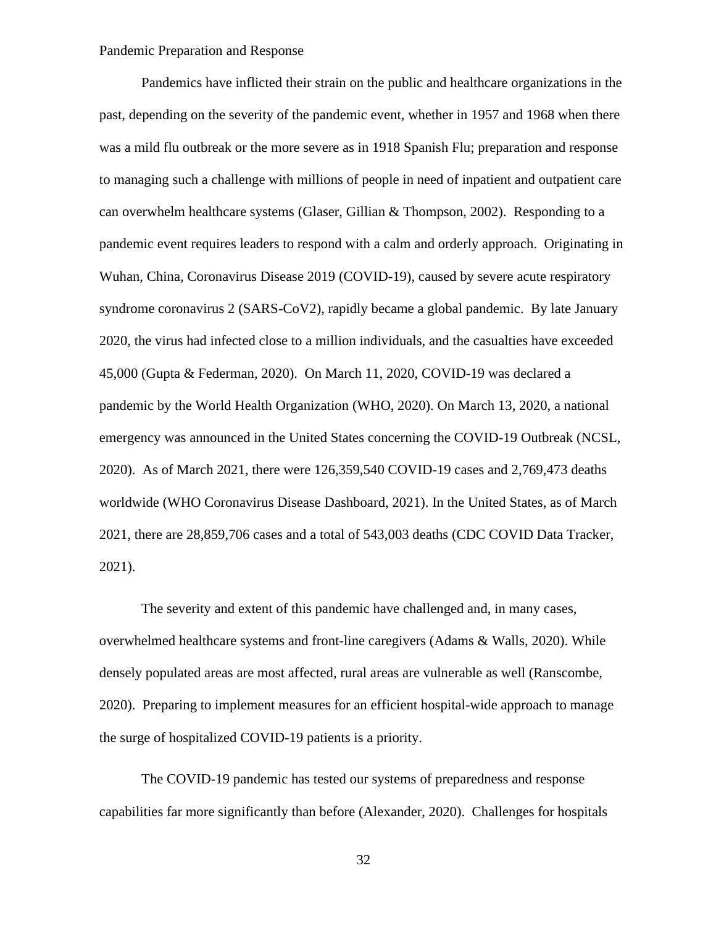Pandemics have inflicted their strain on the public and healthcare organizations in the past, depending on the severity of the pandemic event, whether in 1957 and 1968 when there was a mild flu outbreak or the more severe as in 1918 Spanish Flu; preparation and response to managing such a challenge with millions of people in need of inpatient and outpatient care can overwhelm healthcare systems (Glaser, Gillian & Thompson, 2002). Responding to a pandemic event requires leaders to respond with a calm and orderly approach. Originating in Wuhan, China, Coronavirus Disease 2019 (COVID-19), caused by severe acute respiratory syndrome coronavirus 2 (SARS-CoV2), rapidly became a global pandemic. By late January 2020, the virus had infected close to a million individuals, and the casualties have exceeded 45,000 (Gupta & Federman, 2020). On March 11, 2020, COVID-19 was declared a pandemic by the World Health Organization (WHO, 2020). On March 13, 2020, a national emergency was announced in the United States concerning the COVID-19 Outbreak (NCSL, 2020). As of March 2021, there were 126,359,540 COVID-19 cases and 2,769,473 deaths worldwide (WHO Coronavirus Disease Dashboard, 2021). In the United States, as of March 2021, there are 28,859,706 cases and a total of 543,003 deaths (CDC COVID Data Tracker, 2021).

The severity and extent of this pandemic have challenged and, in many cases, overwhelmed healthcare systems and front-line caregivers (Adams & Walls, 2020). While densely populated areas are most affected, rural areas are vulnerable as well (Ranscombe, 2020). Preparing to implement measures for an efficient hospital-wide approach to manage the surge of hospitalized COVID-19 patients is a priority.

The COVID-19 pandemic has tested our systems of preparedness and response capabilities far more significantly than before (Alexander, 2020). Challenges for hospitals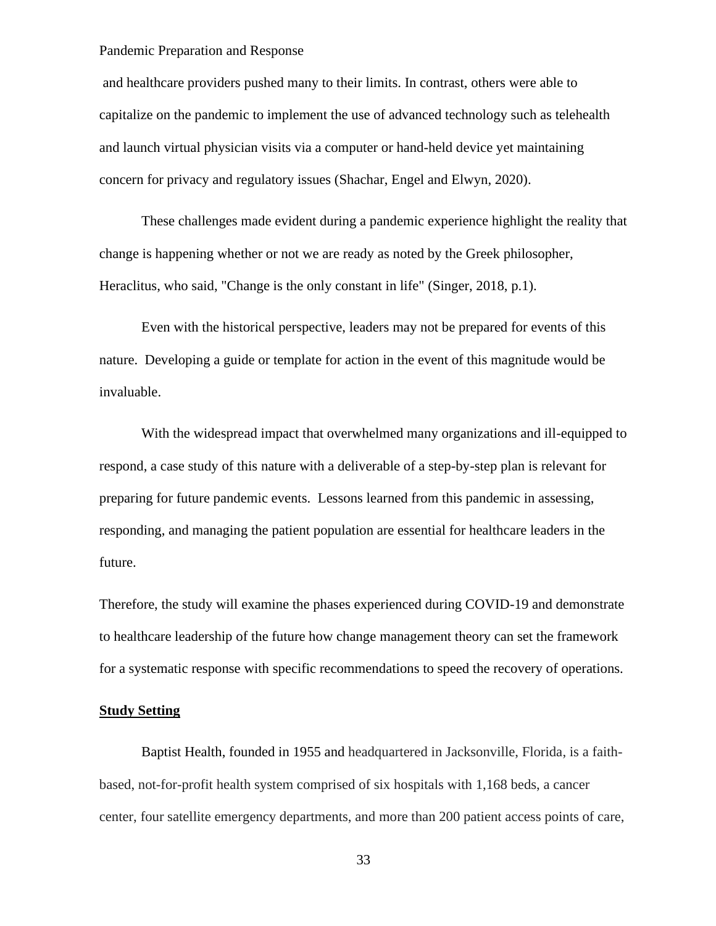and healthcare providers pushed many to their limits. In contrast, others were able to capitalize on the pandemic to implement the use of advanced technology such as telehealth and launch virtual physician visits via a computer or hand-held device yet maintaining concern for privacy and regulatory issues (Shachar, Engel and Elwyn, 2020).

These challenges made evident during a pandemic experience highlight the reality that change is happening whether or not we are ready as noted by the Greek philosopher, Heraclitus, who said, "Change is the only constant in life" (Singer, 2018, p.1).

Even with the historical perspective, leaders may not be prepared for events of this nature. Developing a guide or template for action in the event of this magnitude would be invaluable.

With the widespread impact that overwhelmed many organizations and ill-equipped to respond, a case study of this nature with a deliverable of a step-by-step plan is relevant for preparing for future pandemic events. Lessons learned from this pandemic in assessing, responding, and managing the patient population are essential for healthcare leaders in the future.

Therefore, the study will examine the phases experienced during COVID-19 and demonstrate to healthcare leadership of the future how change management theory can set the framework for a systematic response with specific recommendations to speed the recovery of operations.

#### **Study Setting**

Baptist Health, founded in 1955 and headquartered in Jacksonville, Florida, is a faithbased, not-for-profit health system comprised of six hospitals with 1,168 beds, a cancer center, four satellite emergency departments, and more than 200 patient access points of care,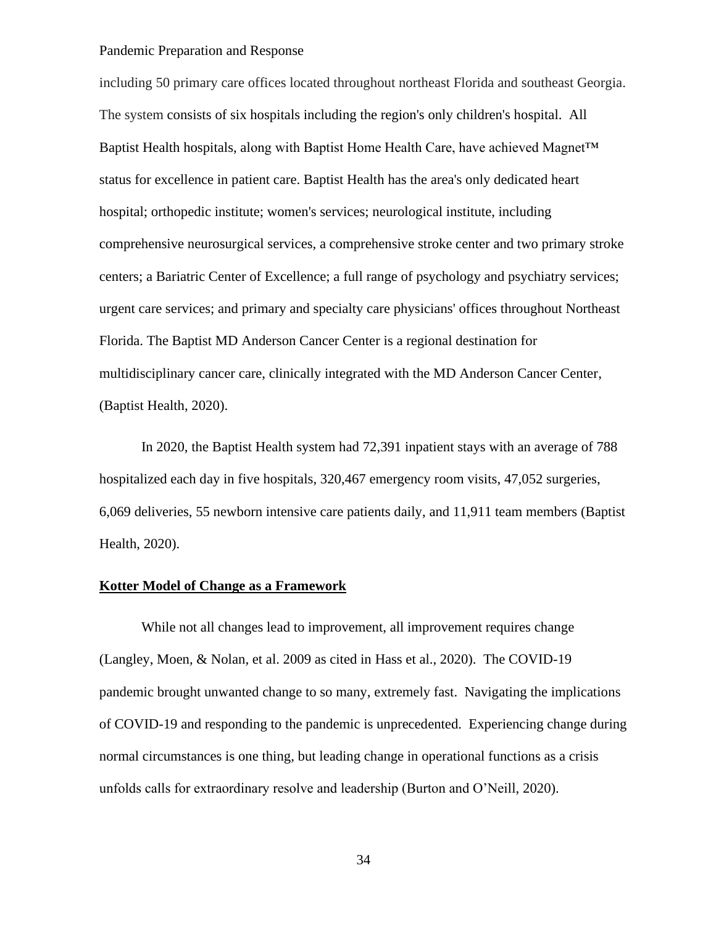including 50 primary care offices located throughout northeast Florida and southeast Georgia. The system consists of six hospitals including the region's only children's hospital. All Baptist Health hospitals, along with Baptist Home Health Care, have achieved Magnet™ status for excellence in patient care. Baptist Health has the area's only dedicated heart hospital; orthopedic institute; women's services; neurological institute, including comprehensive neurosurgical services, a comprehensive stroke center and two primary stroke centers; a Bariatric Center of Excellence; a full range of psychology and psychiatry services; urgent care services; and primary and specialty care physicians' offices throughout Northeast Florida. The Baptist MD Anderson Cancer Center is a regional destination for multidisciplinary cancer care, clinically integrated with the MD Anderson Cancer Center, (Baptist Health, 2020).

In 2020, the Baptist Health system had 72,391 inpatient stays with an average of 788 hospitalized each day in five hospitals, 320,467 emergency room visits, 47,052 surgeries, 6,069 deliveries, 55 newborn intensive care patients daily, and 11,911 team members (Baptist Health, 2020).

## **Kotter Model of Change as a Framework**

While not all changes lead to improvement, all improvement requires change (Langley, Moen, & Nolan, et al. 2009 as cited in Hass et al., 2020). The COVID-19 pandemic brought unwanted change to so many, extremely fast. Navigating the implications of COVID-19 and responding to the pandemic is unprecedented. Experiencing change during normal circumstances is one thing, but leading change in operational functions as a crisis unfolds calls for extraordinary resolve and leadership (Burton and O'Neill, 2020).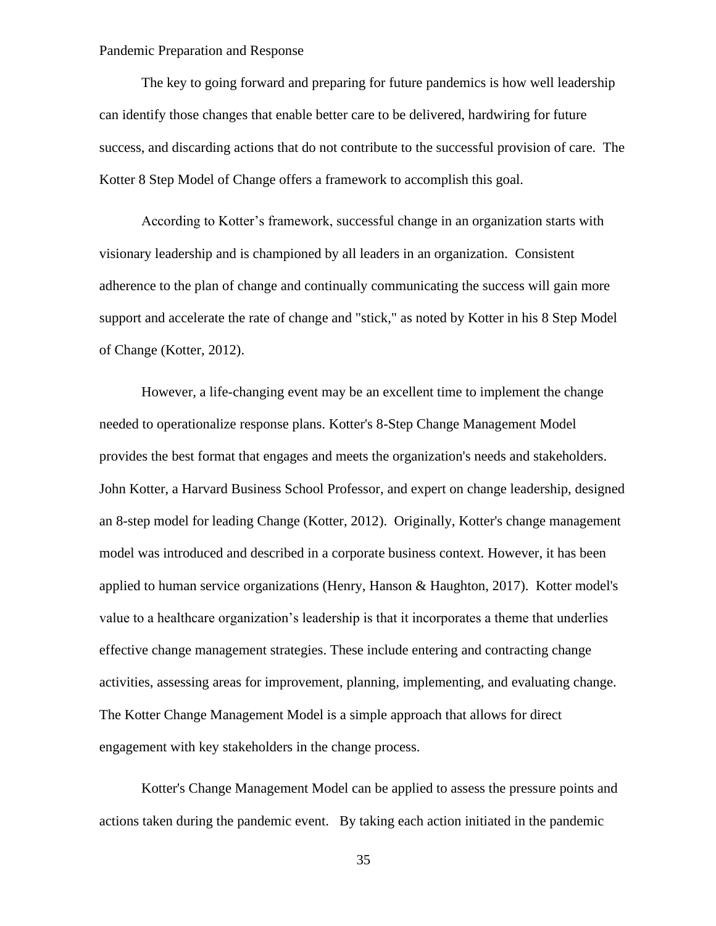The key to going forward and preparing for future pandemics is how well leadership can identify those changes that enable better care to be delivered, hardwiring for future success, and discarding actions that do not contribute to the successful provision of care. The Kotter 8 Step Model of Change offers a framework to accomplish this goal.

According to Kotter's framework, successful change in an organization starts with visionary leadership and is championed by all leaders in an organization. Consistent adherence to the plan of change and continually communicating the success will gain more support and accelerate the rate of change and "stick," as noted by Kotter in his 8 Step Model of Change (Kotter, 2012).

However, a life-changing event may be an excellent time to implement the change needed to operationalize response plans. Kotter's 8-Step Change Management Model provides the best format that engages and meets the organization's needs and stakeholders. John Kotter, a Harvard Business School Professor, and expert on change leadership, designed an 8-step model for leading Change (Kotter, 2012). Originally, Kotter's change management model was introduced and described in a corporate business context. However, it has been applied to human service organizations (Henry, Hanson & Haughton, 2017). Kotter model's value to a healthcare organization's leadership is that it incorporates a theme that underlies effective change management strategies. These include entering and contracting change activities, assessing areas for improvement, planning, implementing, and evaluating change. The Kotter Change Management Model is a simple approach that allows for direct engagement with key stakeholders in the change process.

Kotter's Change Management Model can be applied to assess the pressure points and actions taken during the pandemic event. By taking each action initiated in the pandemic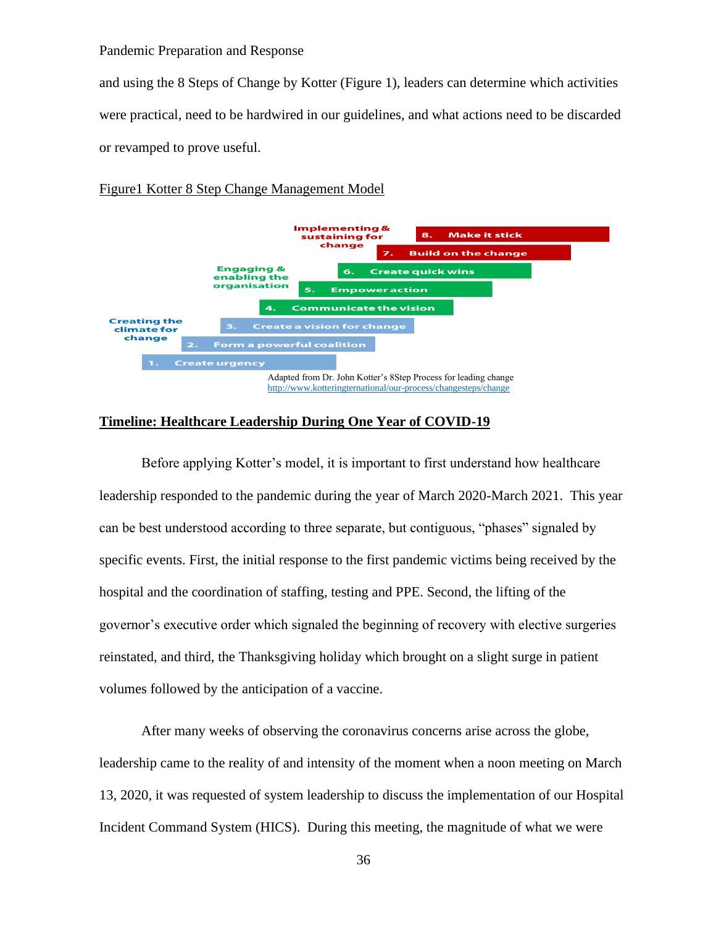and using the 8 Steps of Change by Kotter (Figure 1), leaders can determine which activities were practical, need to be hardwired in our guidelines, and what actions need to be discarded or revamped to prove useful.

### Figure1 Kotter 8 Step Change Management Model



#### **Timeline: Healthcare Leadership During One Year of COVID-19**

Before applying Kotter's model, it is important to first understand how healthcare leadership responded to the pandemic during the year of March 2020-March 2021. This year can be best understood according to three separate, but contiguous, "phases" signaled by specific events. First, the initial response to the first pandemic victims being received by the hospital and the coordination of staffing, testing and PPE. Second, the lifting of the governor's executive order which signaled the beginning of recovery with elective surgeries reinstated, and third, the Thanksgiving holiday which brought on a slight surge in patient volumes followed by the anticipation of a vaccine.

After many weeks of observing the coronavirus concerns arise across the globe, leadership came to the reality of and intensity of the moment when a noon meeting on March 13, 2020, it was requested of system leadership to discuss the implementation of our Hospital Incident Command System (HICS). During this meeting, the magnitude of what we were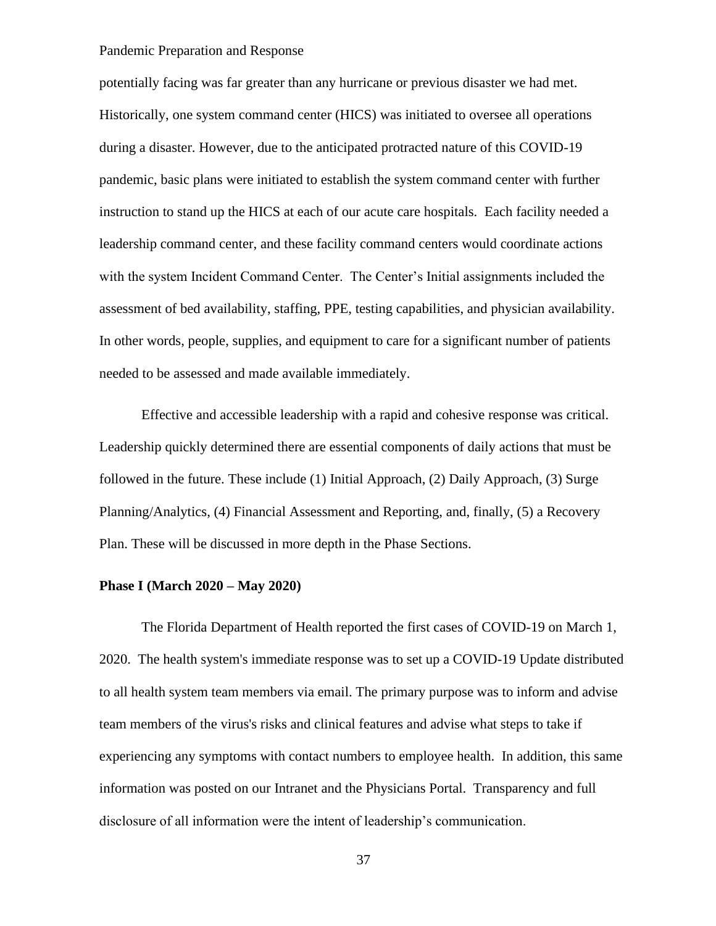potentially facing was far greater than any hurricane or previous disaster we had met. Historically, one system command center (HICS) was initiated to oversee all operations during a disaster. However, due to the anticipated protracted nature of this COVID-19 pandemic, basic plans were initiated to establish the system command center with further instruction to stand up the HICS at each of our acute care hospitals. Each facility needed a leadership command center, and these facility command centers would coordinate actions with the system Incident Command Center. The Center's Initial assignments included the assessment of bed availability, staffing, PPE, testing capabilities, and physician availability. In other words, people, supplies, and equipment to care for a significant number of patients needed to be assessed and made available immediately.

Effective and accessible leadership with a rapid and cohesive response was critical. Leadership quickly determined there are essential components of daily actions that must be followed in the future. These include (1) Initial Approach, (2) Daily Approach, (3) Surge Planning/Analytics, (4) Financial Assessment and Reporting, and, finally, (5) a Recovery Plan. These will be discussed in more depth in the Phase Sections.

## **Phase I (March 2020 – May 2020)**

The Florida Department of Health reported the first cases of COVID-19 on March 1, 2020. The health system's immediate response was to set up a COVID-19 Update distributed to all health system team members via email. The primary purpose was to inform and advise team members of the virus's risks and clinical features and advise what steps to take if experiencing any symptoms with contact numbers to employee health. In addition, this same information was posted on our Intranet and the Physicians Portal. Transparency and full disclosure of all information were the intent of leadership's communication.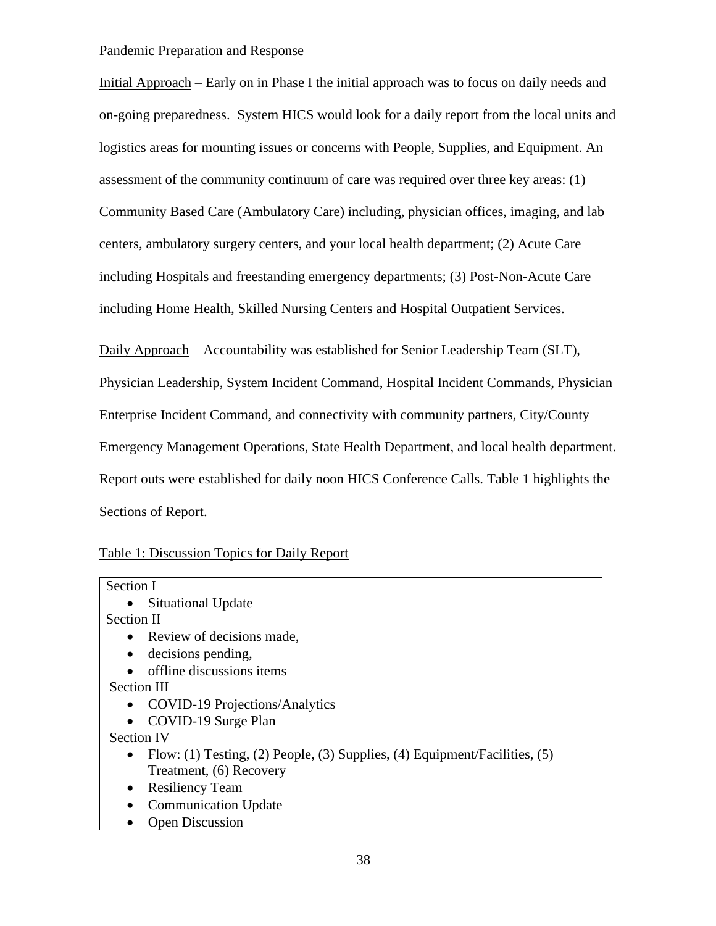Initial Approach – Early on in Phase I the initial approach was to focus on daily needs and on-going preparedness. System HICS would look for a daily report from the local units and logistics areas for mounting issues or concerns with People, Supplies, and Equipment. An assessment of the community continuum of care was required over three key areas: (1) Community Based Care (Ambulatory Care) including, physician offices, imaging, and lab centers, ambulatory surgery centers, and your local health department; (2) Acute Care including Hospitals and freestanding emergency departments; (3) Post-Non-Acute Care including Home Health, Skilled Nursing Centers and Hospital Outpatient Services.

Daily Approach – Accountability was established for Senior Leadership Team (SLT), Physician Leadership, System Incident Command, Hospital Incident Commands, Physician Enterprise Incident Command, and connectivity with community partners, City/County Emergency Management Operations, State Health Department, and local health department. Report outs were established for daily noon HICS Conference Calls. Table 1 highlights the Sections of Report.

| Table 1: Discussion Topics for Daily Report |  |  |  |
|---------------------------------------------|--|--|--|
|                                             |  |  |  |

| Section I                                                                                 |  |  |  |
|-------------------------------------------------------------------------------------------|--|--|--|
| Situational Update<br>$\bullet$                                                           |  |  |  |
| Section II                                                                                |  |  |  |
| Review of decisions made,<br>$\bullet$                                                    |  |  |  |
| decisions pending,<br>٠                                                                   |  |  |  |
| offline discussions items<br>$\bullet$                                                    |  |  |  |
| Section III                                                                               |  |  |  |
| COVID-19 Projections/Analytics<br>$\bullet$                                               |  |  |  |
| COVID-19 Surge Plan                                                                       |  |  |  |
| <b>Section IV</b>                                                                         |  |  |  |
| Flow: (1) Testing, (2) People, (3) Supplies, (4) Equipment/Facilities, $(5)$<br>$\bullet$ |  |  |  |
| Treatment, (6) Recovery                                                                   |  |  |  |
| <b>Resiliency Team</b><br>$\bullet$                                                       |  |  |  |
| <b>Communication Update</b><br>$\bullet$                                                  |  |  |  |
| <b>Open Discussion</b>                                                                    |  |  |  |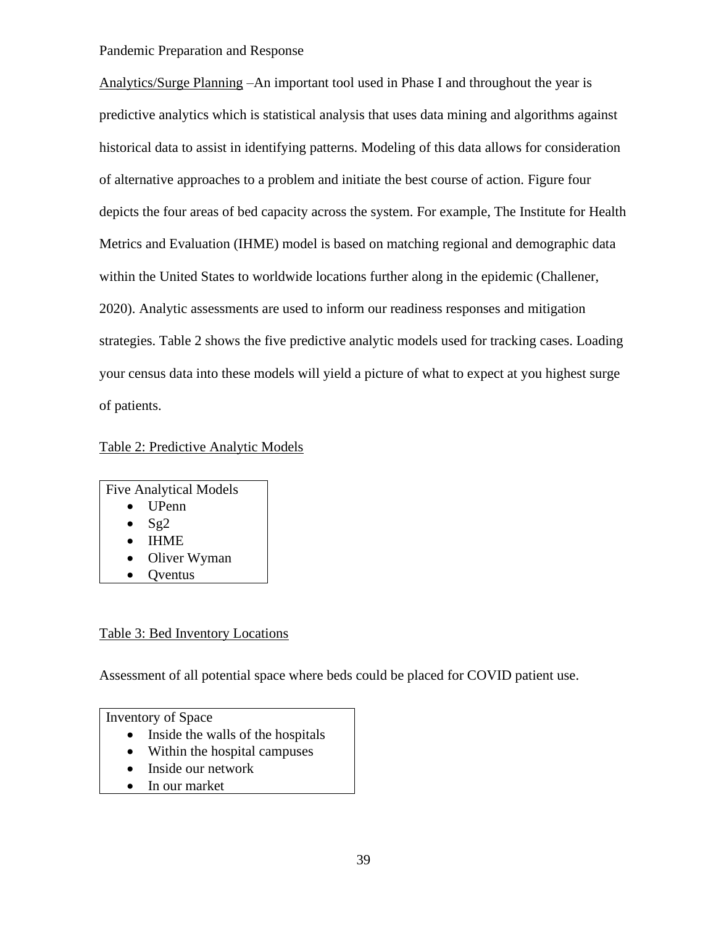Analytics/Surge Planning –An important tool used in Phase I and throughout the year is predictive analytics which is statistical analysis that uses data mining and algorithms against historical data to assist in identifying patterns. Modeling of this data allows for consideration of alternative approaches to a problem and initiate the best course of action. Figure four depicts the four areas of bed capacity across the system. For example, The Institute for Health Metrics and Evaluation (IHME) model is based on matching regional and demographic data within the United States to worldwide locations further along in the epidemic (Challener, 2020). Analytic assessments are used to inform our readiness responses and mitigation strategies. Table 2 shows the five predictive analytic models used for tracking cases. Loading your census data into these models will yield a picture of what to expect at you highest surge of patients.

Table 2: Predictive Analytic Models

Five Analytical Models • UPenn •  $Sg2$ 

- IHME
- Oliver Wyman
- **Oventus**

## Table 3: Bed Inventory Locations

Assessment of all potential space where beds could be placed for COVID patient use.

Inventory of Space

- Inside the walls of the hospitals
- Within the hospital campuses
- Inside our network
- In our market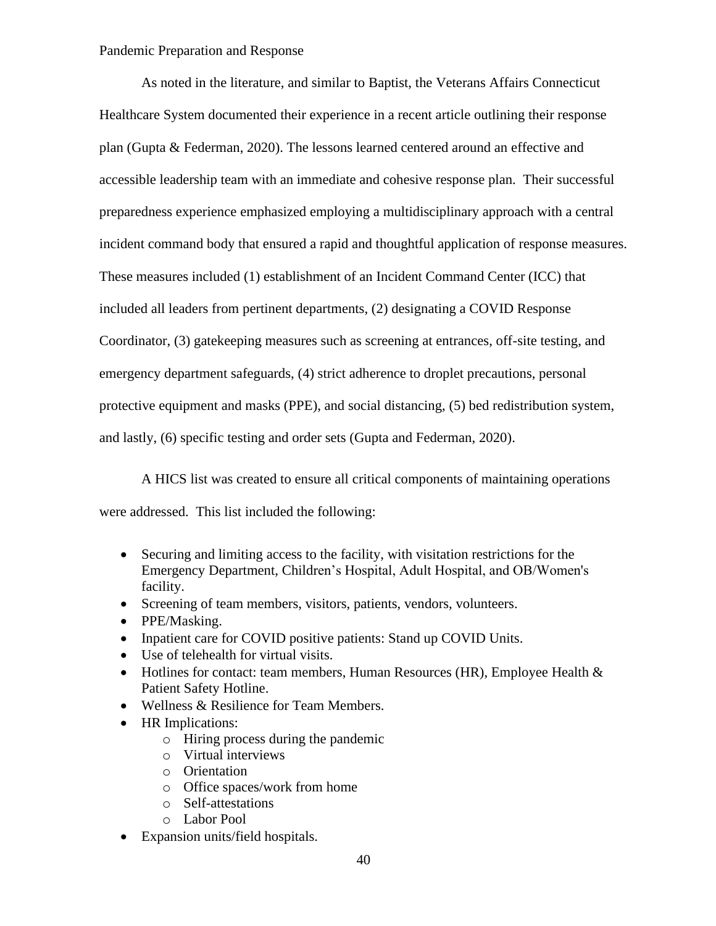As noted in the literature, and similar to Baptist, the Veterans Affairs Connecticut Healthcare System documented their experience in a recent article outlining their response plan (Gupta & Federman, 2020). The lessons learned centered around an effective and accessible leadership team with an immediate and cohesive response plan. Their successful preparedness experience emphasized employing a multidisciplinary approach with a central incident command body that ensured a rapid and thoughtful application of response measures. These measures included (1) establishment of an Incident Command Center (ICC) that included all leaders from pertinent departments, (2) designating a COVID Response Coordinator, (3) gatekeeping measures such as screening at entrances, off-site testing, and emergency department safeguards, (4) strict adherence to droplet precautions, personal protective equipment and masks (PPE), and social distancing, (5) bed redistribution system, and lastly, (6) specific testing and order sets (Gupta and Federman, 2020).

A HICS list was created to ensure all critical components of maintaining operations were addressed. This list included the following:

- Securing and limiting access to the facility, with visitation restrictions for the Emergency Department, Children's Hospital, Adult Hospital, and OB/Women's facility.
- Screening of team members, visitors, patients, vendors, volunteers.
- PPE/Masking.
- Inpatient care for COVID positive patients: Stand up COVID Units.
- Use of telehealth for virtual visits.
- Hotlines for contact: team members, Human Resources (HR), Employee Health  $\&$ Patient Safety Hotline.
- Wellness & Resilience for Team Members.
- HR Implications:
	- o Hiring process during the pandemic
	- o Virtual interviews
	- o Orientation
	- o Office spaces/work from home
	- o Self-attestations
	- o Labor Pool
- Expansion units/field hospitals.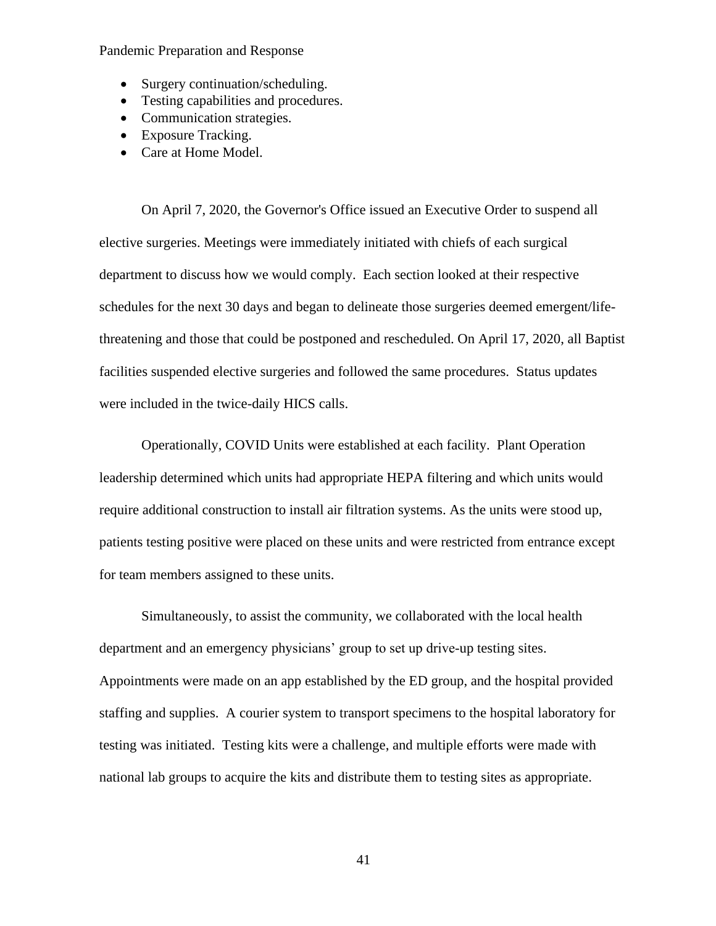- Surgery continuation/scheduling.
- Testing capabilities and procedures.
- Communication strategies.
- Exposure Tracking.
- Care at Home Model.

On April 7, 2020, the Governor's Office issued an Executive Order to suspend all elective surgeries. Meetings were immediately initiated with chiefs of each surgical department to discuss how we would comply. Each section looked at their respective schedules for the next 30 days and began to delineate those surgeries deemed emergent/lifethreatening and those that could be postponed and rescheduled. On April 17, 2020, all Baptist facilities suspended elective surgeries and followed the same procedures. Status updates were included in the twice-daily HICS calls.

Operationally, COVID Units were established at each facility. Plant Operation leadership determined which units had appropriate HEPA filtering and which units would require additional construction to install air filtration systems. As the units were stood up, patients testing positive were placed on these units and were restricted from entrance except for team members assigned to these units.

Simultaneously, to assist the community, we collaborated with the local health department and an emergency physicians' group to set up drive-up testing sites. Appointments were made on an app established by the ED group, and the hospital provided staffing and supplies. A courier system to transport specimens to the hospital laboratory for testing was initiated. Testing kits were a challenge, and multiple efforts were made with national lab groups to acquire the kits and distribute them to testing sites as appropriate.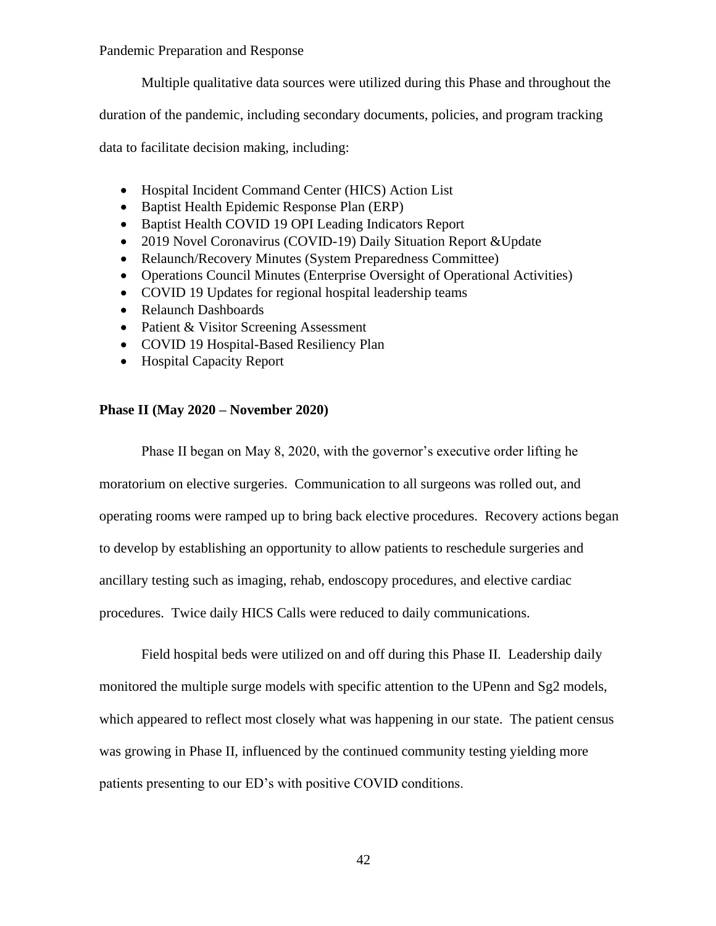Multiple qualitative data sources were utilized during this Phase and throughout the

duration of the pandemic, including secondary documents, policies, and program tracking

data to facilitate decision making, including:

- Hospital Incident Command Center (HICS) Action List
- Baptist Health Epidemic Response Plan (ERP)
- Baptist Health COVID 19 OPI Leading Indicators Report
- 2019 Novel Coronavirus (COVID-19) Daily Situation Report & Update
- Relaunch/Recovery Minutes (System Preparedness Committee)
- Operations Council Minutes (Enterprise Oversight of Operational Activities)
- COVID 19 Updates for regional hospital leadership teams
- Relaunch Dashboards
- Patient & Visitor Screening Assessment
- COVID 19 Hospital-Based Resiliency Plan
- Hospital Capacity Report

#### **Phase II (May 2020 – November 2020)**

Phase II began on May 8, 2020, with the governor's executive order lifting he moratorium on elective surgeries. Communication to all surgeons was rolled out, and operating rooms were ramped up to bring back elective procedures. Recovery actions began to develop by establishing an opportunity to allow patients to reschedule surgeries and ancillary testing such as imaging, rehab, endoscopy procedures, and elective cardiac procedures. Twice daily HICS Calls were reduced to daily communications.

Field hospital beds were utilized on and off during this Phase II. Leadership daily monitored the multiple surge models with specific attention to the UPenn and Sg2 models, which appeared to reflect most closely what was happening in our state. The patient census was growing in Phase II, influenced by the continued community testing yielding more patients presenting to our ED's with positive COVID conditions.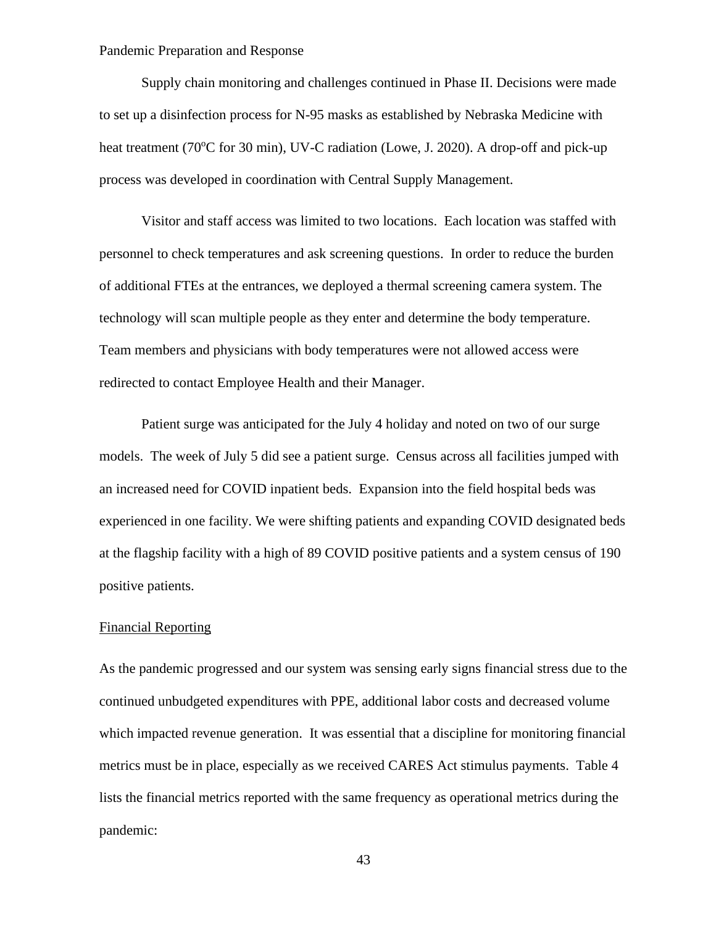Supply chain monitoring and challenges continued in Phase II. Decisions were made to set up a disinfection process for N-95 masks as established by Nebraska Medicine with heat treatment (70<sup>o</sup>C for 30 min), UV-C radiation (Lowe, J. 2020). A drop-off and pick-up process was developed in coordination with Central Supply Management.

Visitor and staff access was limited to two locations. Each location was staffed with personnel to check temperatures and ask screening questions. In order to reduce the burden of additional FTEs at the entrances, we deployed a thermal screening camera system. The technology will scan multiple people as they enter and determine the body temperature. Team members and physicians with body temperatures were not allowed access were redirected to contact Employee Health and their Manager.

Patient surge was anticipated for the July 4 holiday and noted on two of our surge models. The week of July 5 did see a patient surge. Census across all facilities jumped with an increased need for COVID inpatient beds. Expansion into the field hospital beds was experienced in one facility. We were shifting patients and expanding COVID designated beds at the flagship facility with a high of 89 COVID positive patients and a system census of 190 positive patients.

#### Financial Reporting

As the pandemic progressed and our system was sensing early signs financial stress due to the continued unbudgeted expenditures with PPE, additional labor costs and decreased volume which impacted revenue generation. It was essential that a discipline for monitoring financial metrics must be in place, especially as we received CARES Act stimulus payments. Table 4 lists the financial metrics reported with the same frequency as operational metrics during the pandemic: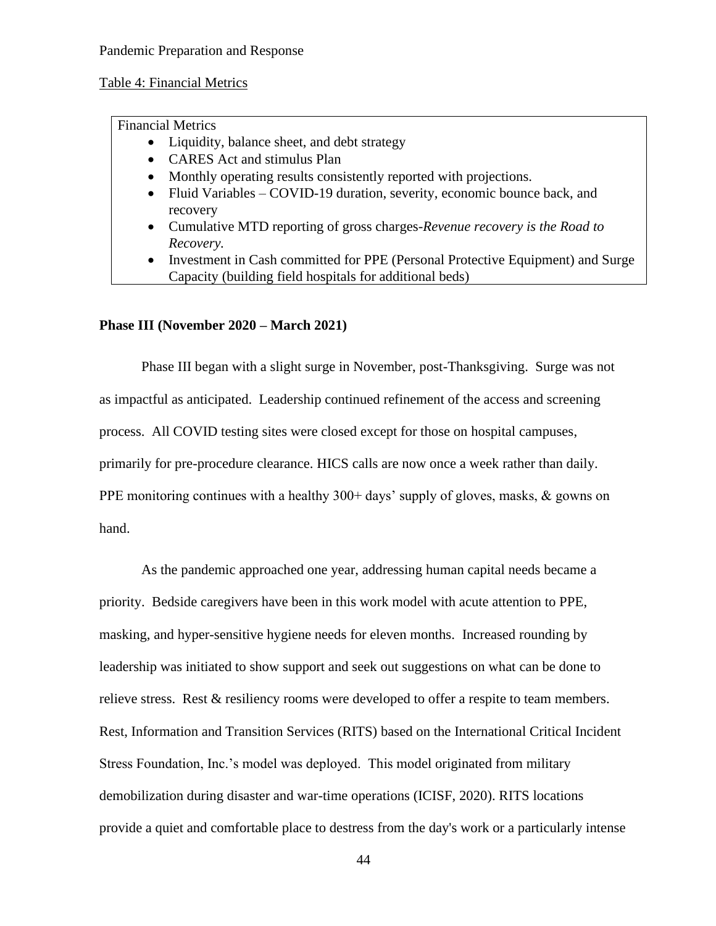Table 4: Financial Metrics

Financial Metrics

- Liquidity, balance sheet, and debt strategy
- CARES Act and stimulus Plan
- Monthly operating results consistently reported with projections.
- Fluid Variables COVID-19 duration, severity, economic bounce back, and recovery
- Cumulative MTD reporting of gross charges-*Revenue recovery is the Road to Recovery.*
- Investment in Cash committed for PPE (Personal Protective Equipment) and Surge Capacity (building field hospitals for additional beds)

## **Phase III (November 2020 – March 2021)**

Phase III began with a slight surge in November, post-Thanksgiving. Surge was not as impactful as anticipated. Leadership continued refinement of the access and screening process. All COVID testing sites were closed except for those on hospital campuses, primarily for pre-procedure clearance. HICS calls are now once a week rather than daily. PPE monitoring continues with a healthy 300+ days' supply of gloves, masks, & gowns on hand.

As the pandemic approached one year, addressing human capital needs became a priority. Bedside caregivers have been in this work model with acute attention to PPE, masking, and hyper-sensitive hygiene needs for eleven months. Increased rounding by leadership was initiated to show support and seek out suggestions on what can be done to relieve stress. Rest & resiliency rooms were developed to offer a respite to team members. Rest, Information and Transition Services (RITS) based on the International Critical Incident Stress Foundation, Inc.'s model was deployed. This model originated from military demobilization during disaster and war-time operations (ICISF, 2020). RITS locations provide a quiet and comfortable place to destress from the day's work or a particularly intense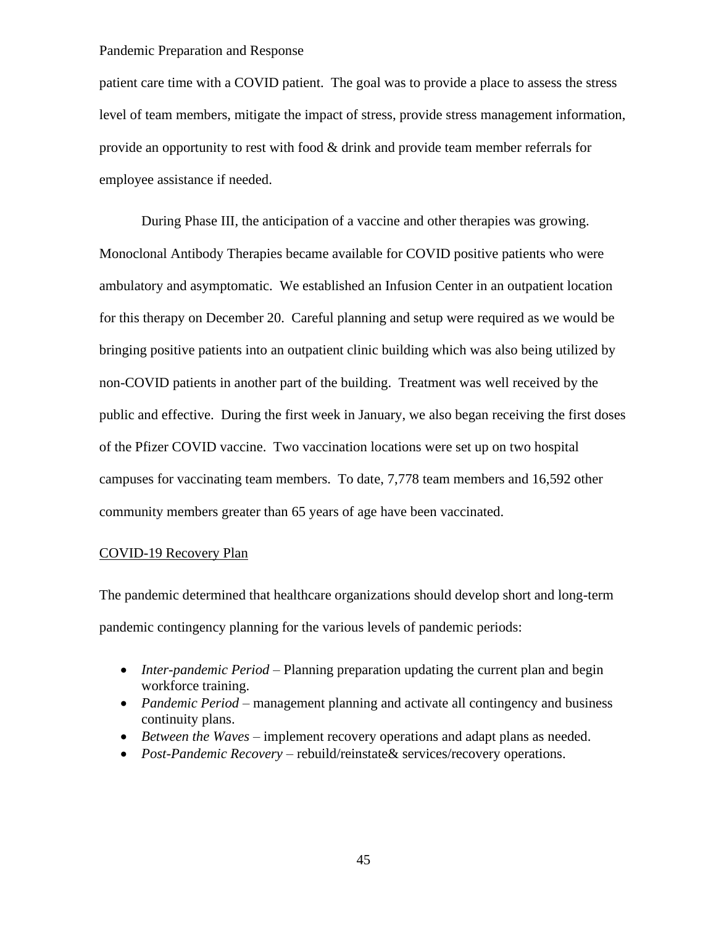patient care time with a COVID patient. The goal was to provide a place to assess the stress level of team members, mitigate the impact of stress, provide stress management information, provide an opportunity to rest with food & drink and provide team member referrals for employee assistance if needed.

During Phase III, the anticipation of a vaccine and other therapies was growing. Monoclonal Antibody Therapies became available for COVID positive patients who were ambulatory and asymptomatic. We established an Infusion Center in an outpatient location for this therapy on December 20. Careful planning and setup were required as we would be bringing positive patients into an outpatient clinic building which was also being utilized by non-COVID patients in another part of the building. Treatment was well received by the public and effective. During the first week in January, we also began receiving the first doses of the Pfizer COVID vaccine. Two vaccination locations were set up on two hospital campuses for vaccinating team members. To date, 7,778 team members and 16,592 other community members greater than 65 years of age have been vaccinated.

## COVID-19 Recovery Plan

The pandemic determined that healthcare organizations should develop short and long-term pandemic contingency planning for the various levels of pandemic periods:

- *Inter-pandemic Period* Planning preparation updating the current plan and begin workforce training.
- *Pandemic Period* management planning and activate all contingency and business continuity plans.
- *Between the Waves* implement recovery operations and adapt plans as needed.
- *Post-Pandemic Recovery* rebuild/reinstate& services/recovery operations.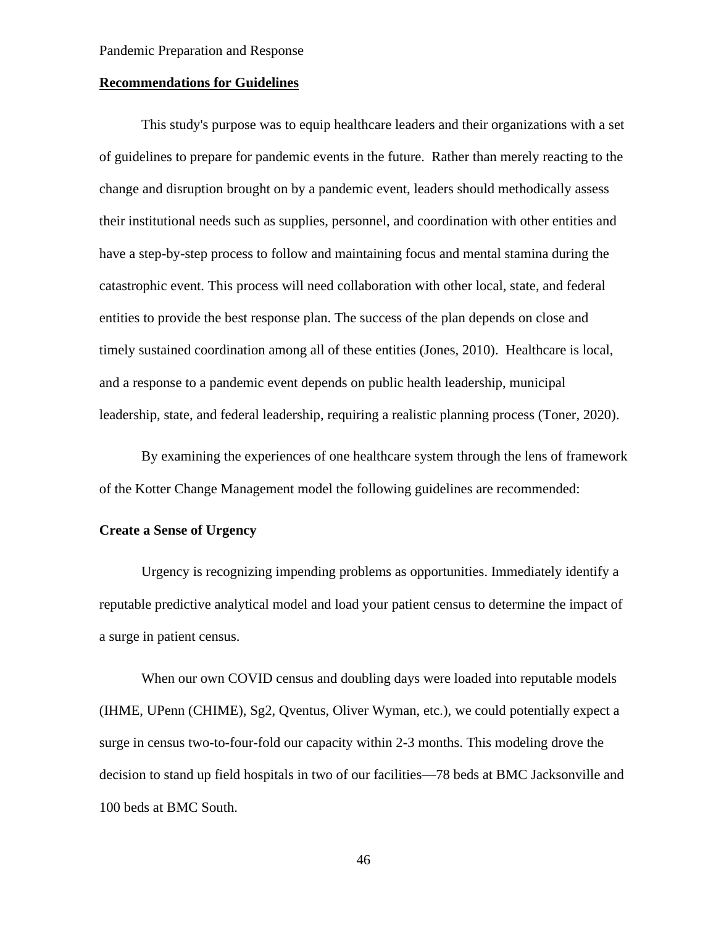#### **Recommendations for Guidelines**

This study's purpose was to equip healthcare leaders and their organizations with a set of guidelines to prepare for pandemic events in the future. Rather than merely reacting to the change and disruption brought on by a pandemic event, leaders should methodically assess their institutional needs such as supplies, personnel, and coordination with other entities and have a step-by-step process to follow and maintaining focus and mental stamina during the catastrophic event. This process will need collaboration with other local, state, and federal entities to provide the best response plan. The success of the plan depends on close and timely sustained coordination among all of these entities (Jones, 2010). Healthcare is local, and a response to a pandemic event depends on public health leadership, municipal leadership, state, and federal leadership, requiring a realistic planning process (Toner, 2020).

By examining the experiences of one healthcare system through the lens of framework of the Kotter Change Management model the following guidelines are recommended:

## **Create a Sense of Urgency**

Urgency is recognizing impending problems as opportunities. Immediately identify a reputable predictive analytical model and load your patient census to determine the impact of a surge in patient census.

When our own COVID census and doubling days were loaded into reputable models (IHME, UPenn (CHIME), Sg2, Qventus, Oliver Wyman, etc.), we could potentially expect a surge in census two-to-four-fold our capacity within 2-3 months. This modeling drove the decision to stand up field hospitals in two of our facilities—78 beds at BMC Jacksonville and 100 beds at BMC South.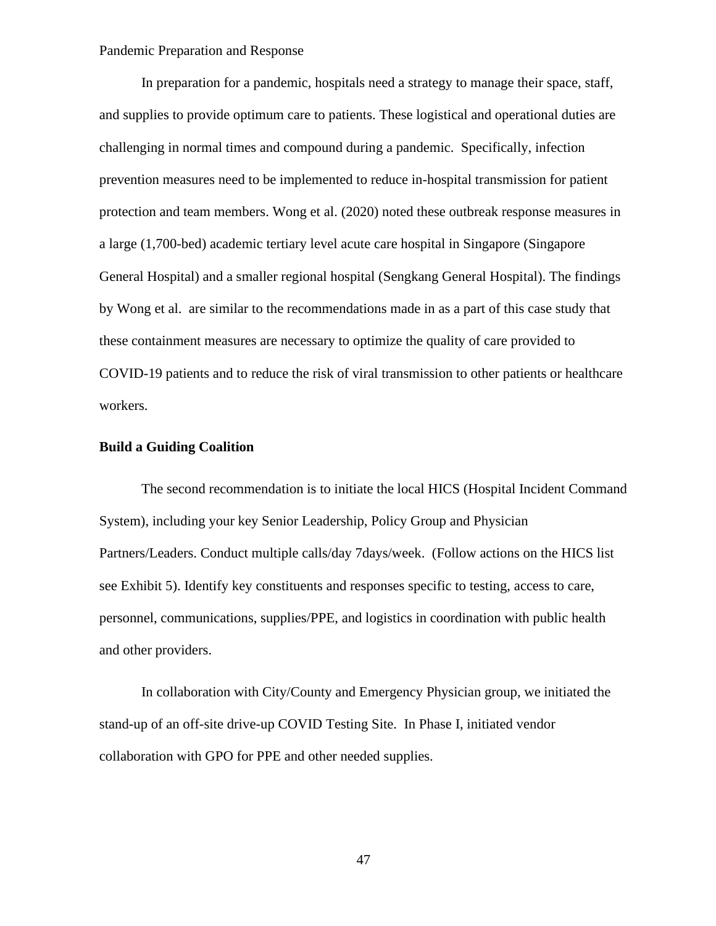In preparation for a pandemic, hospitals need a strategy to manage their space, staff, and supplies to provide optimum care to patients. These logistical and operational duties are challenging in normal times and compound during a pandemic. Specifically, infection prevention measures need to be implemented to reduce in-hospital transmission for patient protection and team members. Wong et al. (2020) noted these outbreak response measures in a large (1,700-bed) academic tertiary level acute care hospital in Singapore (Singapore General Hospital) and a smaller regional hospital (Sengkang General Hospital). The findings by Wong et al. are similar to the recommendations made in as a part of this case study that these containment measures are necessary to optimize the quality of care provided to COVID-19 patients and to reduce the risk of viral transmission to other patients or healthcare workers.

## **Build a Guiding Coalition**

The second recommendation is to initiate the local HICS (Hospital Incident Command System), including your key Senior Leadership, Policy Group and Physician Partners/Leaders. Conduct multiple calls/day 7days/week. (Follow actions on the HICS list see Exhibit 5). Identify key constituents and responses specific to testing, access to care, personnel, communications, supplies/PPE, and logistics in coordination with public health and other providers.

In collaboration with City/County and Emergency Physician group, we initiated the stand-up of an off-site drive-up COVID Testing Site. In Phase I, initiated vendor collaboration with GPO for PPE and other needed supplies.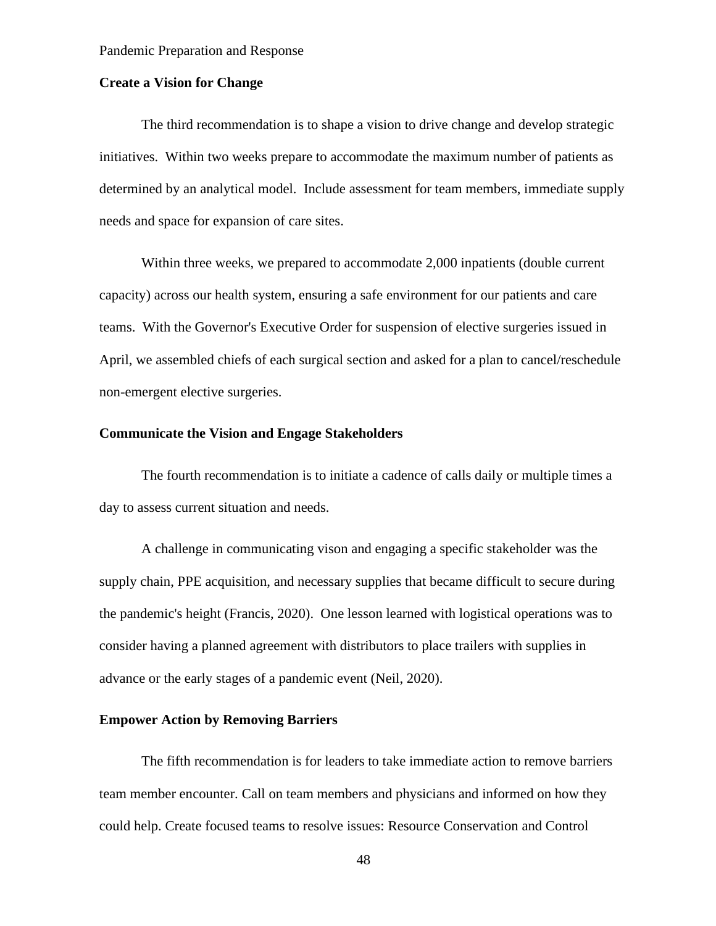## **Create a Vision for Change**

The third recommendation is to shape a vision to drive change and develop strategic initiatives. Within two weeks prepare to accommodate the maximum number of patients as determined by an analytical model. Include assessment for team members, immediate supply needs and space for expansion of care sites.

Within three weeks, we prepared to accommodate 2,000 inpatients (double current capacity) across our health system, ensuring a safe environment for our patients and care teams. With the Governor's Executive Order for suspension of elective surgeries issued in April, we assembled chiefs of each surgical section and asked for a plan to cancel/reschedule non-emergent elective surgeries.

## **Communicate the Vision and Engage Stakeholders**

The fourth recommendation is to initiate a cadence of calls daily or multiple times a day to assess current situation and needs.

A challenge in communicating vison and engaging a specific stakeholder was the supply chain, PPE acquisition, and necessary supplies that became difficult to secure during the pandemic's height (Francis, 2020). One lesson learned with logistical operations was to consider having a planned agreement with distributors to place trailers with supplies in advance or the early stages of a pandemic event (Neil, 2020).

## **Empower Action by Removing Barriers**

The fifth recommendation is for leaders to take immediate action to remove barriers team member encounter. Call on team members and physicians and informed on how they could help. Create focused teams to resolve issues: Resource Conservation and Control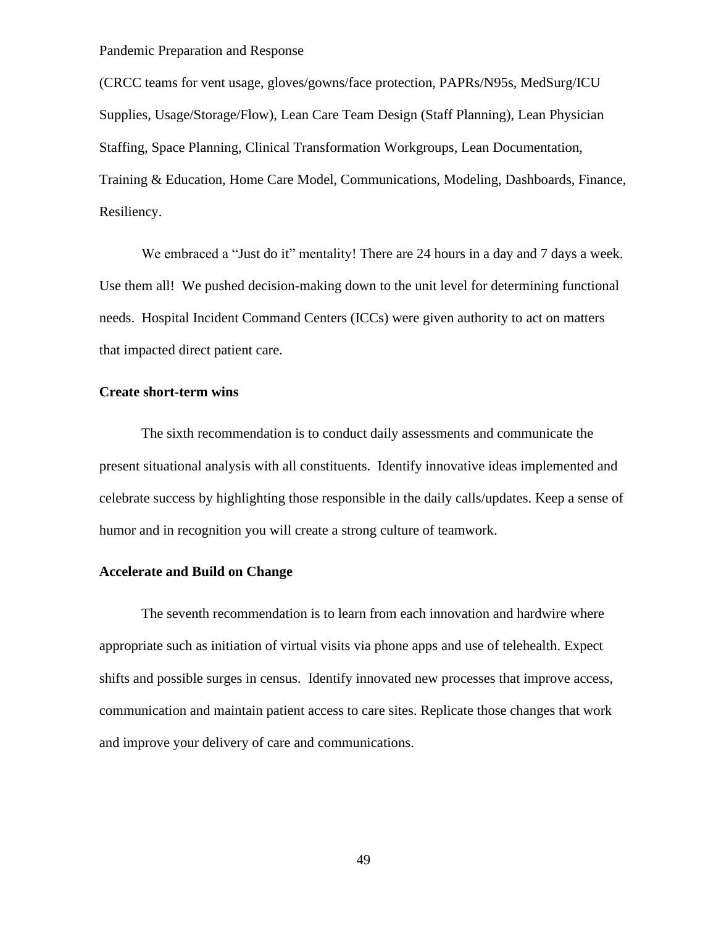(CRCC teams for vent usage, gloves/gowns/face protection, PAPRs/N95s, MedSurg/ICU Supplies, Usage/Storage/Flow), Lean Care Team Design (Staff Planning), Lean Physician Staffing, Space Planning, Clinical Transformation Workgroups, Lean Documentation, Training & Education, Home Care Model, Communications, Modeling, Dashboards, Finance, Resiliency.

We embraced a "Just do it" mentality! There are 24 hours in a day and 7 days a week. Use them all! We pushed decision-making down to the unit level for determining functional needs. Hospital Incident Command Centers (ICCs) were given authority to act on matters that impacted direct patient care.

#### **Create short-term wins**

The sixth recommendation is to conduct daily assessments and communicate the present situational analysis with all constituents. Identify innovative ideas implemented and celebrate success by highlighting those responsible in the daily calls/updates. Keep a sense of humor and in recognition you will create a strong culture of teamwork.

## **Accelerate and Build on Change**

The seventh recommendation is to learn from each innovation and hardwire where appropriate such as initiation of virtual visits via phone apps and use of telehealth. Expect shifts and possible surges in census. Identify innovated new processes that improve access, communication and maintain patient access to care sites. Replicate those changes that work and improve your delivery of care and communications.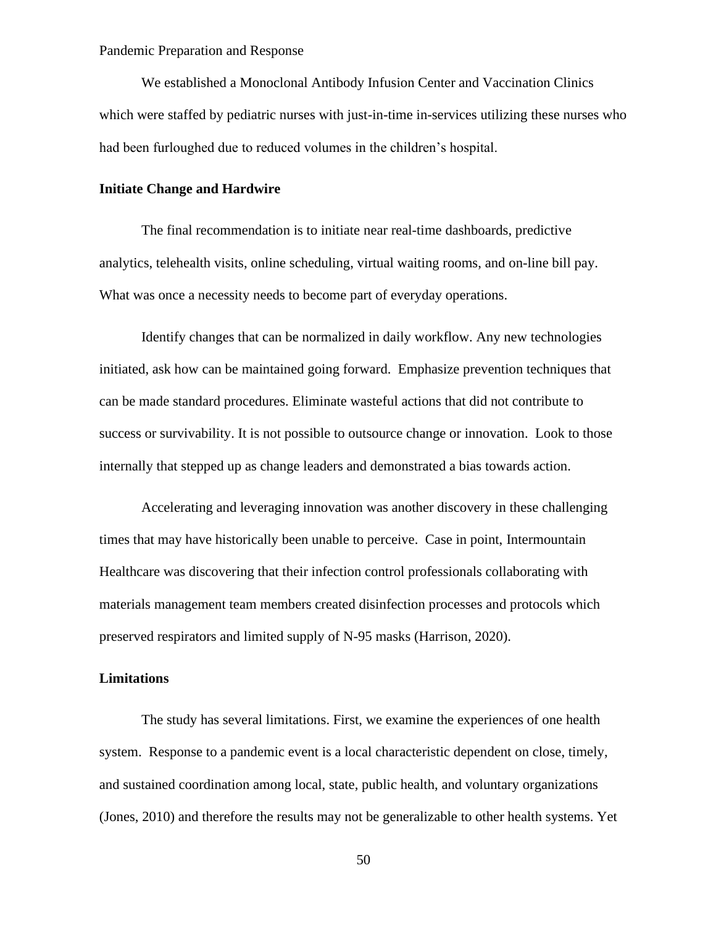We established a Monoclonal Antibody Infusion Center and Vaccination Clinics which were staffed by pediatric nurses with just-in-time in-services utilizing these nurses who had been furloughed due to reduced volumes in the children's hospital.

## **Initiate Change and Hardwire**

The final recommendation is to initiate near real-time dashboards, predictive analytics, telehealth visits, online scheduling, virtual waiting rooms, and on-line bill pay. What was once a necessity needs to become part of everyday operations.

Identify changes that can be normalized in daily workflow. Any new technologies initiated, ask how can be maintained going forward. Emphasize prevention techniques that can be made standard procedures. Eliminate wasteful actions that did not contribute to success or survivability. It is not possible to outsource change or innovation. Look to those internally that stepped up as change leaders and demonstrated a bias towards action.

Accelerating and leveraging innovation was another discovery in these challenging times that may have historically been unable to perceive. Case in point, Intermountain Healthcare was discovering that their infection control professionals collaborating with materials management team members created disinfection processes and protocols which preserved respirators and limited supply of N-95 masks (Harrison, 2020).

## **Limitations**

The study has several limitations. First, we examine the experiences of one health system. Response to a pandemic event is a local characteristic dependent on close, timely, and sustained coordination among local, state, public health, and voluntary organizations (Jones, 2010) and therefore the results may not be generalizable to other health systems. Yet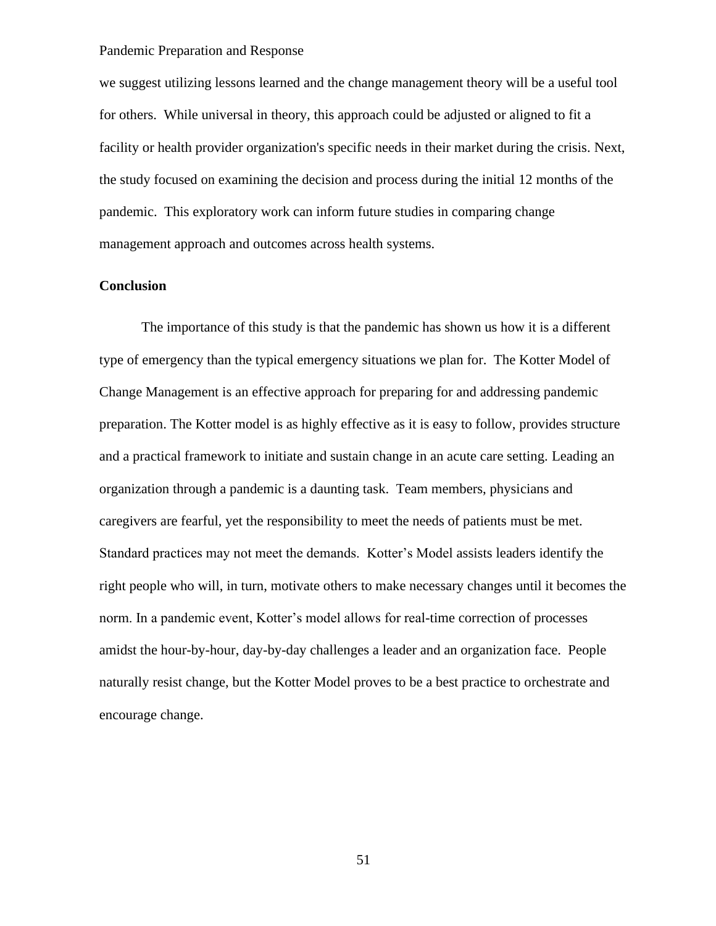we suggest utilizing lessons learned and the change management theory will be a useful tool for others. While universal in theory, this approach could be adjusted or aligned to fit a facility or health provider organization's specific needs in their market during the crisis. Next, the study focused on examining the decision and process during the initial 12 months of the pandemic. This exploratory work can inform future studies in comparing change management approach and outcomes across health systems.

## **Conclusion**

The importance of this study is that the pandemic has shown us how it is a different type of emergency than the typical emergency situations we plan for. The Kotter Model of Change Management is an effective approach for preparing for and addressing pandemic preparation. The Kotter model is as highly effective as it is easy to follow, provides structure and a practical framework to initiate and sustain change in an acute care setting. Leading an organization through a pandemic is a daunting task. Team members, physicians and caregivers are fearful, yet the responsibility to meet the needs of patients must be met. Standard practices may not meet the demands. Kotter's Model assists leaders identify the right people who will, in turn, motivate others to make necessary changes until it becomes the norm. In a pandemic event, Kotter's model allows for real-time correction of processes amidst the hour-by-hour, day-by-day challenges a leader and an organization face. People naturally resist change, but the Kotter Model proves to be a best practice to orchestrate and encourage change.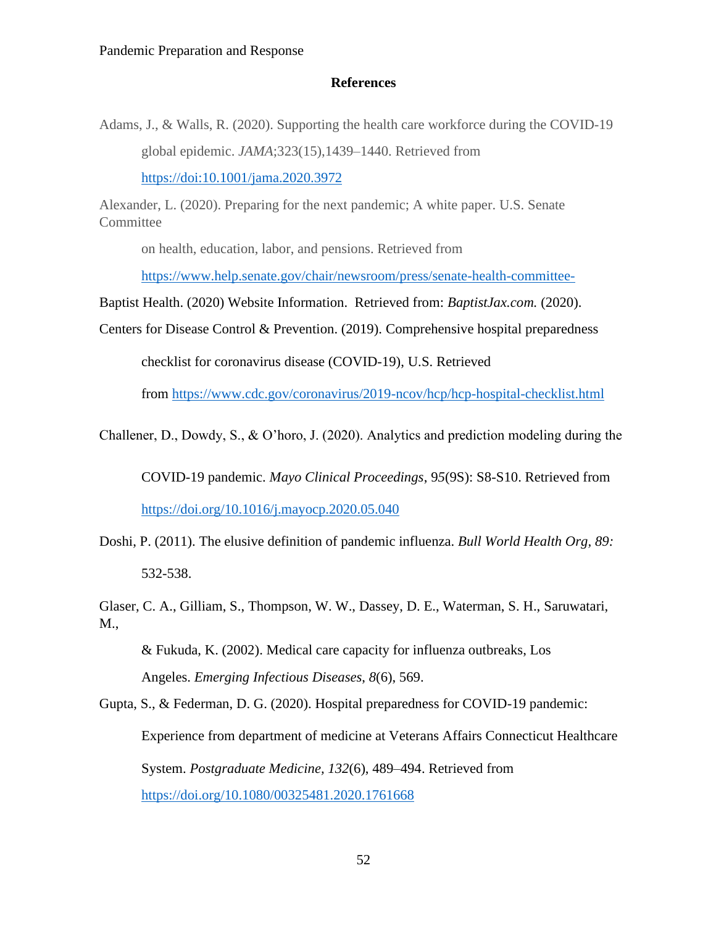#### **References**

Adams, J., & Walls, R. (2020). Supporting the health care workforce during the COVID-19 global epidemic. *JAMA*;323(15),1439–1440. Retrieved from <https://doi:10.1001/jama.2020.3972>

Alexander, L. (2020). Preparing for the next pandemic; A white paper. U.S. Senate **Committee** 

on health, education, labor, and pensions. Retrieved from

[https://www.help.senate.gov/chair/newsroom/press/senate-health-committee-](https://www.help.senate.gov/chair/newsroom/press/senate-health-committee-%20%20%20-)

Baptist Health. (2020) Website Information. Retrieved from: *BaptistJax.com.* (2020).

Centers for Disease Control & Prevention. (2019). Comprehensive hospital preparedness

checklist for coronavirus disease (COVID-19), U.S. Retrieved

from<https://www.cdc.gov/coronavirus/2019-ncov/hcp/hcp-hospital-checklist.html>

Challener, D., Dowdy, S., & O'horo, J. (2020). Analytics and prediction modeling during the

COVID-19 pandemic. *Mayo Clinical Proceedings*, 9*5*(9S): S8-S10. Retrieved from <https://doi.org/10.1016/j.mayocp.2020.05.040>

Doshi, P. (2011). The elusive definition of pandemic influenza. *Bull World Health Org, 89:* 532-538.

Glaser, C. A., Gilliam, S., Thompson, W. W., Dassey, D. E., Waterman, S. H., Saruwatari, M.,

& Fukuda, K. (2002). Medical care capacity for influenza outbreaks, Los Angeles. *Emerging Infectious Diseases*, *8*(6), 569.

Gupta, S., & Federman, D. G. (2020). Hospital preparedness for COVID-19 pandemic: Experience from department of medicine at Veterans Affairs Connecticut Healthcare System. *Postgraduate Medicine, 132*(6), 489–494. Retrieved from <https://doi.org/10.1080/00325481.2020.1761668>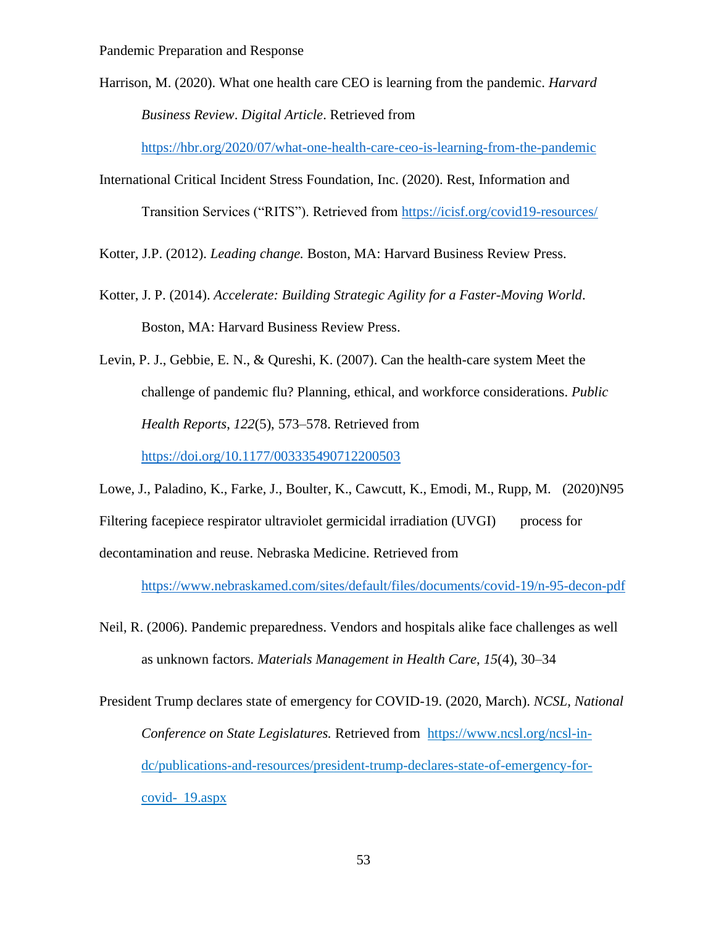Harrison, M. (2020). What one health care CEO is learning from the pandemic. *Harvard Business Review*. *Digital Article*. Retrieved from

<https://hbr.org/2020/07/what-one-health-care-ceo-is-learning-from-the-pandemic>

International Critical Incident Stress Foundation, Inc. (2020). Rest, Information and Transition Services ("RITS"). Retrieved from<https://icisf.org/covid19-resources/>

Kotter, J.P. (2012). *Leading change.* Boston, MA: Harvard Business Review Press.

Kotter, J. P. (2014). *Accelerate: Building Strategic Agility for a Faster-Moving World*. Boston, MA: Harvard Business Review Press.

Levin, P. J., Gebbie, E. N., & Qureshi, K. (2007). Can the health-care system Meet the challenge of pandemic flu? Planning, ethical, and workforce considerations. *Public Health Reports*, *122*(5), 573–578. Retrieved from <https://doi.org/10.1177/003335490712200503>

Lowe, J., Paladino, K., Farke, J., Boulter, K., Cawcutt, K., Emodi, M., Rupp, M. (2020)N95 Filtering facepiece respirator ultraviolet germicidal irradiation (UVGI) process for decontamination and reuse. Nebraska Medicine. Retrieved from

<https://www.nebraskamed.com/sites/default/files/documents/covid-19/n-95-decon-pdf>

- Neil, R. (2006). Pandemic preparedness. Vendors and hospitals alike face challenges as well as unknown factors. *Materials Management in Health Care*, *15*(4), 30–34
- President Trump declares state of emergency for COVID-19. (2020, March). *NCSL, National Conference on State Legislatures.* Retrieved from [https://www.ncsl.org/ncsl-in](https://www.ncsl.org/ncsl-in-)dc/publications-and-resources/president-trump-declares-state-of-emergency-forcovid- 19.aspx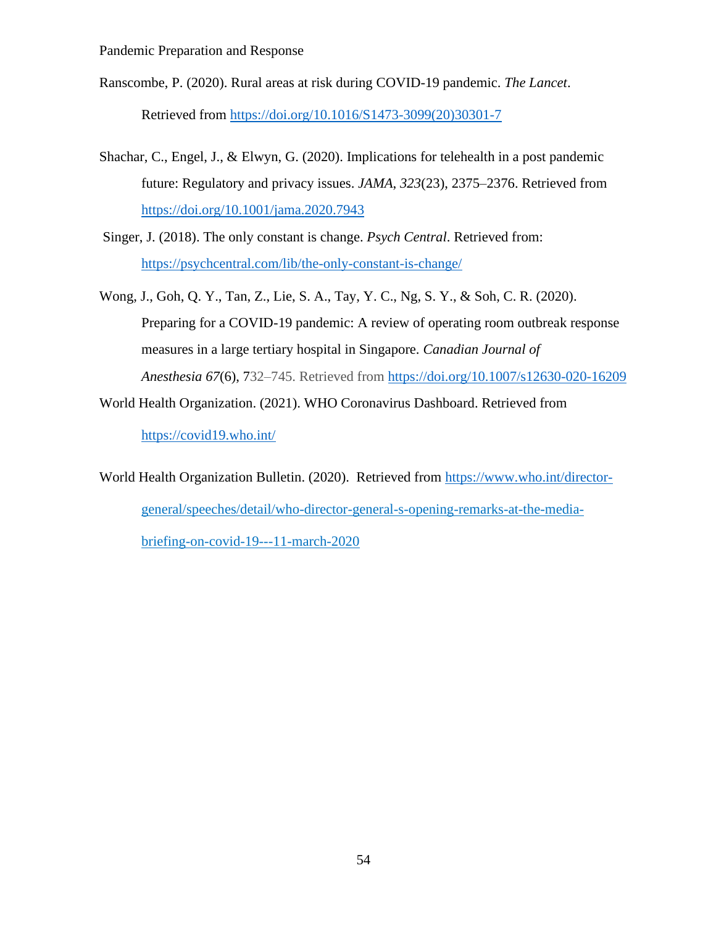Ranscombe, P. (2020). Rural areas at risk during COVID-19 pandemic. *The Lancet*.

Retrieved from [https://doi.org/10.1016/S1473-3099\(20\)30301-7](https://doi.org/10.1016/S1473-3099(20)30301-7)

- Shachar, C., Engel, J., & Elwyn, G. (2020). Implications for telehealth in a post pandemic future: Regulatory and privacy issues. *JAMA*, *323*(23), 2375–2376. Retrieved from <https://doi.org/10.1001/jama.2020.7943>
- Singer, J. (2018). The only constant is change. *Psych Central*. Retrieved from: <https://psychcentral.com/lib/the-only-constant-is-change/>
- Wong, J., Goh, Q. Y., Tan, Z., Lie, S. A., Tay, Y. C., Ng, S. Y., & Soh, C. R. (2020). Preparing for a COVID-19 pandemic: A review of operating room outbreak response measures in a large tertiary hospital in Singapore. *Canadian Journal of Anesthesia 67*(6), 732–745. Retrieved from <https://doi.org/10.1007/s12630-020-16209>
- World Health Organization. (2021). WHO Coronavirus Dashboard. Retrieved from

<https://covid19.who.int/>

World Health Organization Bulletin. (2020). Retrieved from [https://www.who.int/director](https://www.who.int/director-)general/speeches/detail/who-director-general-s-opening-remarks-at-the-mediabriefing-on-covid-19---11-march-2020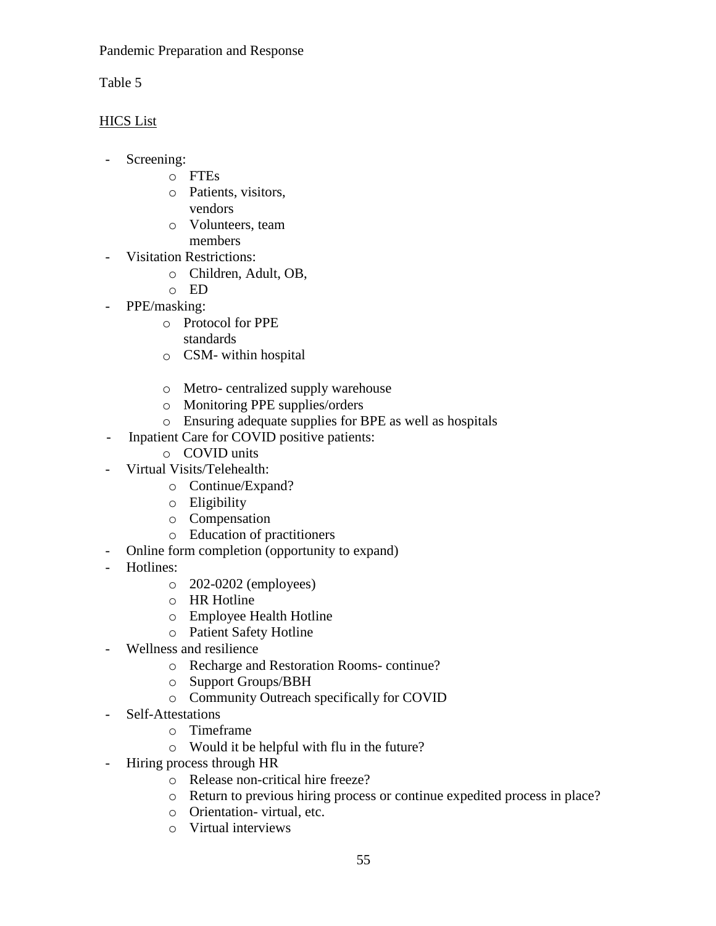Table 5

## HICS List

- Screening:
	- o FTEs
	- o Patients, visitors, vendors
	- o Volunteers, team members
	-
- Visitation Restrictions:
	- o Children, Adult, OB,
	- o ED
- PPE/masking:
	- o Protocol for PPE
		- standards
	- o CSM- within hospital
	- o Metro- centralized supply warehouse
	- o Monitoring PPE supplies/orders
	- o Ensuring adequate supplies for BPE as well as hospitals
- Inpatient Care for COVID positive patients:
	- o COVID units
- Virtual Visits/Telehealth:
	- o Continue/Expand?
	- o Eligibility
	- o Compensation
	- o Education of practitioners
- Online form completion (opportunity to expand)
- Hotlines:
	- o 202-0202 (employees)
	- o HR Hotline
	- o Employee Health Hotline
	- o Patient Safety Hotline
- Wellness and resilience
	- o Recharge and Restoration Rooms- continue?
	- o Support Groups/BBH
	- o Community Outreach specifically for COVID
- Self-Attestations
	- o Timeframe
	- o Would it be helpful with flu in the future?
- Hiring process through HR
	- o Release non-critical hire freeze?
	- o Return to previous hiring process or continue expedited process in place?
	- o Orientation- virtual, etc.
	- o Virtual interviews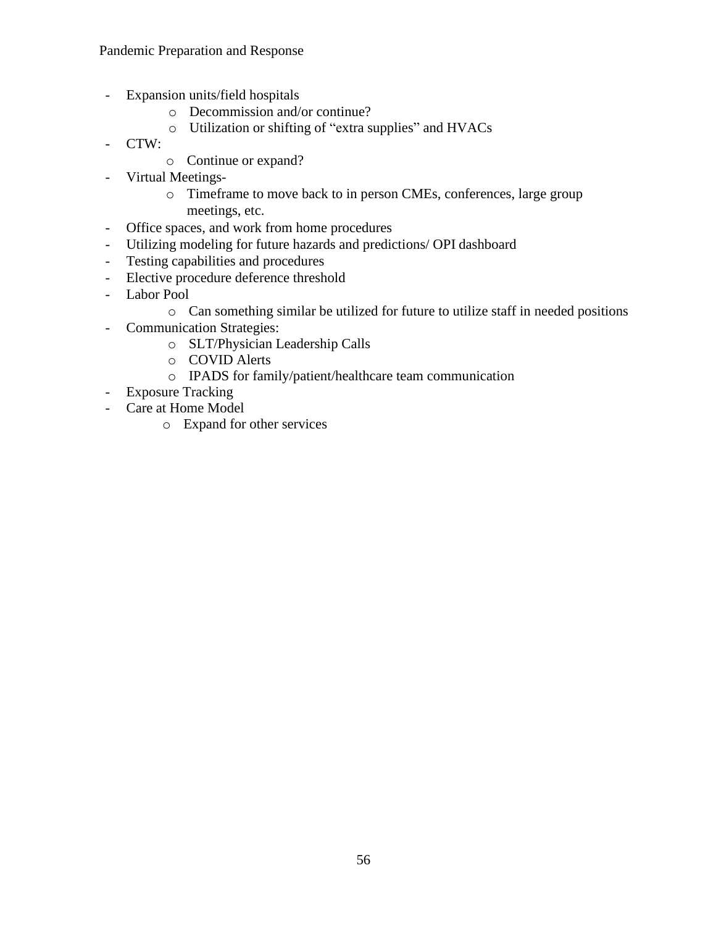- Expansion units/field hospitals
	- o Decommission and/or continue?
	- o Utilization or shifting of "extra supplies" and HVACs
- CTW:
	- o Continue or expand?
- Virtual Meetings
	- o Timeframe to move back to in person CMEs, conferences, large group meetings, etc.
- Office spaces, and work from home procedures
- Utilizing modeling for future hazards and predictions/ OPI dashboard
- Testing capabilities and procedures
- Elective procedure deference threshold
- Labor Pool
	- o Can something similar be utilized for future to utilize staff in needed positions
- Communication Strategies:
	- o SLT/Physician Leadership Calls
	- o COVID Alerts
	- o IPADS for family/patient/healthcare team communication
- Exposure Tracking
- Care at Home Model
	- o Expand for other services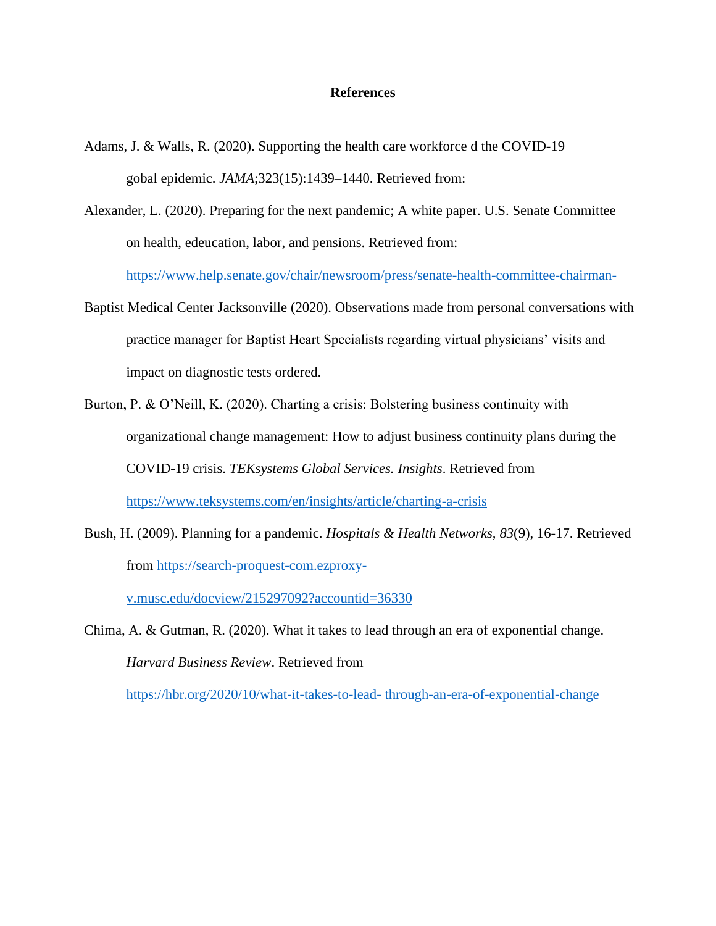#### **References**

- Adams, J. & Walls, R. (2020). Supporting the health care workforce d the COVID-19 gobal epidemic. *JAMA*;323(15):1439–1440. Retrieved from:
- Alexander, L. (2020). Preparing for the next pandemic; A white paper. U.S. Senate Committee on health, edeucation, labor, and pensions. Retrieved from:

[https://www.help.senate.gov/chair/newsroom/press/senate-health-committee-chairman-](https://www.help.senate.gov/chair/newsroom/press/senate-health-committee-chairman-%09alexander-)

- Baptist Medical Center Jacksonville (2020). Observations made from personal conversations with practice manager for Baptist Heart Specialists regarding virtual physicians' visits and impact on diagnostic tests ordered.
- Burton, P. & O'Neill, K. (2020). Charting a crisis: Bolstering business continuity with organizational change management: How to adjust business continuity plans during the COVID-19 crisis. *TEKsystems Global Services. Insights*. Retrieved from <https://www.teksystems.com/en/insights/article/charting-a-crisis>
- Bush, H. (2009). Planning for a pandemic. *Hospitals & Health Networks, 83*(9), 16-17. Retrieved from [https://search-proquest-com.ezproxy-](https://search-proquest-com.ezproxy-/)

v.musc.edu/docview/215297092?accountid=36330

Chima, A. & Gutman, R. (2020). What it takes to lead through an era of exponential change. *Harvard Business Review*. Retrieved from

[https://hbr.org/2020/10/what-it-takes-to-lead-](https://hbr.org/2020/10/what-it-takes-to-lead-%20through-an-era-of-exponential-change) through-an-era-of-exponential-change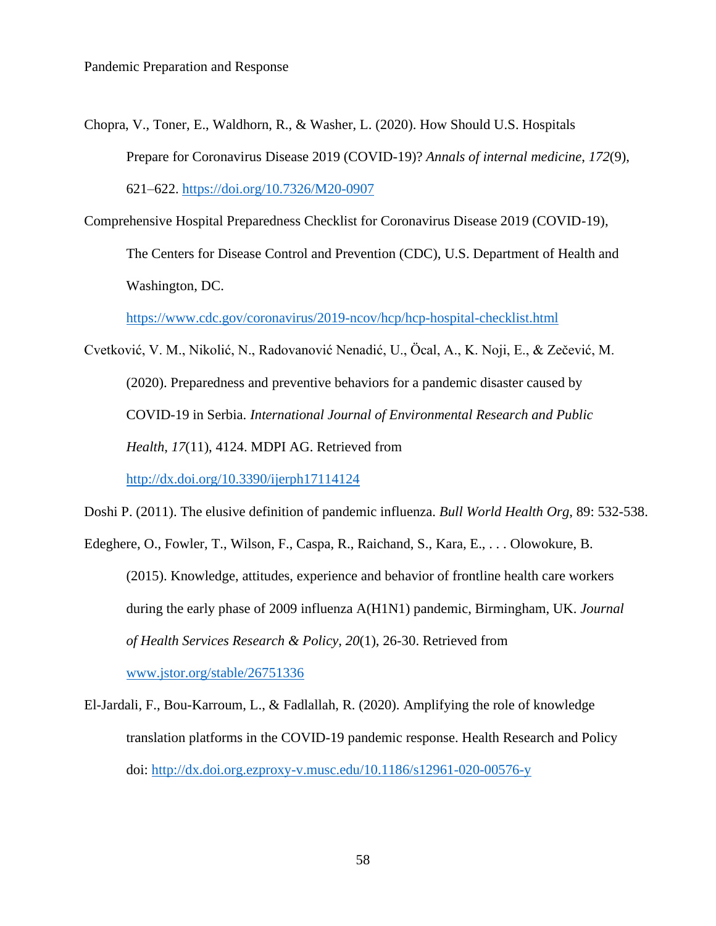- Chopra, V., Toner, E., Waldhorn, R., & Washer, L. (2020). How Should U.S. Hospitals Prepare for Coronavirus Disease 2019 (COVID-19)? *Annals of internal medicine*, *172*(9), 621–622.<https://doi.org/10.7326/M20-0907>
- Comprehensive Hospital Preparedness Checklist for Coronavirus Disease 2019 (COVID-19), The Centers for Disease Control and Prevention (CDC), U.S. Department of Health and Washington, DC.

<https://www.cdc.gov/coronavirus/2019-ncov/hcp/hcp-hospital-checklist.html>

Cvetković, V. M., Nikolić, N., Radovanović Nenadić, U., Öcal, A., K. Noji, E., & Zečević, M. (2020). Preparedness and preventive behaviors for a pandemic disaster caused by COVID-19 in Serbia. *International Journal of Environmental Research and Public Health*, *17*(11), 4124. MDPI AG. Retrieved from

<http://dx.doi.org/10.3390/ijerph17114124>

Doshi P. (2011). The elusive definition of pandemic influenza. *Bull World Health Org,* 89: 532-538.

Edeghere, O., Fowler, T., Wilson, F., Caspa, R., Raichand, S., Kara, E., . . . Olowokure, B. (2015). Knowledge, attitudes, experience and behavior of frontline health care workers during the early phase of 2009 influenza A(H1N1) pandemic, Birmingham, UK. *Journal of Health Services Research & Policy, 20*(1), 26-30. Retrieved from

[www.jstor.org/stable/26751336](http://www.jstor.org/stable/26751336)

El-Jardali, F., Bou-Karroum, L., & Fadlallah, R. (2020). Amplifying the role of knowledge translation platforms in the COVID-19 pandemic response. Health Research and Policy doi:<http://dx.doi.org.ezproxy-v.musc.edu/10.1186/s12961-020-00576-y>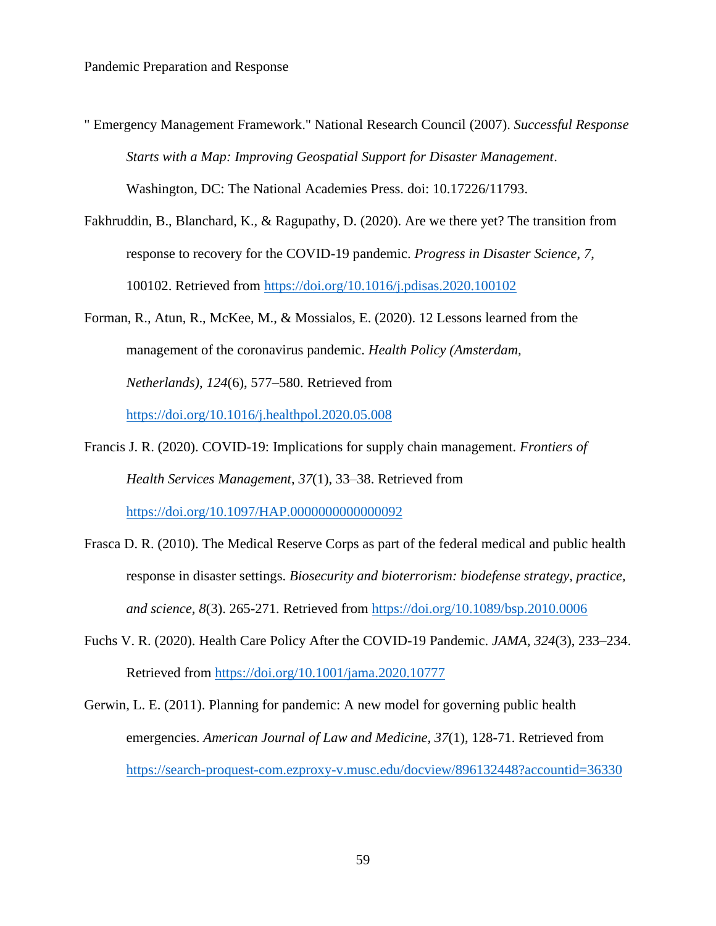" Emergency Management Framework." National Research Council (2007). *Successful Response Starts with a Map: Improving Geospatial Support for Disaster Management*.

Washington, DC: The National Academies Press. doi: 10.17226/11793.

- Fakhruddin, B., Blanchard, K., & Ragupathy, D. (2020). Are we there yet? The transition from response to recovery for the COVID-19 pandemic. *Progress in Disaster Science*, *7*, 100102. Retrieved from <https://doi.org/10.1016/j.pdisas.2020.100102>
- Forman, R., Atun, R., McKee, M., & Mossialos, E. (2020). 12 Lessons learned from the management of the coronavirus pandemic. *Health Policy (Amsterdam, Netherlands)*, *124*(6), 577–580. Retrieved from <https://doi.org/10.1016/j.healthpol.2020.05.008>
- Francis J. R. (2020). COVID-19: Implications for supply chain management. *Frontiers of Health Services Management*, *37*(1), 33–38. Retrieved from <https://doi.org/10.1097/HAP.0000000000000092>
- Frasca D. R. (2010). The Medical Reserve Corps as part of the federal medical and public health response in disaster settings. *Biosecurity and bioterrorism: biodefense strategy, practice, and science, 8*(3). 265-271*.* Retrieved from <https://doi.org/10.1089/bsp.2010.0006>
- Fuchs V. R. (2020). Health Care Policy After the COVID-19 Pandemic. *JAMA*, *324*(3), 233–234. Retrieved from<https://doi.org/10.1001/jama.2020.10777>

Gerwin, L. E. (2011). Planning for pandemic: A new model for governing public health emergencies. *American Journal of Law and Medicine, 37*(1), 128-71. Retrieved from <https://search-proquest-com.ezproxy-v.musc.edu/docview/896132448?accountid=36330>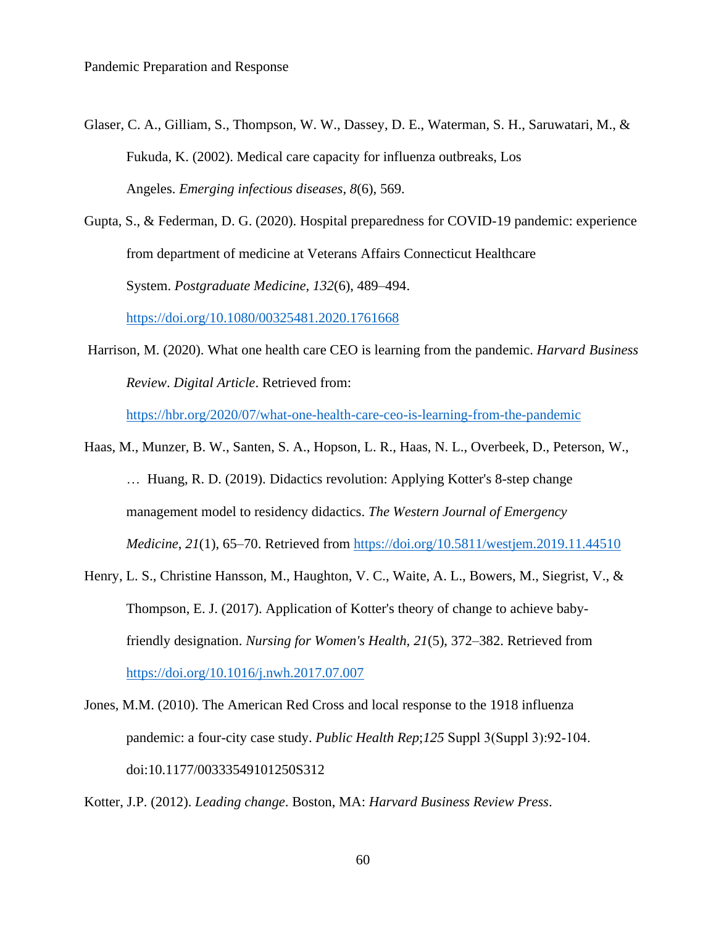- Glaser, C. A., Gilliam, S., Thompson, W. W., Dassey, D. E., Waterman, S. H., Saruwatari, M., & Fukuda, K. (2002). Medical care capacity for influenza outbreaks, Los Angeles. *Emerging infectious diseases*, *8*(6), 569.
- Gupta, S., & Federman, D. G. (2020). Hospital preparedness for COVID-19 pandemic: experience from department of medicine at Veterans Affairs Connecticut Healthcare System. *Postgraduate Medicine, 132*(6), 489–494.

<https://doi.org/10.1080/00325481.2020.1761668>

Harrison, M. (2020). What one health care CEO is learning from the pandemic. *Harvard Business Review*. *Digital Article*. Retrieved from:

<https://hbr.org/2020/07/what-one-health-care-ceo-is-learning-from-the-pandemic>

- Haas, M., Munzer, B. W., Santen, S. A., Hopson, L. R., Haas, N. L., Overbeek, D., Peterson, W., … Huang, R. D. (2019). Didactics revolution: Applying Kotter's 8-step change management model to residency didactics. *The Western Journal of Emergency Medicine*, *21*(1), 65–70. Retrieved from <https://doi.org/10.5811/westjem.2019.11.44510>
- Henry, L. S., Christine Hansson, M., Haughton, V. C., Waite, A. L., Bowers, M., Siegrist, V., & Thompson, E. J. (2017). Application of Kotter's theory of change to achieve babyfriendly designation. *Nursing for Women's Health, 21*(5), 372–382. Retrieved from <https://doi.org/10.1016/j.nwh.2017.07.007>
- Jones, M.M. (2010). The American Red Cross and local response to the 1918 influenza pandemic: a four-city case study. *Public Health Rep*;*125* Suppl 3(Suppl 3):92‐104. doi:10.1177/00333549101250S312

Kotter, J.P. (2012). *Leading change*. Boston, MA: *Harvard Business Review Press*.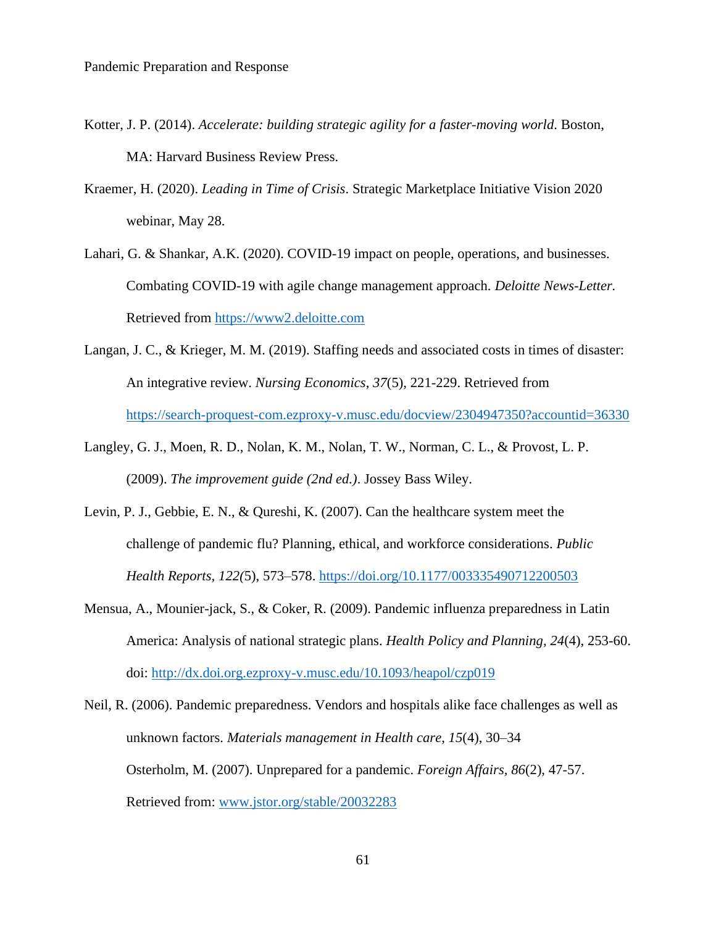- Kotter, J. P. (2014). *Accelerate: building strategic agility for a faster-moving world*. Boston, MA: Harvard Business Review Press.
- Kraemer, H. (2020). *Leading in Time of Crisis*. Strategic Marketplace Initiative Vision 2020 webinar, May 28.
- Lahari, G. & Shankar, A.K. (2020). COVID-19 impact on people, operations, and businesses. Combating COVID-19 with agile change management approach. *Deloitte News-Letter.* Retrieved from [https://www2.deloitte.com](https://www2.deloitte.com/)
- Langan, J. C., & Krieger, M. M. (2019). Staffing needs and associated costs in times of disaster: An integrative review. *Nursing Economics, 37*(5), 221-229. Retrieved from <https://search-proquest-com.ezproxy-v.musc.edu/docview/2304947350?accountid=36330>
- Langley, G. J., Moen, R. D., Nolan, K. M., Nolan, T. W., Norman, C. L., & Provost, L. P. (2009). *The improvement guide (2nd ed.)*. Jossey Bass Wiley.
- Levin, P. J., Gebbie, E. N., & Qureshi, K. (2007). Can the healthcare system meet the challenge of pandemic flu? Planning, ethical, and workforce considerations. *Public Health Reports, 122(*5), 573–578. <https://doi.org/10.1177/003335490712200503>
- Mensua, A., Mounier-jack, S., & Coker, R. (2009). Pandemic influenza preparedness in Latin America: Analysis of national strategic plans. *Health Policy and Planning, 24*(4), 253-60. doi: http://dx.doi.org.ezproxy-v.musc.edu/10.1093/heapol/czp019
- Neil, R. (2006). Pandemic preparedness. Vendors and hospitals alike face challenges as well as unknown factors. *Materials management in Health care*, *15*(4), 30–34 Osterholm, M. (2007). Unprepared for a pandemic. *Foreign Affairs, 86*(2), 47-57. Retrieved from: [www.jstor.org/stable/20032283](http://www.jstor.org/stable/20032283)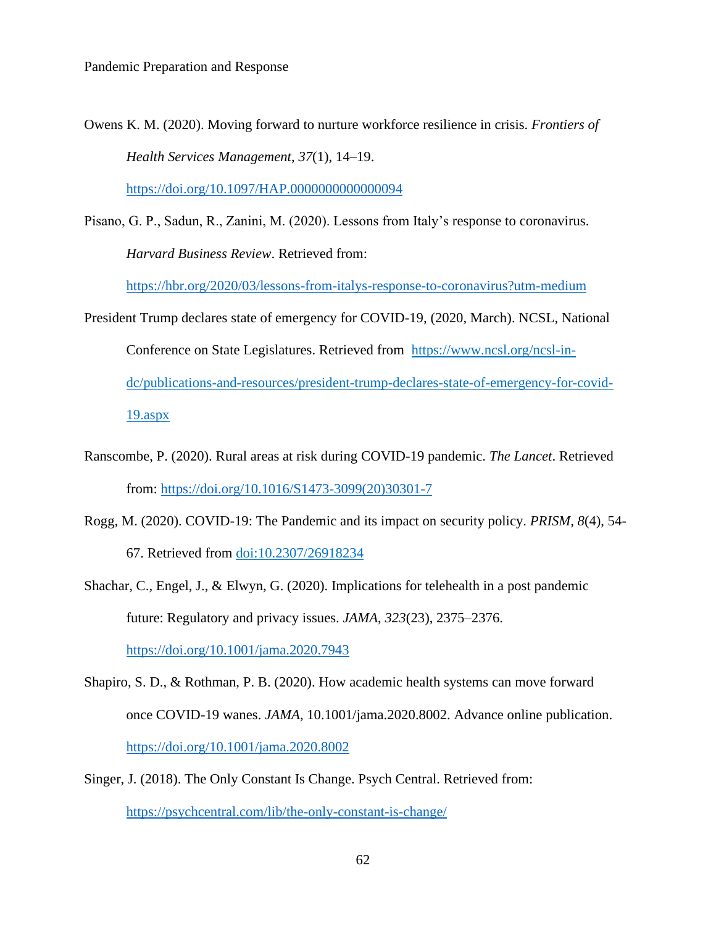Owens K. M. (2020). Moving forward to nurture workforce resilience in crisis. *Frontiers of Health Services Management*, *37*(1), 14–19.

<https://doi.org/10.1097/HAP.0000000000000094>

Pisano, G. P., Sadun, R., Zanini, M. (2020). Lessons from Italy's response to coronavirus. *Harvard Business Review*. Retrieved from:

<https://hbr.org/2020/03/lessons-from-italys-response-to-coronavirus?utm-medium>

- President Trump declares state of emergency for COVID-19, (2020, March). NCSL, National Conference on State Legislatures. Retrieved from [https://www.ncsl.org/ncsl-in](https://www.ncsl.org/ncsl-in-)dc/publications-and-resources/president-trump-declares-state-of-emergency-for-covid-19.aspx
- Ranscombe, P. (2020). Rural areas at risk during COVID-19 pandemic. *The Lancet*. Retrieved from: [https://doi.org/10.1016/S1473-3099\(20\)30301-7](https://doi.org/10.1016/S1473-3099(20)30301-7)
- Rogg, M. (2020). COVID-19: The Pandemic and its impact on security policy. *PRISM, 8*(4), 54- 67. Retrieved from doi:10.2307/26918234
- Shachar, C., Engel, J., & Elwyn, G. (2020). Implications for telehealth in a post pandemic future: Regulatory and privacy issues. *JAMA*, *323*(23), 2375–2376. <https://doi.org/10.1001/jama.2020.7943>
- Shapiro, S. D., & Rothman, P. B. (2020). How academic health systems can move forward once COVID-19 wanes. *JAMA*, 10.1001/jama.2020.8002. Advance online publication. <https://doi.org/10.1001/jama.2020.8002>
- Singer, J. (2018). The Only Constant Is Change. Psych Central. Retrieved from: <https://psychcentral.com/lib/the-only-constant-is-change/>